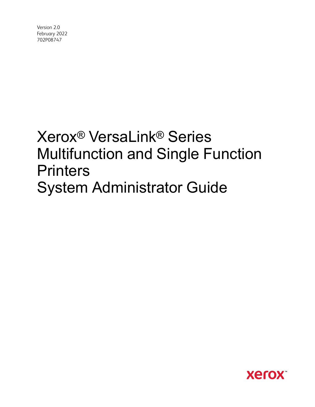Version 2.0 February 2022 702P08747

# Xerox® VersaLink® Series Multifunction and Single Function **Printers** System Administrator Guide

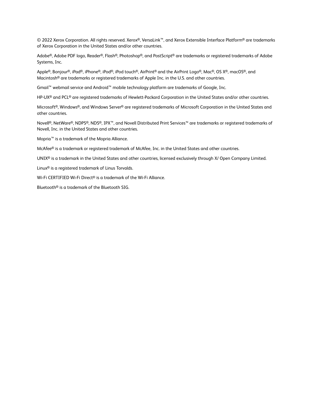© 2022 Xerox Corporation. All rights reserved. Xerox®, VersaLink™, and Xerox Extensible Interface Platform® are trademarks of Xerox Corporation in the United States and/or other countries.

Adobe®, Adobe PDF logo, Reader®, Flash®, Photoshop®, and PostScript® are trademarks or registered trademarks of Adobe Systems, Inc.

Apple®, Bonjour®, iPad®, iPhone®, iPod®, iPod touch®, AirPrint® and the AirPrint Logo®, Mac®, OS X®, macOS®, and Macintosh® are trademarks or registered trademarks of Apple Inc. in the U.S. and other countries.

Gmail™ webmail service and Android™ mobile technology platform are trademarks of Google, Inc.

HP-UX® and PCL® are registered trademarks of Hewlett-Packard Corporation in the United States and/or other countries.

Microsoft®, Windows®, and Windows Server® are registered trademarks of Microsoft Corporation in the United States and other countries.

Novell®, NetWare®, NDPS®, NDS®, IPX™, and Novell Distributed Print Services™ are trademarks or registered trademarks of Novell, Inc. in the United States and other countries.

Mopria™ is a trademark of the Mopria Alliance.

McAfee® is a trademark or registered trademark of McAfee, Inc. in the United States and other countries.

UNIX® is a trademark in the United States and other countries, licensed exclusively through X/ Open Company Limited.

Linux® is a registered trademark of Linus Torvalds.

Wi-Fi CERTIFIED Wi-Fi Direct® is a trademark of the Wi-Fi Alliance.

Bluetooth® is a trademark of the Bluetooth SIG.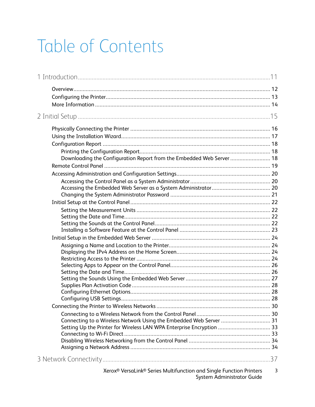# Table of Contents

| Downloading the Configuration Report from the Embedded Web Server  18 |  |
|-----------------------------------------------------------------------|--|
|                                                                       |  |
|                                                                       |  |
|                                                                       |  |
|                                                                       |  |
|                                                                       |  |
|                                                                       |  |
|                                                                       |  |
|                                                                       |  |
|                                                                       |  |
|                                                                       |  |
|                                                                       |  |
|                                                                       |  |
|                                                                       |  |
|                                                                       |  |
|                                                                       |  |
|                                                                       |  |
|                                                                       |  |
|                                                                       |  |
|                                                                       |  |
|                                                                       |  |
|                                                                       |  |
| Setting Up the Printer for Wireless LAN WPA Enterprise Encryption  33 |  |
|                                                                       |  |
|                                                                       |  |
| $\mathbf{v} = \mathbf{v}$                                             |  |

Xerox® VersaLink® Series Multifunction and Single Function Printers System Administrator Guide 3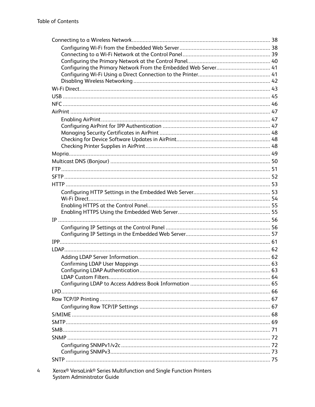Xerox® VersaLink® Series Multifunction and Single Function Printers<br>System Administrator Guide  $\overline{4}$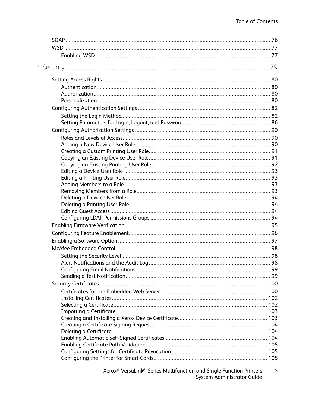Xerox® VersaLink® Series Multifunction and Single Function Printers<br>System Administrator Guide  $\overline{5}$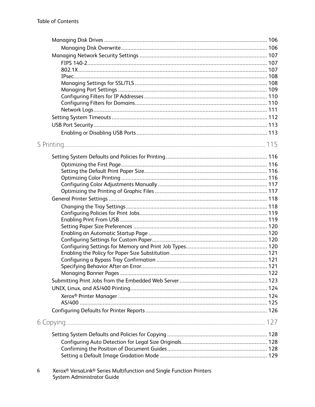Xerox® VersaLink® Series Multifunction and Single Function Printers<br>System Administrator Guide  $\boldsymbol{6}$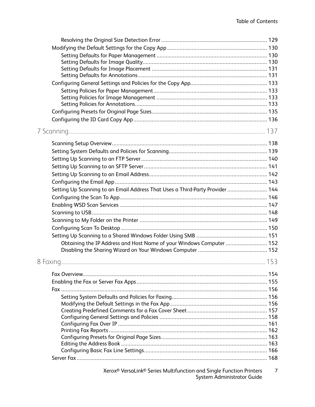| Setting Up Scanning to an Email Address That Uses a Third-Party Provider  144 |  |
|-------------------------------------------------------------------------------|--|
|                                                                               |  |
|                                                                               |  |
|                                                                               |  |
|                                                                               |  |
|                                                                               |  |
|                                                                               |  |
|                                                                               |  |
| Obtaining the IP Address and Host Name of your Windows Computer  152          |  |
|                                                                               |  |
|                                                                               |  |
|                                                                               |  |
|                                                                               |  |
|                                                                               |  |
|                                                                               |  |
|                                                                               |  |
|                                                                               |  |
|                                                                               |  |
|                                                                               |  |
|                                                                               |  |
|                                                                               |  |
|                                                                               |  |
|                                                                               |  |
|                                                                               |  |

Xerox® VersaLink® Series Multifunction and Single Function Printers System Administrator Guide 7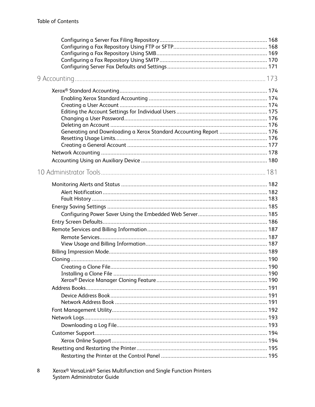| Generating and Downloading a Xerox Standard Accounting Report  176 |     |
|--------------------------------------------------------------------|-----|
|                                                                    |     |
|                                                                    |     |
|                                                                    |     |
|                                                                    |     |
|                                                                    |     |
|                                                                    |     |
|                                                                    |     |
|                                                                    |     |
|                                                                    |     |
|                                                                    |     |
|                                                                    |     |
|                                                                    |     |
|                                                                    |     |
|                                                                    |     |
|                                                                    |     |
|                                                                    |     |
|                                                                    | 190 |
|                                                                    |     |
|                                                                    |     |
|                                                                    |     |
|                                                                    |     |
|                                                                    |     |
|                                                                    |     |
|                                                                    |     |
|                                                                    |     |
|                                                                    |     |
|                                                                    |     |
|                                                                    |     |
|                                                                    |     |

Xerox® VersaLink® Series Multifunction and Single Function Printers<br>System Administrator Guide  $\bf 8$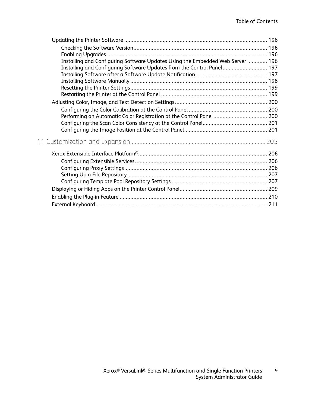| Installing and Configuring Software Updates Using the Embedded Web Server  196 |     |
|--------------------------------------------------------------------------------|-----|
| Installing and Configuring Software Updates from the Control Panel 197         |     |
|                                                                                |     |
|                                                                                |     |
|                                                                                |     |
|                                                                                |     |
|                                                                                |     |
|                                                                                |     |
| Performing an Automatic Color Registration at the Control Panel 200            |     |
|                                                                                |     |
|                                                                                |     |
|                                                                                | 205 |
|                                                                                | 206 |
|                                                                                | 206 |
|                                                                                |     |
|                                                                                |     |
|                                                                                |     |
|                                                                                |     |
|                                                                                |     |
|                                                                                |     |
|                                                                                |     |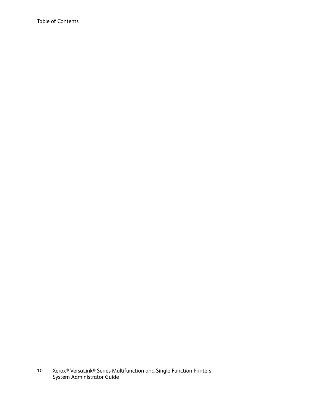Table of Contents

10 Xerox® VersaLink® Series Multifunction and Single Function Printers System Administrator Guide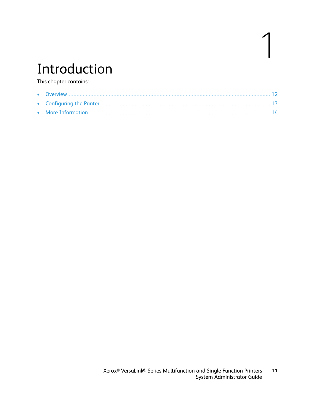# <span id="page-10-0"></span>Introduction

This chapter contains:

1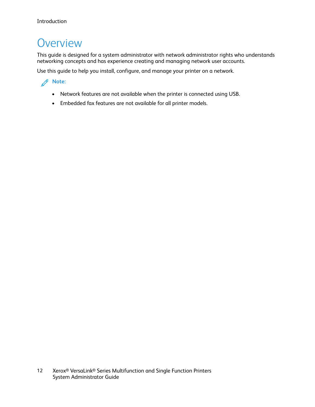### <span id="page-11-0"></span>**Overview**

This guide is designed for a system administrator with network administrator rights who understands networking concepts and has experience creating and managing network user accounts.

Use this guide to help you install, configure, and manage your printer on a network.



- Network features are not available when the printer is connected using USB.
- Embedded fax features are not available for all printer models.

12 Xerox<sup>®</sup> VersaLink<sup>®</sup> Series Multifunction and Single Function Printers System Administrator Guide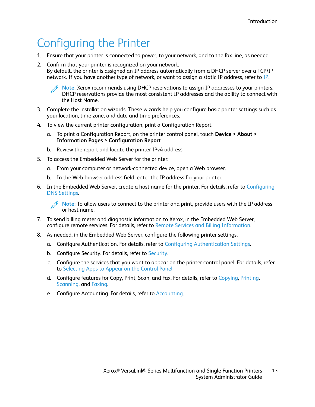### <span id="page-12-0"></span>Configuring the Printer

- 1. Ensure that your printer is connected to power, to your network, and to the fax line, as needed.
- 2. Confirm that your printer is recognized on your network. By default, the printer is assigned an IP address automatically from a DHCP server over a TCP/IP network. If you have another type of network, or want to assign a static IP address, refer to [IP.](#page-55-0)

**Note:** Xerox recommends using DHCP reservations to assign IP addresses to your printers. DHCP reservations provide the most consistent IP addresses and the ability to connect with the Host Name.

- 3. Complete the installation wizards. These wizards help you configure basic printer settings such as your location, time zone, and date and time preferences.
- 4. To view the current printer configuration, print a Configuration Report.
	- a. To print a Configuration Report, on the printer control panel, touch **Device > About > Information Pages > Configuration Report**.
	- b. Review the report and locate the printer IPv4 address.
- 5. To access the Embedded Web Server for the printer:
	- a. From your computer or network-connected device, open a Web browser.
	- b. In the Web browser address field, enter the IP address for your printer.
- 6. In the Embedded Web Server, create a host name for the printer. For details, refer to [Configuring](#page-57-0) DNS [Settings.](#page-57-0)

**Note:** To allow users to connect to the printer and print, provide users with the IP address or host name.

- 7. To send billing meter and diagnostic information to Xerox, in the Embedded Web Server, configure remote services. For details, refer to Remote Services and Billing [Information.](#page-186-0)
- 8. As needed, in the Embedded Web Server, configure the following printer settings.
	- a. Configure Authentication. For details, refer to Configuring [Authentication](#page-81-0) Settings.
	- b. Configure Security. For details, refer to [Security](#page-78-0).
	- c. Configure the services that you want to appear on the printer control panel. For details, refer to [Selecting](#page-25-0) Apps to Appear on the Control Panel.
	- d. Configure features for Copy, Print, Scan, and Fax. For details, refer to [Copying,](#page-126-0) [Printing](#page-114-0), [Scanning,](#page-136-0) and [Faxing](#page-152-0).
	- e. Configure Accounting. For details, refer to [Accounting.](#page-172-0)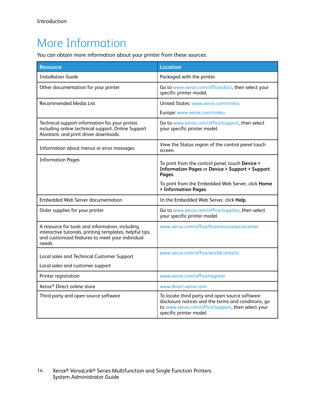### <span id="page-13-0"></span>More Information

You can obtain more information about your printer from these sources:

| <b>Resource</b>                                                                                                                                                          | <b>Location</b>                                                                                                                                                                       |
|--------------------------------------------------------------------------------------------------------------------------------------------------------------------------|---------------------------------------------------------------------------------------------------------------------------------------------------------------------------------------|
| <b>Installation Guide</b>                                                                                                                                                | Packaged with the printer.                                                                                                                                                            |
| Other documentation for your printer                                                                                                                                     | Go to www.xerox.com/office/docs, then select your<br>specific printer model.                                                                                                          |
| Recommended Media List                                                                                                                                                   | United States: www.xerox.com/rmlna                                                                                                                                                    |
|                                                                                                                                                                          | Europe: www.xerox.com/rmleu                                                                                                                                                           |
| Technical support information for your printer,<br>including online technical support, Online Support<br>Assistant, and print driver downloads.                          | Go to www.xerox.com/office/support, then select<br>your specific printer model.                                                                                                       |
| Information about menus or error messages                                                                                                                                | View the Status region of the control panel touch<br>screen.                                                                                                                          |
| <b>Information Pages</b>                                                                                                                                                 | To print from the control panel, touch Device ><br><b>Information Pages or Device &gt; Support &gt; Support</b><br>Pages.                                                             |
|                                                                                                                                                                          | To print from the Embedded Web Server, click Home<br>> Information Pages.                                                                                                             |
| <b>Embedded Web Server documentation</b>                                                                                                                                 | In the Embedded Web Server, click Help.                                                                                                                                               |
| Order supplies for your printer                                                                                                                                          | Go to www.xerox.com/office/supplies, then select<br>your specific printer model.                                                                                                      |
| A resource for tools and information, including<br>interactive tutorials, printing templates, helpful tips,<br>and customized features to meet your individual<br>needs. | www.xerox.com/office/businessresourcecenter                                                                                                                                           |
| Local sales and Technical Customer Support                                                                                                                               | www.xerox.com/office/worldcontacts                                                                                                                                                    |
| Local sales and customer support                                                                                                                                         |                                                                                                                                                                                       |
| Printer registration                                                                                                                                                     | www.xerox.com/office/register                                                                                                                                                         |
| Xerox <sup>®</sup> Direct online store                                                                                                                                   | www.direct.xerox.com                                                                                                                                                                  |
| Third party and open source software                                                                                                                                     | To locate third party and open source software<br>disclosure notices and the terms and conditions, go<br>to www.xerox.com/office/support, then select your<br>specific printer model. |

14 Xerox<sup>®</sup> VersaLink<sup>®</sup> Series Multifunction and Single Function Printers System Administrator Guide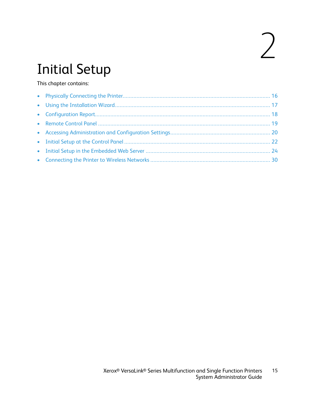# 2

# <span id="page-14-0"></span>Initial Setup

#### This chapter contains: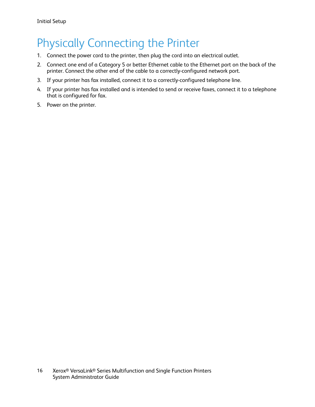# <span id="page-15-0"></span>Physically Connecting the Printer

- 1. Connect the power cord to the printer, then plug the cord into an electrical outlet.
- 2. Connect one end of a Category 5 or better Ethernet cable to the Ethernet port on the back of the printer. Connect the other end of the cable to a correctly-configured network port.
- 3. If your printer has fax installed, connect it to a correctly-configured telephone line.
- 4. If your printer has fax installed and is intended to send or receive faxes, connect it to a telephone that is configured for fax.
- 5. Power on the printer.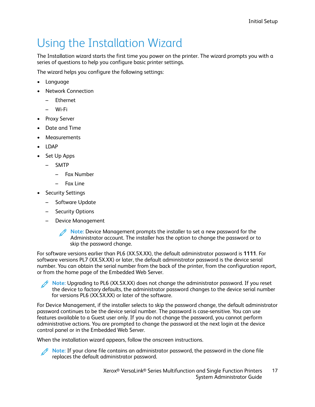# <span id="page-16-0"></span>Using the Installation Wizard

The Installation wizard starts the first time you power on the printer. The wizard prompts you with a series of questions to help you configure basic printer settings.

The wizard helps you configure the following settings:

- Language
- Network Connection
	- Ethernet
	- Wi-Fi
- Proxy Server
- Date and Time
- **Measurements**
- LDAP
- Set Up Apps
	- SMTP
		- Fax Number
		- Fax Line
- Security Settings
	- Software Update
	- **Security Options**
	- Device Management

**Note:** Device Management prompts the installer to set a new password for the Administrator account. The installer has the option to change the password or to skip the password change.

For software versions earlier than PL6 (XX.5X.XX), the default administrator password is **1111**. For software versions PL7 (XX.5X.XX) or later, the default administrator password is the device serial number. You can obtain the serial number from the back of the printer, from the configuration report, or from the home page of the Embedded Web Server.

**Note:** Upgrading to PL6 (XX.5X.XX) does not change the administrator password. If you reset the device to factory defaults, the administrator password changes to the device serial number for versions PL6 (XX.5X.XX) or later of the software.

For Device Management, if the installer selects to skip the password change, the default administrator password continues to be the device serial number. The password is case-sensitive. You can use features available to a Guest user only. If you do not change the password, you cannot perform administrative actions. You are prompted to change the password at the next login at the device control panel or in the Embedded Web Server.

When the installation wizard appears, follow the onscreen instructions.

**Note:** If your clone file contains an administrator password, the password in the clone file replaces the default administrator password.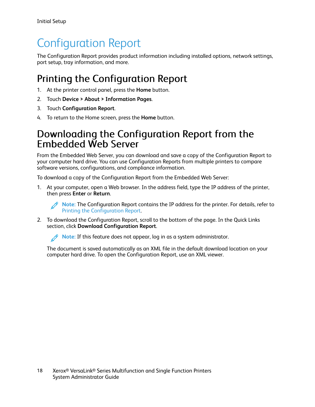# <span id="page-17-0"></span>Configuration Report

The Configuration Report provides product information including installed options, network settings, port setup, tray information, and more.

### <span id="page-17-1"></span>Printing the Configuration Report

- 1. At the printer control panel, press the **Home** button.
- 2. Touch **Device > About > Information Pages**.
- 3. Touch **Configuration Report**.
- 4. To return to the Home screen, press the **Home** button.

#### <span id="page-17-2"></span>Downloading the Configuration Report from the Embedded Web Server

From the Embedded Web Server, you can download and save a copy of the Configuration Report to your computer hard drive. You can use Configuration Reports from multiple printers to compare software versions, configurations, and compliance information.

To download a copy of the Configuration Report from the Embedded Web Server:

1. At your computer, open a Web browser. In the address field, type the IP address of the printer, then press **Enter** or **Return**.

**Note:** The Configuration Report contains the IP address for the printer. For details, refer to Printing the [Configuration](#page-17-1) Report.

2. To download the Configuration Report, scroll to the bottom of the page. In the Quick Links section, click **Download Configuration Report**.

**Note:** If this feature does not appear, log in as a system administrator.

The document is saved automatically as an XML file in the default download location on your computer hard drive. To open the Configuration Report, use an XML viewer.

18 Xerox<sup>®</sup> VersaLink<sup>®</sup> Series Multifunction and Single Function Printers System Administrator Guide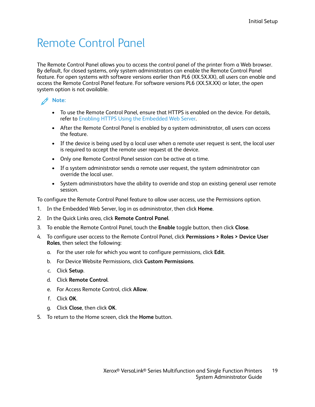### <span id="page-18-0"></span>Remote Control Panel

The Remote Control Panel allows you to access the control panel of the printer from a Web browser. By default, for closed systems, only system administrators can enable the Remote Control Panel feature. For open systems with software versions earlier than PL6 (XX.5X.XX), all users can enable and access the Remote Control Panel feature. For software versions PL6 (XX.5X.XX) or later, the open system option is not available.



- To use the Remote Control Panel, ensure that HTTPS is enabled on the device. For details, refer to Enabling HTTPS Using the [Embedded](#page-54-1) Web Server.
- After the Remote Control Panel is enabled by a system administrator, all users can access the feature.
- If the device is being used by a local user when a remote user request is sent, the local user is required to accept the remote user request at the device.
- Only one Remote Control Panel session can be active at a time.
- If a system administrator sends a remote user request, the system administrator can override the local user.
- System administrators have the ability to override and stop an existing general user remote session.

To configure the Remote Control Panel feature to allow user access, use the Permissions option.

- 1. In the Embedded Web Server, log in as administrator, then click **Home**.
- 2. In the Quick Links area, click **Remote Control Panel**.
- 3. To enable the Remote Control Panel, touch the **Enable** toggle button, then click **Close**.
- 4. To configure user access to the Remote Control Panel, click **Permissions > Roles > Device User Roles**, then select the following:
	- a. For the user role for which you want to configure permissions, click **Edit**.
	- b. For Device Website Permissions, click **Custom Permissions**.
	- c. Click **Setup**.
	- d. Click **Remote Control**.
	- e. For Access Remote Control, click **Allow**.
	- f. Click **OK**.
	- g. Click **Close**, then click **OK**.
- 5. To return to the Home screen, click the **Home** button.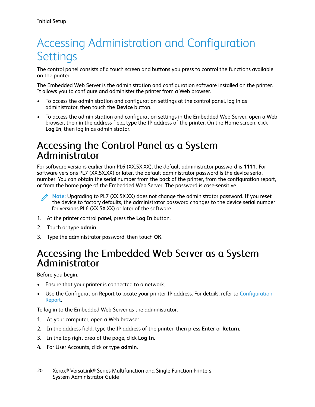### <span id="page-19-0"></span>Accessing Administration and Configuration **Settings**

The control panel consists of a touch screen and buttons you press to control the functions available on the printer.

The Embedded Web Server is the administration and configuration software installed on the printer. It allows you to configure and administer the printer from a Web browser.

- To access the administration and configuration settings at the control panel, log in as administrator, then touch the **Device** button.
- To access the administration and configuration settings in the Embedded Web Server, open a Web browser, then in the address field, type the IP address of the printer. On the Home screen, click **Log In**, then log in as administrator.

### <span id="page-19-1"></span>Accessing the Control Panel as a System Administrator

For software versions earlier than PL6 (XX.5X.XX), the default administrator password is **1111**. For software versions PL7 (XX.5X.XX) or later, the default administrator password is the device serial number. You can obtain the serial number from the back of the printer, from the configuration report, or from the home page of the Embedded Web Server. The password is case-sensitive.

**Note:** Upgrading to PL7 (XX.5X.XX) does not change the administrator password. If you reset the device to factory defaults, the administrator password changes to the device serial number for versions PL6 (XX.5X.XX) or later of the software.

- 1. At the printer control panel, press the **Log In** button.
- 2. Touch or type **admin**.
- 3. Type the administrator password, then touch **OK**.

#### <span id="page-19-2"></span>Accessing the Embedded Web Server as a System Administrator

Before you begin:

- Ensure that your printer is connected to a network.
- Use the [Configuration](#page-17-0) Report to locate your printer IP address. For details, refer to Configuration [Report.](#page-17-0)

To log in to the Embedded Web Server as the administrator:

- 1. At your computer, open a Web browser.
- 2. In the address field, type the IP address of the printer, then press **Enter** or **Return**.
- 3. In the top right area of the page, click **Log In**.
- 4. For User Accounts, click or type **admin**.
- 20 Xerox® VersaLink® Series Multifunction and Single Function Printers System Administrator Guide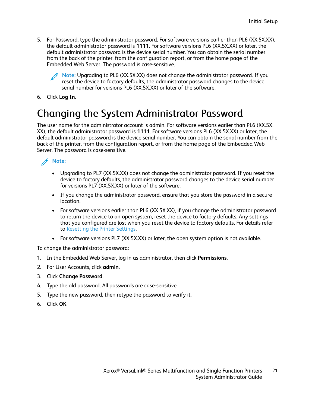5. For Password, type the administrator password. For software versions earlier than PL6 (XX.5X.XX), the default administrator password is **1111**. For software versions PL6 (XX.5X.XX) or later, the default administrator password is the device serial number. You can obtain the serial number from the back of the printer, from the configuration report, or from the home page of the Embedded Web Server. The password is case-sensitive.

**Note:** Upgrading to PL6 (XX.5X.XX) does not change the administrator password. If you reset the device to factory defaults, the administrator password changes to the device serial number for versions PL6 (XX.5X.XX) or later of the software.

6. Click **Log In**.

### <span id="page-20-0"></span>Changing the System Administrator Password

The user name for the administrator account is admin. For software versions earlier than PL6 (XX.5X. XX), the default administrator password is **1111**. For software versions PL6 (XX.5X.XX) or later, the default administrator password is the device serial number. You can obtain the serial number from the back of the printer, from the configuration report, or from the home page of the Embedded Web Server. The password is case-sensitive.

#### **Note:**

- Upgrading to PL7 (XX.5X.XX) does not change the administrator password. If you reset the device to factory defaults, the administrator password changes to the device serial number for versions PL7 (XX.5X.XX) or later of the software.
- If you change the administrator password, ensure that you store the password in a secure location.
- For software versions earlier than PL6 (XX.5X.XX), if you change the administrator password to return the device to an open system, reset the device to factory defaults. Any settings that you configured are lost when you reset the device to factory defaults. For details refer to [Resetting](#page-198-0) the Printer Settings.
- For software versions PL7 (XX.5X.XX) or later, the open system option is not available.

To change the administrator password:

- 1. In the Embedded Web Server, log in as administrator, then click **Permissions**.
- 2. For User Accounts, click **admin**.
- 3. Click **Change Password**.
- 4. Type the old password. All passwords are case-sensitive.
- 5. Type the new password, then retype the password to verify it.
- 6. Click **OK**.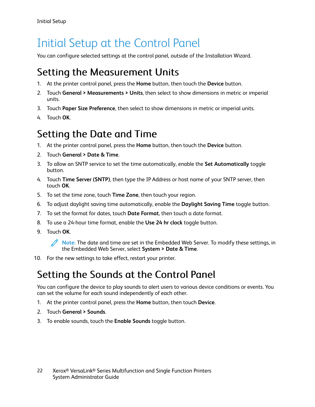# <span id="page-21-0"></span>Initial Setup at the Control Panel

You can configure selected settings at the control panel, outside of the Installation Wizard.

### <span id="page-21-1"></span>Setting the Measurement Units

- 1. At the printer control panel, press the **Home** button, then touch the **Device** button.
- 2. Touch **General > Measurements > Units**, then select to show dimensions in metric or imperial units.
- 3. Touch **Paper Size Preference**, then select to show dimensions in metric or imperial units.
- 4. Touch **OK**.

### <span id="page-21-2"></span>Setting the Date and Time

- 1. At the printer control panel, press the **Home** button, then touch the **Device** button.
- 2. Touch **General > Date & Time**.
- 3. To allow an SNTP service to set the time automatically, enable the **Set Automatically** toggle button.
- 4. Touch **Time Server (SNTP)**, then type the IP Address or host name of your SNTP server, then touch **OK**.
- 5. To set the time zone, touch **Time Zone**, then touch your region.
- 6. To adjust daylight saving time automatically, enable the **Daylight Saving Time** toggle button.
- 7. To set the format for dates, touch **Date Format**, then touch a date format.
- 8. To use a 24-hour time format, enable the **Use 24 hr clock** toggle button.
- 9. Touch **OK**.

**Note:** The date and time are set in the Embedded Web Server. To modify these settings, in the Embedded Web Server, select **System > Date & Time**.

10. For the new settings to take effect, restart your printer.

### <span id="page-21-3"></span>Setting the Sounds at the Control Panel

You can configure the device to play sounds to alert users to various device conditions or events. You can set the volume for each sound independently of each other.

- 1. At the printer control panel, press the **Home** button, then touch **Device**.
- 2. Touch **General > Sounds**.
- 3. To enable sounds, touch the **Enable Sounds** toggle button.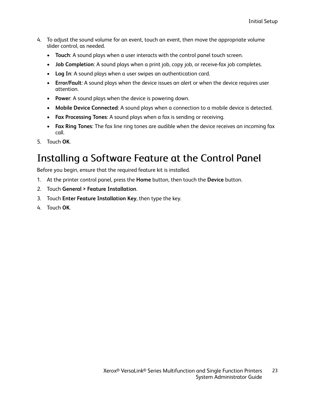- 4. To adjust the sound volume for an event, touch an event, then move the appropriate volume slider control, as needed.
	- **Touch**: A sound plays when a user interacts with the control panel touch screen.
	- **Job Completion**: A sound plays when a print job, copy job, or receive-fax job completes.
	- **Log In**: A sound plays when a user swipes an authentication card.
	- **Error/Fault**: A sound plays when the device issues an alert or when the device requires user attention.
	- **Power**: A sound plays when the device is powering down.
	- **Mobile Device Connected**: A sound plays when a connection to a mobile device is detected.
	- **Fax Processing Tones**: A sound plays when a fax is sending or receiving.
	- **Fax Ring Tones**: The fax line ring tones are audible when the device receives an incoming fax call.
- 5. Touch **OK**.

### <span id="page-22-0"></span>Installing a Software Feature at the Control Panel

Before you begin, ensure that the required feature kit is installed.

- 1. At the printer control panel, press the **Home** button, then touch the **Device** button.
- 2. Touch **General > Feature Installation**.
- 3. Touch **Enter Feature Installation Key**, then type the key.
- 4. Touch **OK**.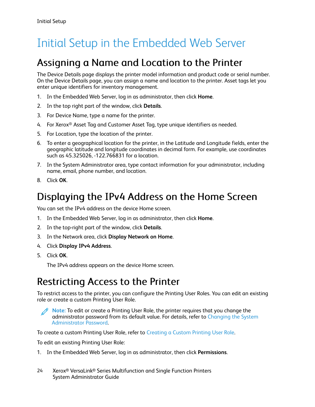# <span id="page-23-0"></span>Initial Setup in the Embedded Web Server

### <span id="page-23-1"></span>Assigning a Name and Location to the Printer

The Device Details page displays the printer model information and product code or serial number. On the Device Details page, you can assign a name and location to the printer. Asset tags let you enter unique identifiers for inventory management.

- 1. In the Embedded Web Server, log in as administrator, then click **Home**.
- 2. In the top right part of the window, click **Details**.
- 3. For Device Name, type a name for the printer.
- 4. For Xerox® Asset Tag and Customer Asset Tag, type unique identifiers as needed.
- 5. For Location, type the location of the printer.
- 6. To enter a geographical location for the printer, in the Latitude and Longitude fields, enter the geographic latitude and longitude coordinates in decimal form. For example, use coordinates such as 45.325026, -122.766831 for a location.
- 7. In the System Administrator area, type contact information for your administrator, including name, email, phone number, and location.
- 8. Click **OK**.

### <span id="page-23-2"></span>Displaying the IPv4 Address on the Home Screen

You can set the IPv4 address on the device Home screen.

- 1. In the Embedded Web Server, log in as administrator, then click **Home**.
- 2. In the top-right part of the window, click **Details**.
- 3. In the Network area, click **Display Network on Home**.
- 4. Click **Display IPv4 Address**.
- 5. Click **OK**.

The IPv4 address appears on the device Home screen.

### <span id="page-23-3"></span>Restricting Access to the Printer

To restrict access to the printer, you can configure the Printing User Roles. You can edit an existing role or create a custom Printing User Role.

**Note:** To edit or create a Printing User Role, the printer requires that you change the administrator password from its default value. For details, refer to Changing the System Administrator Password.

To create a custom Printing User Role, refer to [Creating](#page-90-0) a Custom Printing User Role.

To edit an existing Printing User Role:

- 1. In the Embedded Web Server, log in as administrator, then click **Permissions**.
- 24 Xerox<sup>®</sup> VersaLink<sup>®</sup> Series Multifunction and Single Function Printers System Administrator Guide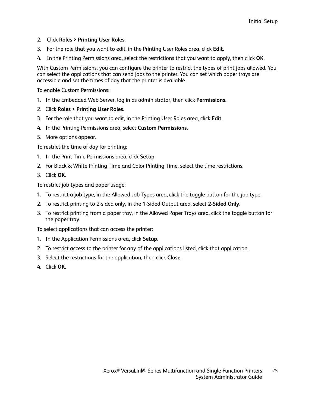- 2. Click **Roles > Printing User Roles**.
- 3. For the role that you want to edit, in the Printing User Roles area, click **Edit**.
- 4. In the Printing Permissions area, select the restrictions that you want to apply, then click **OK**.

With Custom Permissions, you can configure the printer to restrict the types of print jobs allowed. You can select the applications that can send jobs to the printer. You can set which paper trays are accessible and set the times of day that the printer is available.

To enable Custom Permissions:

- 1. In the Embedded Web Server, log in as administrator, then click **Permissions**.
- 2. Click **Roles > Printing User Roles**.
- 3. For the role that you want to edit, in the Printing User Roles area, click **Edit**.
- 4. In the Printing Permissions area, select **Custom Permissions**.
- 5. More options appear.

To restrict the time of day for printing:

- 1. In the Print Time Permissions area, click **Setup**.
- 2. For Black & White Printing Time and Color Printing Time, select the time restrictions.
- 3. Click **OK**.

To restrict job types and paper usage:

- 1. To restrict a job type, in the Allowed Job Types area, click the toggle button for the job type.
- 2. To restrict printing to 2-sided only, in the 1-Sided Output area, select **2-Sided Only**.
- 3. To restrict printing from a paper tray, in the Allowed Paper Trays area, click the toggle button for the paper tray.

To select applications that can access the printer:

- 1. In the Application Permissions area, click **Setup**.
- 2. To restrict access to the printer for any of the applications listed, click that application.
- 3. Select the restrictions for the application, then click **Close**.
- 4. Click **OK**.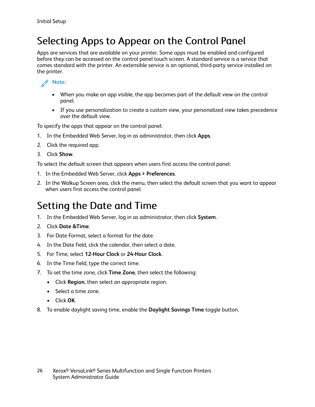### <span id="page-25-0"></span>Selecting Apps to Appear on the Control Panel

Apps are services that are available on your printer. Some apps must be enabled and configured before they can be accessed on the control panel touch screen. A standard service is a service that comes standard with the printer. An extensible service is an optional, third-party service installed on the printer.



- When you make an app visible, the app becomes part of the default view on the control panel.
- If you use personalization to create a custom view, your personalized view takes precedence over the default view.

To specify the apps that appear on the control panel:

- 1. In the Embedded Web Server, log in as administrator, then click **Apps**.
- 2. Click the required app.
- 3. Click **Show**.

To select the default screen that appears when users first access the control panel:

- 1. In the Embedded Web Server, click **Apps > Preferences**.
- 2. In the Walkup Screen area, click the menu, then select the default screen that you want to appear when users first access the control panel.

### <span id="page-25-1"></span>Setting the Date and Time

- 1. In the Embedded Web Server, log in as administrator, then click **System**.
- 2. Click **Date &Time**.
- 3. For Date Format, select a format for the date.
- 4. In the Date field, click the calendar, then select a date.
- 5. For Time, select **12-Hour Clock** or **24-Hour Clock**.
- 6. In the Time field, type the correct time.
- 7. To set the time zone, click **Time Zone**, then select the following:
	- Click **Region**, then select an appropriate region.
	- Select a time zone.
	- Click **OK**.
- 8. To enable daylight saving time, enable the **Daylight Savings Time** toggle button.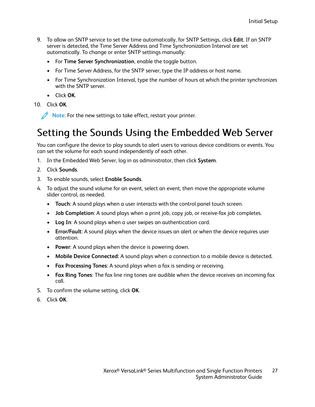- 9. To allow an SNTP service to set the time automatically, for SNTP Settings, click **Edit**. If an SNTP server is detected, the Time Server Address and Time Synchronization Interval are set automatically. To change or enter SNTP settings manually:
	- For **Time Server Synchronization**, enable the toggle button.
	- For Time Server Address, for the SNTP server, type the IP address or host name.
	- For Time Synchronization Interval, type the number of hours at which the printer synchronizes with the SNTP server
	- Click **OK**.
- 10. Click **OK**.

Note: For the new settings to take effect, restart your printer.

### <span id="page-26-0"></span>Setting the Sounds Using the Embedded Web Server

You can configure the device to play sounds to alert users to various device conditions or events. You can set the volume for each sound independently of each other.

- 1. In the Embedded Web Server, log in as administrator, then click **System**.
- 2. Click **Sounds**.
- 3. To enable sounds, select **Enable Sounds**.
- 4. To adjust the sound volume for an event, select an event, then move the appropriate volume slider control, as needed.
	- **Touch**: A sound plays when a user interacts with the control panel touch screen.
	- **Job Completion**: A sound plays when a print job, copy job, or receive-fax job completes.
	- **Log In**: A sound plays when a user swipes an authentication card.
	- **Error/Fault**: A sound plays when the device issues an alert or when the device requires user attention.
	- **Power**: A sound plays when the device is powering down.
	- **Mobile Device Connected**: A sound plays when a connection to a mobile device is detected.
	- **Fax Processing Tones**: A sound plays when a fax is sending or receiving.
	- **Fax Ring Tones**: The fax line ring tones are audible when the device receives an incoming fax call.
- 5. To confirm the volume setting, click **OK**.
- 6. Click **OK**.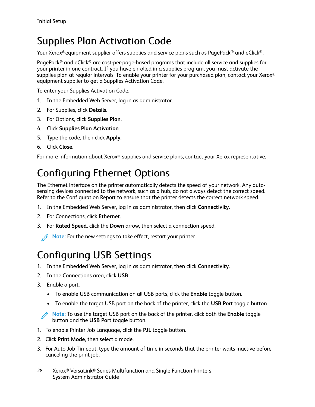### <span id="page-27-0"></span>Supplies Plan Activation Code

Your Xerox®equipment supplier offers supplies and service plans such as PagePack® and eClick®.

PagePack® and eClick® are cost-per-page-based programs that include all service and supplies for your printer in one contract. If you have enrolled in a supplies program, you must activate the supplies plan at regular intervals. To enable your printer for your purchased plan, contact your Xerox® equipment supplier to get a Supplies Activation Code.

To enter your Supplies Activation Code:

- 1. In the Embedded Web Server, log in as administrator.
- 2. For Supplies, click **Details**.
- 3. For Options, click **Supplies Plan**.
- 4. Click **Supplies Plan Activation**.
- 5. Type the code, then click **Apply**.
- 6. Click **Close**.

For more information about Xerox® supplies and service plans, contact your Xerox representative.

### <span id="page-27-1"></span>Configuring Ethernet Options

The Ethernet interface on the printer automatically detects the speed of your network. Any autosensing devices connected to the network, such as a hub, do not always detect the correct speed. Refer to the Configuration Report to ensure that the printer detects the correct network speed.

- 1. In the Embedded Web Server, log in as administrator, then click **Connectivity**.
- 2. For Connections, click **Ethernet**.
- 3. For **Rated Speed**, click the **Down** arrow, then select a connection speed.

**Note:** For the new settings to take effect, restart your printer.

### <span id="page-27-2"></span>Configuring USB Settings

- 1. In the Embedded Web Server, log in as administrator, then click **Connectivity**.
- 2. In the Connections area, click **USB**.
- 3. Enable a port.
	- To enable USB communication on all USB ports, click the **Enable** toggle button.
	- To enable the target USB port on the back of the printer, click the **USB Port** toggle button.

**Note:** To use the target USB port on the back of the printer, click both the Enable toggle button and the **USB Port** toggle button.

- 1. To enable Printer Job Language, click the **PJL** toggle button.
- 2. Click **Print Mode**, then select a mode.
- 3. For Auto Job Timeout, type the amount of time in seconds that the printer waits inactive before canceling the print job.
- 28 Xerox<sup>®</sup> VersaLink<sup>®</sup> Series Multifunction and Single Function Printers System Administrator Guide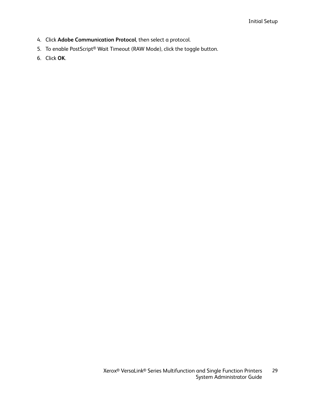- 4. Click **Adobe Communication Protocol**, then select a protocol.
- 5. To enable PostScript® Wait Timeout (RAW Mode), click the toggle button.
- 6. Click **OK**.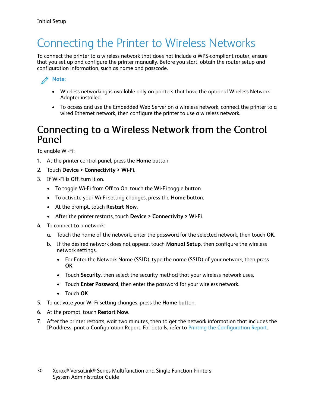### <span id="page-29-0"></span>Connecting the Printer to Wireless Networks

To connect the printer to a wireless network that does not include a WPS-compliant router, ensure that you set up and configure the printer manually. Before you start, obtain the router setup and configuration information, such as name and passcode.

#### **Note:**

- Wireless networking is available only on printers that have the optional Wireless Network Adapter installed.
- To access and use the Embedded Web Server on a wireless network, connect the printer to a wired Ethernet network, then configure the printer to use a wireless network.

#### <span id="page-29-1"></span>Connecting to a Wireless Network from the Control Panel

To enable Wi-Fi:

- 1. At the printer control panel, press the **Home** button.
- 2. Touch **Device > Connectivity > Wi-Fi**.
- 3. If Wi-Fi is Off, turn it on.
	- To toggle Wi-Fi from Off to On, touch the **Wi-Fi** toggle button.
	- To activate your Wi-Fi setting changes, press the **Home** button.
	- At the prompt, touch **Restart Now**.
	- After the printer restarts, touch **Device > Connectivity > Wi-Fi**.
- 4. To connect to a network:
	- a. Touch the name of the network, enter the password for the selected network, then touch **OK**.
	- b. If the desired network does not appear, touch **Manual Setup**, then configure the wireless network settings.
		- For Enter the Network Name (SSID), type the name (SSID) of your network, then press **OK**.
		- Touch **Security**, then select the security method that your wireless network uses.
		- Touch **Enter Password**, then enter the password for your wireless network.
		- Touch **OK**.
- 5. To activate your Wi-Fi setting changes, press the **Home** button.
- 6. At the prompt, touch **Restart Now**.
- 7. After the printer restarts, wait two minutes, then to get the network information that includes the IP address, print a Configuration Report. For details, refer to Printing the [Configuration](#page-17-1) Report.
- 30 Xerox® VersaLink® Series Multifunction and Single Function Printers System Administrator Guide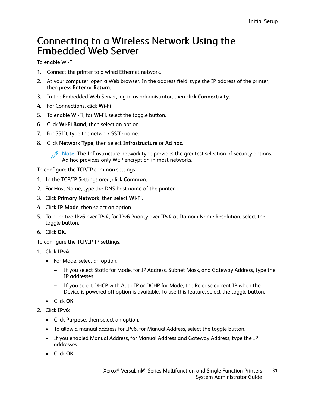### <span id="page-30-0"></span>Connecting to a Wireless Network Using the Embedded Web Server

To enable Wi-Fi:

- 1. Connect the printer to a wired Ethernet network.
- 2. At your computer, open a Web browser. In the address field, type the IP address of the printer, then press **Enter** or **Return**.
- 3. In the Embedded Web Server, log in as administrator, then click **Connectivity**.
- 4. For Connections, click **Wi-Fi**.
- 5. To enable Wi-Fi, for Wi-Fi, select the toggle button.
- 6. Click **Wi-Fi Band**, then select an option.
- 7. For SSID, type the network SSID name.
- 8. Click **Network Type**, then select **Infrastructure** or **Ad hoc**.

**Note:** The Infrastructure network type provides the greatest selection of security options. Ad hoc provides only WEP encryption in most networks.

To configure the TCP/IP common settings:

- 1. In the TCP/IP Settings area, click **Common**.
- 2. For Host Name, type the DNS host name of the printer.
- 3. Click **Primary Network**, then select **Wi-Fi**.
- 4. Click **IP Mode**, then select an option.
- 5. To prioritize IPv6 over IPv4, for IPv6 Priority over IPv4 at Domain Name Resolution, select the toggle button.
- 6. Click **OK**.
- To configure the TCP/IP IP settings:
- 1. Click **IPv4**:
	- For Mode, select an option.
		- If you select Static for Mode, for IP Address, Subnet Mask, and Gateway Address, type the IP addresses.
		- If you select DHCP with Auto IP or DCHP for Mode, the Release current IP when the Device is powered off option is available. To use this feature, select the toggle button.
	- Click **OK**.
- 2. Click **IPv6**:
	- Click **Purpose**, then select an option.
	- To allow a manual address for IPv6, for Manual Address, select the toggle button.
	- If you enabled Manual Address, for Manual Address and Gateway Address, type the IP addresses.
	- Click **OK**.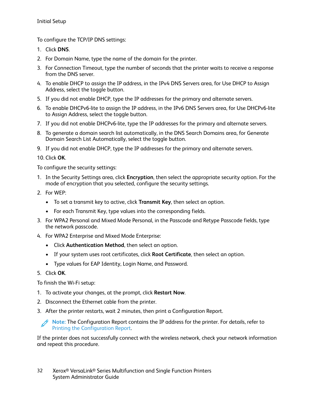To configure the TCP/IP DNS settings:

- 1. Click **DNS**.
- 2. For Domain Name, type the name of the domain for the printer.
- 3. For Connection Timeout, type the number of seconds that the printer waits to receive a response from the DNS server.
- 4. To enable DHCP to assign the IP address, in the IPv4 DNS Servers area, for Use DHCP to Assign Address, select the toggle button.
- 5. If you did not enable DHCP, type the IP addresses for the primary and alternate servers.
- 6. To enable DHCPv6-lite to assign the IP address, in the IPv6 DNS Servers area, for Use DHCPv6-lite to Assign Address, select the toggle button.
- 7. If you did not enable DHCPv6-lite, type the IP addresses for the primary and alternate servers.
- 8. To generate a domain search list automatically, in the DNS Search Domains area, for Generate Domain Search List Automatically, select the toggle button.
- 9. If you did not enable DHCP, type the IP addresses for the primary and alternate servers.

10. Click **OK**.

To configure the security settings:

- 1. In the Security Settings area, click **Encryption**, then select the appropriate security option. For the mode of encryption that you selected, configure the security settings.
- 2. For WEP:
	- To set a transmit key to active, click **Transmit Key**, then select an option.
	- For each Transmit Key, type values into the corresponding fields.
- 3. For WPA2 Personal and Mixed Mode Personal, in the Passcode and Retype Passcode fields, type the network passcode.
- 4. For WPA2 Enterprise and Mixed Mode Enterprise:
	- Click **Authentication Method**, then select an option.
	- If your system uses root certificates, click **Root Certificate**, then select an option.
	- Type values for EAP Identity, Login Name, and Password.
- 5. Click **OK**.

To finish the Wi-Fi setup:

- 1. To activate your changes, at the prompt, click **Restart Now**.
- 2. Disconnect the Ethernet cable from the printer.
- 3. After the printer restarts, wait 2 minutes, then print a Configuration Report.

**Note:** The Configuration Report contains the IP address for the printer. For details, refer to Printing the [Configuration](#page-17-1) Report.

If the printer does not successfully connect with the wireless network, check your network information and repeat this procedure.

32 Xerox® VersaLink® Series Multifunction and Single Function Printers System Administrator Guide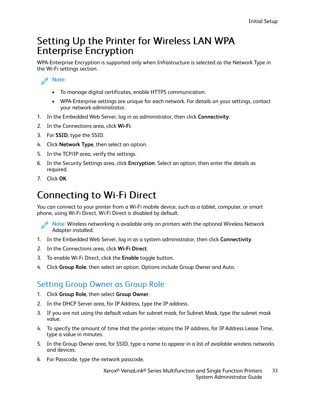#### <span id="page-32-0"></span>Setting Up the Printer for Wireless LAN WPA Enterprise Encryption

WPA-Enterprise Encryption is supported only when Infrastructure is selected as the Network Type in the Wi-Fi settings section.

#### **Note:**

- To manage digital certificates, enable HTTPS communication.
- WPA-Enterprise settings are unique for each network. For details on your settings, contact your network administrator.
- 1. In the Embedded Web Server, log in as administrator, then click **Connectivity**.
- 2. In the Connections area, click **Wi-Fi**.
- 3. For **SSID**, type the SSID.
- 4. Click **Network Type**, then select an option.
- 5. In the TCP/IP area, verify the settings.
- 6. In the Security Settings area, click **Encryption**. Select an option, then enter the details as required.
- 7. Click **OK**.

### <span id="page-32-1"></span>Connecting to Wi-Fi Direct

You can connect to your printer from a Wi-Fi mobile device, such as a tablet, computer, or smart phone, using Wi-Fi Direct. Wi-Fi Direct is disabled by default.

**Note:** Wireless networking is available only on printers with the optional Wireless Network Adapter installed.

- 1. In the Embedded Web Server, log in as a system administrator, then click **Connectivity**.
- 2. In the Connections area, click **Wi-Fi Direct**.
- 3. To enable Wi-Fi Direct, click the **Enable** toggle button.
- 4. Click **Group Role**, then select an option. Options include Group Owner and Auto.

#### Setting Group Owner as Group Role

- 1. Click **Group Role**, then select **Group Owner**.
- 2. In the DHCP Server area, for IP Address, type the IP address.
- 3. If you are not using the default values for subnet mask, for Subnet Mask, type the subnet mask value.
- 4. To specify the amount of time that the printer retains the IP address, for IP Address Lease Time, type a value in minutes.
- 5. In the Group Owner area, for SSID, type a name to appear in a list of available wireless networks and devices.
- 6. For Passcode, type the network passcode.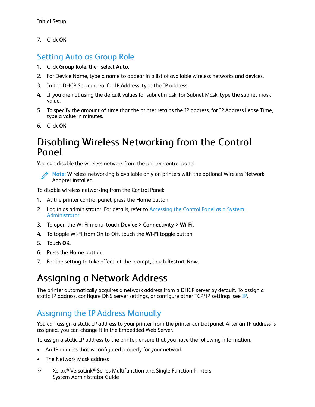7. Click **OK**.

#### Setting Auto as Group Role

- 1. Click **Group Role**, then select **Auto**.
- 2. For Device Name, type a name to appear in a list of available wireless networks and devices.
- 3. In the DHCP Server area, for IP Address, type the IP address.
- 4. If you are not using the default values for subnet mask, for Subnet Mask, type the subnet mask value.
- 5. To specify the amount of time that the printer retains the IP address, for IP Address Lease Time, type a value in minutes.
- 6. Click **OK**.

### <span id="page-33-0"></span>Disabling Wireless Networking from the Control Panel

You can disable the wireless network from the printer control panel.

**Note:** Wireless networking is available only on printers with the optional Wireless Network Adapter installed.

To disable wireless networking from the Control Panel:

- 1. At the printer control panel, press the **Home** button.
- 2. Log in as administrator. For details, refer to [Accessing](#page-19-1) the Control Panel as a System [Administrator](#page-19-1).
- 3. To open the Wi-Fi menu, touch **Device > Connectivity > Wi-Fi**.
- 4. To toggle Wi-Fi from On to Off, touch the **Wi-Fi** toggle button.
- 5. Touch **OK**.
- 6. Press the **Home** button.
- 7. For the setting to take effect, at the prompt, touch **Restart Now**.

### <span id="page-33-1"></span>Assigning a Network Address

The printer automatically acquires a network address from a DHCP server by default. To assign a static IP address, configure DNS server settings, or configure other TCP/IP settings, see [IP](#page-55-0).

#### Assigning the IP Address Manually

You can assign a static IP address to your printer from the printer control panel. After an IP address is assigned, you can change it in the Embedded Web Server.

To assign a static IP address to the printer, ensure that you have the following information:

- An IP address that is configured properly for your network
- The Network Mask address
- 34 Xerox® VersaLink® Series Multifunction and Single Function Printers System Administrator Guide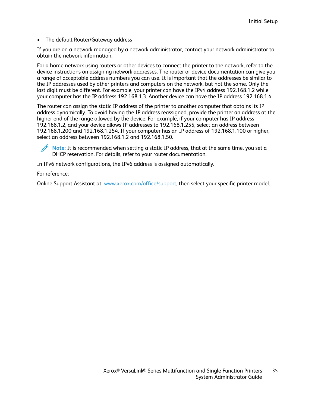• The default Router/Gateway address

If you are on a network managed by a network administrator, contact your network administrator to obtain the network information.

For a home network using routers or other devices to connect the printer to the network, refer to the device instructions on assigning network addresses. The router or device documentation can give you a range of acceptable address numbers you can use. It is important that the addresses be similar to the IP addresses used by other printers and computers on the network, but not the same. Only the last digit must be different. For example, your printer can have the IPv4 address 192.168.1.2 while your computer has the IP address 192.168.1.3. Another device can have the IP address 192.168.1.4.

The router can assign the static IP address of the printer to another computer that obtains its IP address dynamically. To avoid having the IP address reassigned, provide the printer an address at the higher end of the range allowed by the device. For example, if your computer has IP address 192.168.1.2, and your device allows IP addresses to 192.168.1.255, select an address between 192.168.1.200 and 192.168.1.254. If your computer has an IP address of 192.168.1.100 or higher, select an address between 192.168.1.2 and 192.168.1.50.

**Note:** It is recommended when setting a static IP address, that at the same time, you set a DHCP reservation. For details, refer to your router documentation.

In IPv6 network configurations, the IPv6 address is assigned automatically.

For reference:

Online Support Assistant at: [www.xerox.com/office/support,](http://www.office.xerox.com/cgi-bin/printer.pl?APP=udpdfs&Page=Color&PgName=tech&Language=English) then select your specific printer model.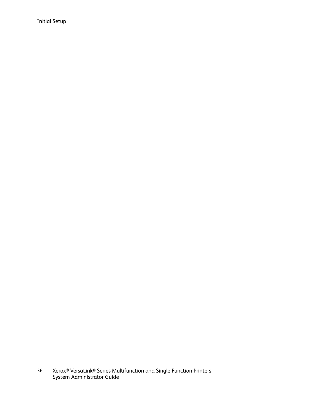[Initial](#page-14-0) Setup

36 Xerox® VersaLink® Series Multifunction and Single Function Printers System Administrator Guide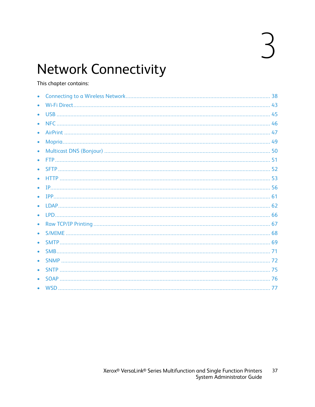# $\mathcal{E}$

# <span id="page-36-0"></span>**Network Connectivity**

This chapter contains:

| $\bullet$ |  |
|-----------|--|
| $\bullet$ |  |
| $\bullet$ |  |
| $\bullet$ |  |
| $\bullet$ |  |
| $\bullet$ |  |
| $\bullet$ |  |
| $\bullet$ |  |
| $\bullet$ |  |
|           |  |
|           |  |
| $\bullet$ |  |
| $\bullet$ |  |
| $\bullet$ |  |
| $\bullet$ |  |
| $\bullet$ |  |
| $\bullet$ |  |
|           |  |
| $\bullet$ |  |
|           |  |
|           |  |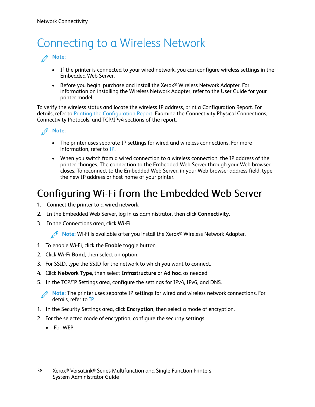# <span id="page-37-0"></span>Connecting to a Wireless Network



- If the printer is connected to your wired network, you can configure wireless settings in the Embedded Web Server.
- Before you begin, purchase and install the Xerox® Wireless Network Adapter. For information on installing the Wireless Network Adapter, refer to the User Guide for your printer model.

To verify the wireless status and locate the wireless IP address, print a Configuration Report. For details, refer to Printing the [Configuration](#page-17-0) Report. Examine the Connectivity Physical Connections, Connectivity Protocols, and TCP/IPv4 sections of the report.



- The printer uses separate IP settings for wired and wireless connections. For more information, refer to [IP.](#page-55-0)
- When you switch from a wired connection to a wireless connection, the IP address of the printer changes. The connection to the Embedded Web Server through your Web browser closes. To reconnect to the Embedded Web Server, in your Web browser address field, type the new IP address or host name of your printer.

### Configuring Wi-Fi from the Embedded Web Server

- 1. Connect the printer to a wired network.
- 2. In the Embedded Web Server, log in as administrator, then click **Connectivity**.
- 3. In the Connections area, click **Wi-Fi**.

**Note:** Wi-Fi is available after you install the Xerox<sup>®</sup> Wireless Network Adapter.

- 1. To enable Wi-Fi, click the **Enable** toggle button.
- 2. Click **Wi-Fi Band**, then select an option.
- 3. For SSID, type the SSID for the network to which you want to connect.
- 4. Click **Network Type**, then select **Infrastructure** or **Ad hoc**, as needed.
- 5. In the TCP/IP Settings area, configure the settings for IPv4, IPv6, and DNS.

**Note:** The printer uses separate IP settings for wired and wireless network connections. For details, refer to [IP.](#page-55-0)

- 1. In the Security Settings area, click **Encryption**, then select a mode of encryption.
- 2. For the selected mode of encryption, configure the security settings.
	- For WEP: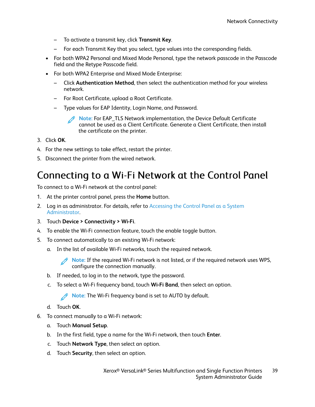- To activate a transmit key, click **Transmit Key**.
- For each Transmit Key that you select, type values into the corresponding fields.
- For both WPA2 Personal and Mixed Mode Personal, type the network passcode in the Passcode field and the Retype Passcode field.
- For both WPA2 Enterprise and Mixed Mode Enterprise:
	- Click **Authentication Method**, then select the authentication method for your wireless network.
	- For Root Certificate, upload a Root Certificate.
	- Type values for EAP Identity, Login Name, and Password.
		- **Note:** For EAP\_TLS Network implementation, the Device Default Certificate cannot be used as a Client Certificate. Generate a Client Certificate, then install the certificate on the printer.
- 3. Click **OK**.
- 4. For the new settings to take effect, restart the printer.
- 5. Disconnect the printer from the wired network.

### Connecting to a Wi-Fi Network at the Control Panel

To connect to a Wi-Fi network at the control panel:

- 1. At the printer control panel, press the **Home** button.
- 2. Log in as administrator. For details, refer to [Accessing](#page-19-0) the Control Panel as a System [Administrator](#page-19-0).
- 3. Touch **Device > Connectivity > Wi-Fi**.
- 4. To enable the Wi-Fi connection feature, touch the enable toggle button.
- 5. To connect automatically to an existing Wi-Fi network:
	- a. In the list of available Wi-Fi networks, touch the required network.
		- **Note:** If the required Wi-Fi network is not listed, or if the required network uses WPS, configure the connection manually.
	- b. If needed, to log in to the network, type the password.
	- c. To select a Wi-Fi frequency band, touch **Wi-Fi Band**, then select an option.

**Note:** The Wi-Fi frequency band is set to AUTO by default.

- d. Touch **OK**.
- 6. To connect manually to a Wi-Fi network:
	- a. Touch **Manual Setup**.
	- b. In the first field, type a name for the Wi-Fi network, then touch **Enter**.
	- c. Touch **Network Type**, then select an option.
	- d. Touch **Security**, then select an option.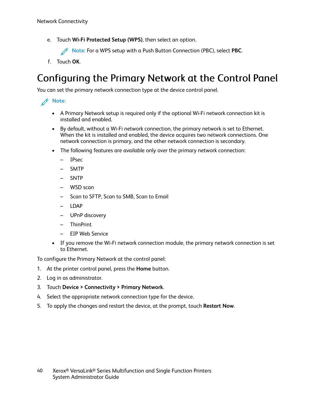e. Touch **Wi-Fi Protected Setup (WPS)**, then select an option.

**Note:** For a WPS setup with a Push Button Connection (PBC), select **PBC**.

f. Touch **OK**.

### Configuring the Primary Network at the Control Panel

You can set the primary network connection type at the device control panel.

**Note:**

- A Primary Network setup is required only if the optional Wi-Fi network connection kit is installed and enabled.
- By default, without a Wi-Fi network connection, the primary network is set to Ethernet. When the kit is installed and enabled, the device acquires two network connections. One network connection is primary, and the other network connection is secondary.
- The following features are available only over the primary network connection:
	- IPsec
	- SMTP
	- SNTP
	- WSD scan
	- Scan to SFTP, Scan to SMB, Scan to Email
	- LDAP
	- UPnP discovery
	- ThinPrint
	- EIP Web Service
- If you remove the Wi-Fi network connection module, the primary network connection is set to Ethernet.

To configure the Primary Network at the control panel:

- 1. At the printer control panel, press the **Home** button.
- 2. Log in as administrator.
- 3. Touch **Device > Connectivity > Primary Network**.
- 4. Select the appropriate network connection type for the device.
- 5. To apply the changes and restart the device, at the prompt, touch **Restart Now**.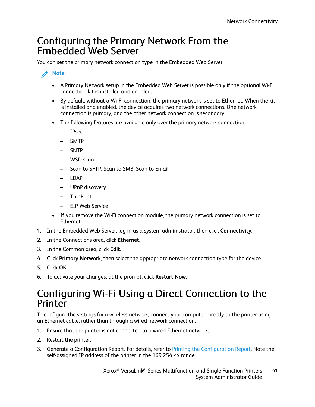### Configuring the Primary Network From the Embedded Web Server

You can set the primary network connection type in the Embedded Web Server.



- A Primary Network setup in the Embedded Web Server is possible only if the optional Wi-Fi connection kit is installed and enabled.
- By default, without a Wi-Fi connection, the primary network is set to Ethernet. When the kit is installed and enabled, the device acquires two network connections. One network connection is primary, and the other network connection is secondary.
- The following features are available only over the primary network connection:
	- IPsec
	- SMTP
	- SNTP
	- WSD scan
	- Scan to SFTP, Scan to SMB, Scan to Email
	- LDAP
	- UPnP discovery
	- ThinPrint
	- EIP Web Service
- If you remove the Wi-Fi connection module, the primary network connection is set to Ethernet.
- 1. In the Embedded Web Server, log in as a system administrator, then click **Connectivity**.
- 2. In the Connections area, click **Ethernet**.
- 3. In the Common area, click **Edit**.
- 4. Click **Primary Network**, then select the appropriate network connection type for the device.
- 5. Click **OK**.
- 6. To activate your changes, at the prompt, click **Restart Now**.

#### Configuring Wi-Fi Using a Direct Connection to the Printer

To configure the settings for a wireless network, connect your computer directly to the printer using an Ethernet cable, rather than through a wired network connection.

- 1. Ensure that the printer is not connected to a wired Ethernet network.
- 2. Restart the printer.
- 3. Generate a [Configuration](#page-17-0) Report. For details, refer to Printing the Configuration Report. Note the self-assigned IP address of the printer in the 169.254.x.x range.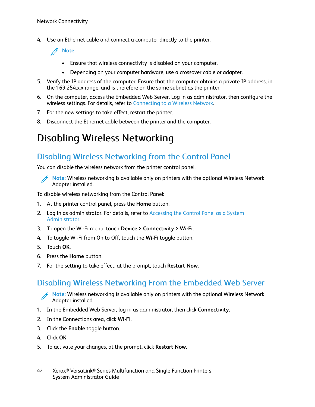4. Use an Ethernet cable and connect a computer directly to the printer.

**Note:**

- Ensure that wireless connectivity is disabled on your computer.
- Depending on your computer hardware, use a crossover cable or adapter.
- 5. Verify the IP address of the computer. Ensure that the computer obtains a private IP address, in the 169.254.x.x range, and is therefore on the same subnet as the printer.
- 6. On the computer, access the Embedded Web Server. Log in as administrator, then configure the wireless settings. For details, refer to [Connecting](#page-37-0) to a Wireless Network.
- 7. For the new settings to take effect, restart the printer.
- 8. Disconnect the Ethernet cable between the printer and the computer.

### Disabling Wireless Networking

#### Disabling Wireless Networking from the Control Panel

You can disable the wireless network from the printer control panel.

**Note:** Wireless networking is available only on printers with the optional Wireless Network Adapter installed.

To disable wireless networking from the Control Panel:

- 1. At the printer control panel, press the **Home** button.
- 2. Log in as administrator. For details, refer to [Accessing](#page-19-0) the Control Panel as a System [Administrator](#page-19-0).
- 3. To open the Wi-Fi menu, touch **Device > Connectivity > Wi-Fi**.
- 4. To toggle Wi-Fi from On to Off, touch the **Wi-Fi** toggle button.
- 5. Touch **OK**.
- 6. Press the **Home** button.
- 7. For the setting to take effect, at the prompt, touch **Restart Now**.

#### Disabling Wireless Networking From the Embedded Web Server

**Note:** Wireless networking is available only on printers with the optional Wireless Network Adapter installed.

- 1. In the Embedded Web Server, log in as administrator, then click **Connectivity**.
- 2. In the Connections area, click **Wi-Fi**.
- 3. Click the **Enable** toggle button.
- 4. Click **OK**.
- 5. To activate your changes, at the prompt, click **Restart Now**.
- 42 Xerox® VersaLink® Series Multifunction and Single Function Printers System Administrator Guide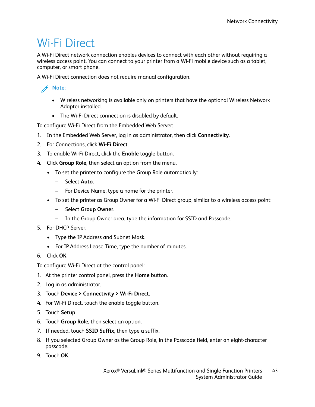# <span id="page-42-0"></span>Wi-Fi Direct

A Wi-Fi Direct network connection enables devices to connect with each other without requiring a wireless access point. You can connect to your printer from a Wi-Fi mobile device such as a tablet, computer, or smart phone.

A Wi-Fi Direct connection does not require manual configuration.



- Wireless networking is available only on printers that have the optional Wireless Network Adapter installed.
- The Wi-Fi Direct connection is disabled by default.

To configure Wi-Fi Direct from the Embedded Web Server:

- 1. In the Embedded Web Server, log in as administrator, then click **Connectivity**.
- 2. For Connections, click **Wi-Fi Direct**.
- 3. To enable Wi-Fi Direct, click the **Enable** toggle button.
- 4. Click **Group Role**, then select an option from the menu.
	- To set the printer to configure the Group Role automatically:
		- Select **Auto**.
		- For Device Name, type a name for the printer.
	- To set the printer as Group Owner for a Wi-Fi Direct group, similar to a wireless access point:
		- Select **Group Owner**.
		- In the Group Owner area, type the information for SSID and Passcode.
- 5. For DHCP Server:
	- Type the IP Address and Subnet Mask.
	- For IP Address Lease Time, type the number of minutes.
- 6. Click **OK**.
- To configure Wi-Fi Direct at the control panel:
- 1. At the printer control panel, press the **Home** button.
- 2. Log in as administrator.
- 3. Touch **Device > Connectivity > Wi-Fi Direct**.
- 4. For Wi-Fi Direct, touch the enable toggle button.
- 5. Touch **Setup**.
- 6. Touch **Group Role**, then select an option.
- 7. If needed, touch **SSID Suffix**, then type a suffix.
- 8. If you selected Group Owner as the Group Role, in the Passcode field, enter an eight-character passcode.
- 9. Touch **OK**.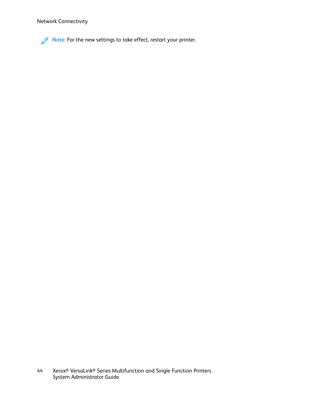Note: For the new settings to take effect, restart your printer.

44 Xerox® VersaLink® Series Multifunction and Single Function Printers System Administrator Guide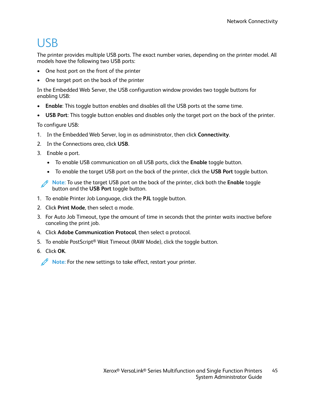# <span id="page-44-0"></span>USB

The printer provides multiple USB ports. The exact number varies, depending on the printer model. All models have the following two USB ports:

- One host port on the front of the printer
- One target port on the back of the printer

In the Embedded Web Server, the USB configuration window provides two toggle buttons for enabling USB:

- **Enable**: This toggle button enables and disables all the USB ports at the same time.
- **USB Port**: This toggle button enables and disables only the target port on the back of the printer.

To configure USB:

- 1. In the Embedded Web Server, log in as administrator, then click **Connectivity**.
- 2. In the Connections area, click **USB**.
- 3. Enable a port.
	- To enable USB communication on all USB ports, click the **Enable** toggle button.
	- To enable the target USB port on the back of the printer, click the **USB Port** toggle button.

**Note:** To use the target USB port on the back of the printer, click both the Enable toggle button and the **USB Port** toggle button.

- 1. To enable Printer Job Language, click the **PJL** toggle button.
- 2. Click **Print Mode**, then select a mode.
- 3. For Auto Job Timeout, type the amount of time in seconds that the printer waits inactive before canceling the print job.
- 4. Click **Adobe Communication Protocol**, then select a protocol.
- 5. To enable PostScript® Wait Timeout (RAW Mode), click the toggle button.
- 6. Click **OK**.

**Note:** For the new settings to take effect, restart your printer.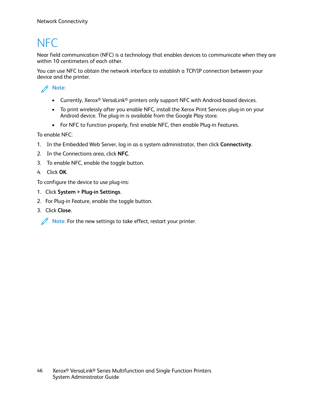# <span id="page-45-0"></span>NFC

Near field communication (NFC) is a technology that enables devices to communicate when they are within 10 centimeters of each other.

You can use NFC to obtain the network interface to establish a TCP/IP connection between your device and the printer.



- Currently, Xerox® VersaLink® printers only support NFC with Android-based devices.
- To print wirelessly after you enable NFC, install the Xerox Print Services plug-in on your Android device. The plug-in is available from the Google Play store.
- For NFC to function properly, first enable NFC, then enable Plug-in Features.

To enable NFC:

- 1. In the Embedded Web Server, log in as a system administrator, then click **Connectivity**.
- 2. In the Connections area, click **NFC**.
- 3. To enable NFC, enable the toggle button.
- 4. Click **OK**.

To configure the device to use plug-ins:

- 1. Click **System > Plug-in Settings**.
- 2. For Plug-in Feature, enable the toggle button.
- 3. Click **Close**.
	- Note: For the new settings to take effect, restart your printer.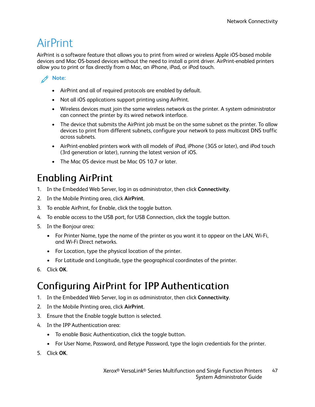# <span id="page-46-0"></span>AirPrint

AirPrint is a software feature that allows you to print from wired or wireless Apple iOS-based mobile devices and Mac OS-based devices without the need to install a print driver. AirPrint-enabled printers allow you to print or fax directly from a Mac, an iPhone, iPad, or iPod touch.



- AirPrint and all of required protocols are enabled by default.
- Not all iOS applications support printing using AirPrint.
- Wireless devices must join the same wireless network as the printer. A system administrator can connect the printer by its wired network interface.
- The device that submits the AirPrint job must be on the same subnet as the printer. To allow devices to print from different subnets, configure your network to pass multicast DNS traffic across subnets.
- AirPrint-enabled printers work with all models of iPad, iPhone (3GS or later), and iPod touch (3rd generation or later), running the latest version of iOS.
- The Mac OS device must be Mac OS 10.7 or later.

## Enabling AirPrint

- 1. In the Embedded Web Server, log in as administrator, then click **Connectivity**.
- 2. In the Mobile Printing area, click **AirPrint**.
- 3. To enable AirPrint, for Enable, click the toggle button.
- 4. To enable access to the USB port, for USB Connection, click the toggle button.
- 5. In the Bonjour area:
	- For Printer Name, type the name of the printer as you want it to appear on the LAN, Wi-Fi, and Wi-Fi Direct networks.
	- For Location, type the physical location of the printer.
	- For Latitude and Longitude, type the geographical coordinates of the printer.
- 6. Click **OK**.

### Configuring AirPrint for IPP Authentication

- 1. In the Embedded Web Server, log in as administrator, then click **Connectivity**.
- 2. In the Mobile Printing area, click **AirPrint**.
- 3. Ensure that the Enable toggle button is selected.
- 4. In the IPP Authentication area:
	- To enable Basic Authentication, click the toggle button.
	- For User Name, Password, and Retype Password, type the login credentials for the printer.
- 5. Click **OK**.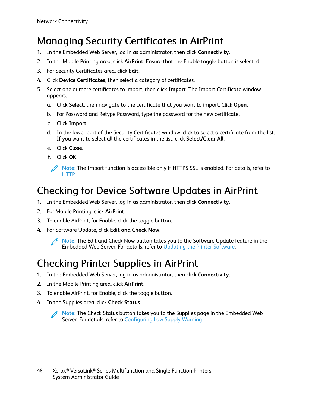### Managing Security Certificates in AirPrint

- 1. In the Embedded Web Server, log in as administrator, then click **Connectivity**.
- 2. In the Mobile Printing area, click **AirPrint**. Ensure that the Enable toggle button is selected.
- 3. For Security Certificates area, click **Edit**.
- 4. Click **Device Certificates**, then select a category of certificates.
- 5. Select one or more certificates to import, then click **Import**. The Import Certificate window appears.
	- a. Click **Select**, then navigate to the certificate that you want to import. Click **Open**.
	- b. For Password and Retype Password, type the password for the new certificate.
	- c. Click **Import**.
	- d. In the lower part of the Security Certificates window, click to select a certificate from the list. If you want to select all the certificates in the list, click **Select/Clear All**.
	- e. Click **Close**.
	- f. Click **OK**.

### Checking for Device Software Updates in AirPrint

- 1. In the Embedded Web Server, log in as administrator, then click **Connectivity**.
- 2. For Mobile Printing, click **AirPrint**.
- 3. To enable AirPrint, for Enable, click the toggle button.
- 4. For Software Update, click **Edit and Check Now**.

**Note:** The Edit and Check Now button takes you to the Software Update feature in the Embedded Web Server. For details, refer to [Updating](#page-195-0) the Printer Software.

### Checking Printer Supplies in AirPrint

- 1. In the Embedded Web Server, log in as administrator, then click **Connectivity**.
- 2. In the Mobile Printing area, click **AirPrint**.
- 3. To enable AirPrint, for Enable, click the toggle button.
- 4. In the Supplies area, click **Check Status**.



**Note:** The Check Status button takes you to the Supplies page in the Embedded Web Server. For details, refer to [Configuring](#page-181-0) Low Supply Warning

**Note:** The Import function is accessible only if HTTPS SSL is enabled. For details, refer to [HTTP.](#page-52-0)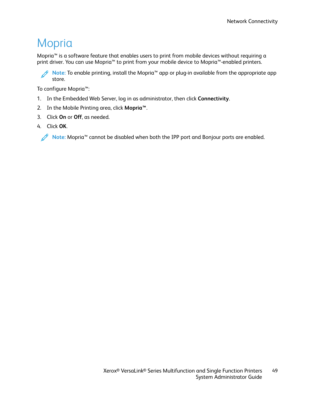# <span id="page-48-0"></span>Mopria

Mopria<sup>™</sup> is a software feature that enables users to print from mobile devices without requiring a print driver. You can use Mopria™ to print from your mobile device to Mopria™-enabled printers.

**Note:** To enable printing, install the Mopria™ app or plug-in available from the appropriate app store.

To configure Mopria™:

- 1. In the Embedded Web Server, log in as administrator, then click **Connectivity**.
- 2. In the Mobile Printing area, click **Mopria™**.
- 3. Click **On** or **Off**, as needed.
- 4. Click **OK**.

**Note:** Mopria™ cannot be disabled when both the IPP port and Bonjour ports are enabled.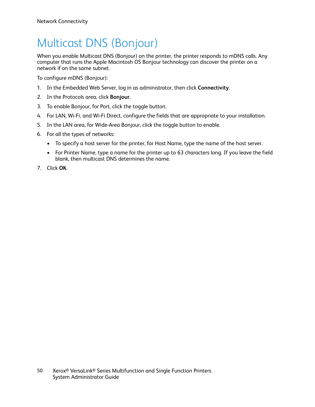# <span id="page-49-0"></span>Multicast DNS (Bonjour)

When you enable Multicast DNS (Bonjour) on the printer, the printer responds to mDNS calls. Any computer that runs the Apple Macintosh OS Bonjour technology can discover the printer on a network if on the same subnet.

To configure mDNS (Bonjour):

- 1. In the Embedded Web Server, log in as administrator, then click **Connectivity**.
- 2. In the Protocols area, click **Bonjour**.
- 3. To enable Bonjour, for Port, click the toggle button.
- 4. For LAN, Wi-Fi, and Wi-Fi Direct, configure the fields that are appropriate to your installation.
- 5. In the LAN area, for Wide-Area Bonjour, click the toggle button to enable.
- 6. For all the types of networks:
	- To specify a host server for the printer, for Host Name, type the name of the host server.
	- For Printer Name, type a name for the printer up to 63 characters long. If you leave the field blank, then multicast DNS determines the name.
- 7. Click **OK**.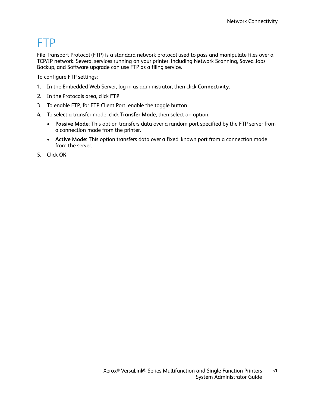# <span id="page-50-0"></span>FTP

File Transport Protocol (FTP) is a standard network protocol used to pass and manipulate files over a TCP/IP network. Several services running on your printer, including Network Scanning, Saved Jobs Backup, and Software upgrade can use FTP as a filing service.

To configure FTP settings:

- 1. In the Embedded Web Server, log in as administrator, then click **Connectivity**.
- 2. In the Protocols area, click **FTP**.
- 3. To enable FTP, for FTP Client Port, enable the toggle button.
- 4. To select a transfer mode, click **Transfer Mode**, then select an option.
	- **Passive Mode**: This option transfers data over a random port specified by the FTP server from a connection made from the printer.
	- **Active Mode**: This option transfers data over a fixed, known port from a connection made from the server.
- 5. Click **OK**.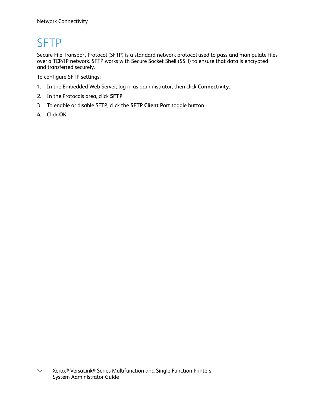# <span id="page-51-0"></span>SFTP

Secure File Transport Protocol (SFTP) is a standard network protocol used to pass and manipulate files over a TCP/IP network. SFTP works with Secure Socket Shell (SSH) to ensure that data is encrypted and transferred securely.

To configure SFTP settings:

- 1. In the Embedded Web Server, log in as administrator, then click **Connectivity**.
- 2. In the Protocols area, click **SFTP**.
- 3. To enable or disable SFTP, click the **SFTP Client Port** toggle button.
- 4. Click **OK**.

52 Xerox® VersaLink® Series Multifunction and Single Function Printers System Administrator Guide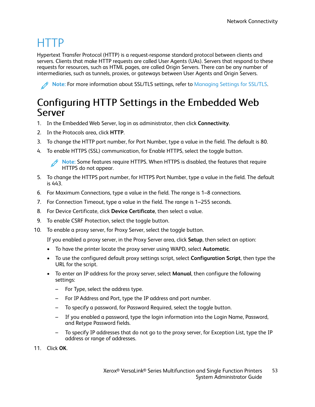# <span id="page-52-0"></span>**HTTP**

Hypertext Transfer Protocol (HTTP) is a request-response standard protocol between clients and servers. Clients that make HTTP requests are called User Agents (UAs). Servers that respond to these requests for resources, such as HTML pages, are called Origin Servers. There can be any number of intermediaries, such as tunnels, proxies, or gateways between User Agents and Origin Servers.

**Note:** For more information about SSL/TLS settings, refer to [Managing](#page-107-0) Settings for SSL/TLS.

### Configuring HTTP Settings in the Embedded Web Server

- 1. In the Embedded Web Server, log in as administrator, then click **Connectivity**.
- 2. In the Protocols area, click **HTTP**.
- 3. To change the HTTP port number, for Port Number, type a value in the field. The default is 80.
- 4. To enable HTTPS (SSL) communication, for Enable HTTPS, select the toggle button.

**Note:** Some features require HTTPS. When HTTPS is disabled, the features that require HTTPS do not appear.

- 5. To change the HTTPS port number, for HTTPS Port Number, type a value in the field. The default is 443.
- 6. For Maximum Connections, type a value in the field. The range is 1–8 connections.
- 7. For Connection Timeout, type a value in the field. The range is 1–255 seconds.
- 8. For Device Certificate, click **Device Certificate**, then select a value.
- 9. To enable CSRF Protection, select the toggle button.
- 10. To enable a proxy server, for Proxy Server, select the toggle button.

If you enabled a proxy server, in the Proxy Server area, click **Setup**, then select an option:

- To have the printer locate the proxy server using WAPD, select **Automatic**.
- To use the configured default proxy settings script, select **Configuration Script**, then type the URL for the script.
- To enter an IP address for the proxy server, select **Manual**, then configure the following settings:
	- For Type, select the address type.
	- For IP Address and Port, type the IP address and port number.
	- To specify a password, for Password Required, select the toggle button.
	- If you enabled a password, type the login information into the Login Name, Password, and Retype Password fields.
	- To specify IP addresses that do not go to the proxy server, for Exception List, type the IP address or range of addresses.

11. Click **OK**.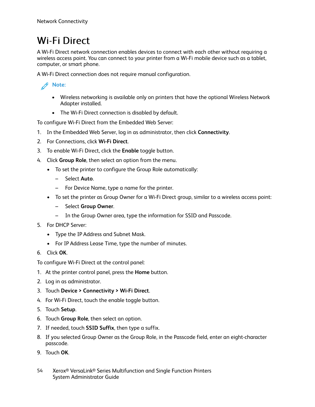### Wi-Fi Direct

A Wi-Fi Direct network connection enables devices to connect with each other without requiring a wireless access point. You can connect to your printer from a Wi-Fi mobile device such as a tablet, computer, or smart phone.

A Wi-Fi Direct connection does not require manual configuration.



- Wireless networking is available only on printers that have the optional Wireless Network Adapter installed.
- The Wi-Fi Direct connection is disabled by default.

To configure Wi-Fi Direct from the Embedded Web Server:

- 1. In the Embedded Web Server, log in as administrator, then click **Connectivity**.
- 2. For Connections, click **Wi-Fi Direct**.
- 3. To enable Wi-Fi Direct, click the **Enable** toggle button.
- 4. Click **Group Role**, then select an option from the menu.
	- To set the printer to configure the Group Role automatically:
		- Select **Auto**.
		- For Device Name, type a name for the printer.
	- To set the printer as Group Owner for a Wi-Fi Direct group, similar to a wireless access point:
		- Select **Group Owner**.
		- In the Group Owner area, type the information for SSID and Passcode.
- 5. For DHCP Server:
	- Type the IP Address and Subnet Mask.
	- For IP Address Lease Time, type the number of minutes.
- 6. Click **OK**.
- To configure Wi-Fi Direct at the control panel:
- 1. At the printer control panel, press the **Home** button.
- 2. Log in as administrator.
- 3. Touch **Device > Connectivity > Wi-Fi Direct**.
- 4. For Wi-Fi Direct, touch the enable toggle button.
- 5. Touch **Setup**.
- 6. Touch **Group Role**, then select an option.
- 7. If needed, touch **SSID Suffix**, then type a suffix.
- 8. If you selected Group Owner as the Group Role, in the Passcode field, enter an eight-character passcode.
- 9. Touch **OK**.
- 54 Xerox® VersaLink® Series Multifunction and Single Function Printers System Administrator Guide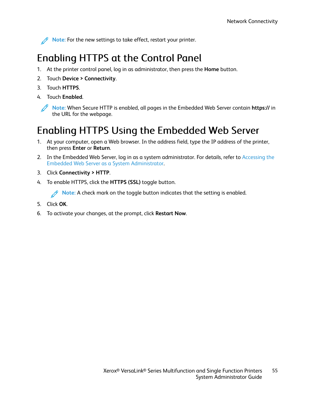**Note:** For the new settings to take effect, restart your printer.

### Enabling HTTPS at the Control Panel

- 1. At the printer control panel, log in as administrator, then press the **Home** button.
- 2. Touch **Device > Connectivity**.
- 3. Touch **HTTPS**.
- 4. Touch **Enabled**.

**Note:** When Secure HTTP is enabled, all pages in the Embedded Web Server contain **https://** in the URL for the webpage.

### Enabling HTTPS Using the Embedded Web Server

- 1. At your computer, open a Web browser. In the address field, type the IP address of the printer, then press **Enter** or **Return**.
- 2. In the Embedded Web Server, log in as a system administrator. For details, refer to [Accessing](#page-19-1) the Embedded Web Server as a System [Administrator](#page-19-1).
- 3. Click **Connectivity > HTTP**.
- 4. To enable HTTPS, click the **HTTPS (SSL)** toggle button.

**Note:** A check mark on the toggle button indicates that the setting is enabled.

- 5. Click **OK**.
- 6. To activate your changes, at the prompt, click **Restart Now**.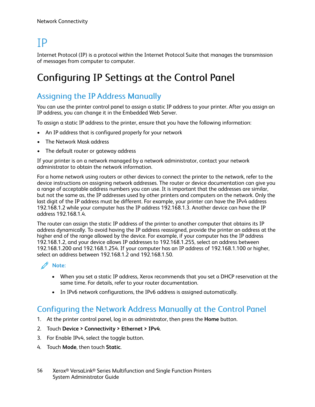# <span id="page-55-0"></span>IP

Internet Protocol (IP) is a protocol within the Internet Protocol Suite that manages the transmission of messages from computer to computer.

### Configuring IP Settings at the Control Panel

#### Assigning the IP Address Manually

You can use the printer control panel to assign a static IP address to your printer. After you assign an IP address, you can change it in the Embedded Web Server.

To assign a static IP address to the printer, ensure that you have the following information:

- An IP address that is configured properly for your network
- The Network Mask address
- The default router or gateway address

If your printer is on a network managed by a network administrator, contact your network administrator to obtain the network information.

For a home network using routers or other devices to connect the printer to the network, refer to the device instructions on assigning network addresses. The router or device documentation can give you a range of acceptable address numbers you can use. It is important that the addresses are similar, but not the same as, the IP addresses used by other printers and computers on the network. Only the last digit of the IP address must be different. For example, your printer can have the IPv4 address 192.168.1.2 while your computer has the IP address 192.168.1.3. Another device can have the IP address 192.168.1.4.

The router can assign the static IP address of the printer to another computer that obtains its IP address dynamically. To avoid having the IP address reassigned, provide the printer an address at the higher end of the range allowed by the device. For example, if your computer has the IP address 192.168.1.2, and your device allows IP addresses to 192.168.1.255, select an address between 192.168.1.200 and 192.168.1.254. If your computer has an IP address of 192.168.1.100 or higher, select an address between 192.168.1.2 and 192.168.1.50.



- When you set a static IP address, Xerox recommends that you set a DHCP reservation at the same time. For details, refer to your router documentation.
- In IPv6 network configurations, the IPv6 address is assigned automatically.

#### Configuring the Network Address Manually at the Control Panel

- 1. At the printer control panel, log in as administrator, then press the **Home** button.
- 2. Touch **Device > Connectivity > Ethernet > IPv4**.
- 3. For Enable IPv4, select the toggle button.
- 4. Touch **Mode**, then touch **Static**.
- 56 Xerox® VersaLink® Series Multifunction and Single Function Printers System Administrator Guide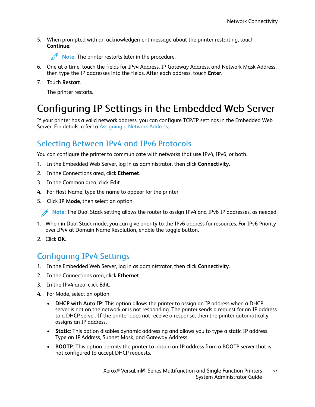5. When prompted with an acknowledgement message about the printer restarting, touch **Continue**.

**Note:** The printer restarts later in the procedure.

- 6. One at a time, touch the fields for IPv4 Address, IP Gateway Address, and Network Mask Address, then type the IP addresses into the fields. After each address, touch **Enter**.
- 7. Touch **Restart**.

The printer restarts.

### Configuring IP Settings in the Embedded Web Server

If your printer has a valid network address, you can configure TCP/IP settings in the Embedded Web Server. For details, refer to [Assigning](#page-33-0) a Network Address.

#### Selecting Between IPv4 and IPv6 Protocols

You can configure the printer to communicate with networks that use IPv4, IPv6, or both.

- 1. In the Embedded Web Server, log in as administrator, then click **Connectivity**.
- 2. In the Connections area, click **Ethernet**.
- 3. In the Common area, click **Edit**.
- 4. For Host Name, type the name to appear for the printer.
- 5. Click **IP Mode**, then select an option.

**Note:** The Dual Stack setting allows the router to assign IPv4 and IPv6 IP addresses, as needed.

- 1. When in Dual Stack mode, you can give priority to the IPv6 address for resources. For IPv6 Priority over IPv4 at Domain Name Resolution, enable the toggle button.
- 2. Click **OK**.

#### Configuring IPv4 Settings

- 1. In the Embedded Web Server, log in as administrator, then click **Connectivity**.
- 2. In the Connections area, click **Ethernet**.
- 3. In the IPv4 area, click **Edit**.
- 4. For Mode, select an option:
	- **DHCP with Auto IP**: This option allows the printer to assign an IP address when a DHCP server is not on the network or is not responding. The printer sends a request for an IP address to a DHCP server. If the printer does not receive a response, then the printer automatically assigns an IP address.
	- **Static**: This option disables dynamic addressing and allows you to type a static IP address. Type an IP Address, Subnet Mask, and Gateway Address.
	- **BOOTP**: This option permits the printer to obtain an IP address from a BOOTP server that is not configured to accept DHCP requests.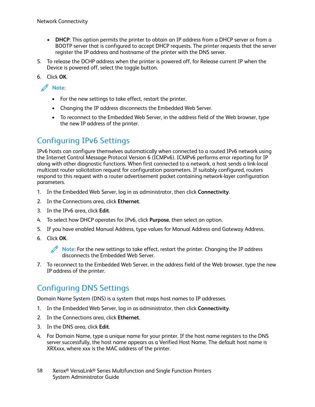- **DHCP**: This option permits the printer to obtain an IP address from a DHCP server or from a BOOTP server that is configured to accept DHCP requests. The printer requests that the server register the IP address and hostname of the printer with the DNS server.
- 5. To release the DCHP address when the printer is powered off, for Release current IP when the Device is powered off, select the toggle button.
- 6. Click **OK**.

**Note:**

- For the new settings to take effect, restart the printer.
- Changing the IP address disconnects the Embedded Web Server.
- To reconnect to the Embedded Web Server, in the address field of the Web browser, type the new IP address of the printer.

#### Configuring IPv6 Settings

IPv6 hosts can configure themselves automatically when connected to a routed IPv6 network using the Internet Control Message Protocol Version 6 (ICMPv6). ICMPv6 performs error reporting for IP along with other diagnostic functions. When first connected to a network, a host sends a link-local multicast router solicitation request for configuration parameters. If suitably configured, routers respond to this request with a router advertisement packet containing network-layer configuration parameters.

- 1. In the Embedded Web Server, log in as administrator, then click **Connectivity**.
- 2. In the Connections area, click **Ethernet**.
- 3. In the IPv6 area, click **Edit**.
- 4. To select how DHCP operates for IPv6, click **Purpose**, then select an option.
- 5. If you have enabled Manual Address, type values for Manual Address and Gateway Address.
- 6. Click **OK**.

**Note:** For the new settings to take effect, restart the printer. Changing the IP address disconnects the Embedded Web Server.

7. To reconnect to the Embedded Web Server, in the address field of the Web browser, type the new IP address of the printer.

#### Configuring DNS Settings

Domain Name System (DNS) is a system that maps host names to IP addresses.

- 1. In the Embedded Web Server, log in as administrator, then click **Connectivity**.
- 2. In the Connections area, click **Ethernet**.
- 3. In the DNS area, click **Edit**.
- 4. For Domain Name, type a unique name for your printer. If the host name registers to the DNS server successfully, the host name appears as a Verified Host Name. The default host name is XRXxxx, where xxx is the MAC address of the printer.
- 58 Xerox® VersaLink® Series Multifunction and Single Function Printers System Administrator Guide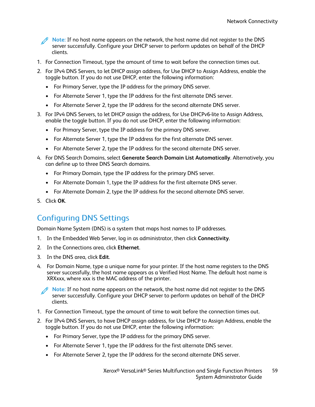**Note:** If no host name appears on the network, the host name did not register to the DNS server successfully. Configure your DHCP server to perform updates on behalf of the DHCP clients.

- 1. For Connection Timeout, type the amount of time to wait before the connection times out.
- 2. For IPv4 DNS Servers, to let DHCP assign address, for Use DHCP to Assign Address, enable the toggle button. If you do not use DHCP, enter the following information:
	- For Primary Server, type the IP address for the primary DNS server.
	- For Alternate Server 1, type the IP address for the first alternate DNS server.
	- For Alternate Server 2, type the IP address for the second alternate DNS server.
- 3. For IPv4 DNS Servers, to let DHCP assign the address, for Use DHCPv6-lite to Assign Address, enable the toggle button. If you do not use DHCP, enter the following information:
	- For Primary Server, type the IP address for the primary DNS server.
	- For Alternate Server 1, type the IP address for the first alternate DNS server.
	- For Alternate Server 2, type the IP address for the second alternate DNS server.
- 4. For DNS Search Domains, select **Generate Search Domain List Automatically**. Alternatively, you can define up to three DNS Search domains.
	- For Primary Domain, type the IP address for the primary DNS server.
	- For Alternate Domain 1, type the IP address for the first alternate DNS server.
	- For Alternate Domain 2, type the IP address for the second alternate DNS server.
- 5. Click **OK**.

#### Configuring DNS Settings

Domain Name System (DNS) is a system that maps host names to IP addresses.

- 1. In the Embedded Web Server, log in as administrator, then click **Connectivity**.
- 2. In the Connections area, click **Ethernet**.
- 3. In the DNS area, click **Edit**.
- 4. For Domain Name, type a unique name for your printer. If the host name registers to the DNS server successfully, the host name appears as a Verified Host Name. The default host name is XRXxxx, where xxx is the MAC address of the printer.

**Note:** If no host name appears on the network, the host name did not register to the DNS server successfully. Configure your DHCP server to perform updates on behalf of the DHCP clients.

- 1. For Connection Timeout, type the amount of time to wait before the connection times out.
- 2. For IPv4 DNS Servers, to have DHCP assign address, for Use DHCP to Assign Address, enable the toggle button. If you do not use DHCP, enter the following information:
	- For Primary Server, type the IP address for the primary DNS server.
	- For Alternate Server 1, type the IP address for the first alternate DNS server.
	- For Alternate Server 2, type the IP address for the second alternate DNS server.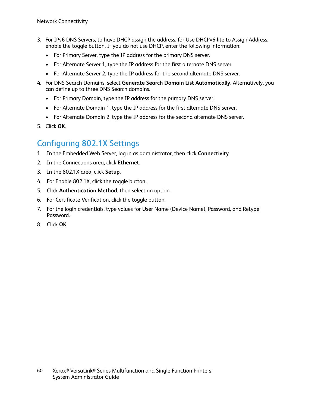- 3. For IPv6 DNS Servers, to have DHCP assign the address, for Use DHCPv6-lite to Assign Address, enable the toggle button. If you do not use DHCP, enter the following information:
	- For Primary Server, type the IP address for the primary DNS server.
	- For Alternate Server 1, type the IP address for the first alternate DNS server.
	- For Alternate Server 2, type the IP address for the second alternate DNS server.
- 4. For DNS Search Domains, select **Generate Search Domain List Automatically**. Alternatively, you can define up to three DNS Search domains.
	- For Primary Domain, type the IP address for the primary DNS server.
	- For Alternate Domain 1, type the IP address for the first alternate DNS server.
	- For Alternate Domain 2, type the IP address for the second alternate DNS server.
- 5. Click **OK**.

#### Configuring 802.1X Settings

- 1. In the Embedded Web Server, log in as administrator, then click **Connectivity**.
- 2. In the Connections area, click **Ethernet**.
- 3. In the 802.1X area, click **Setup**.
- 4. For Enable 802.1X, click the toggle button.
- 5. Click **Authentication Method**, then select an option.
- 6. For Certificate Verification, click the toggle button.
- 7. For the login credentials, type values for User Name (Device Name), Password, and Retype Password.
- 8. Click **OK**.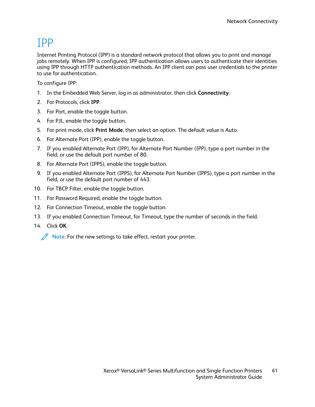# <span id="page-60-0"></span>IPP

Internet Printing Protocol (IPP) is a standard network protocol that allows you to print and manage jobs remotely. When IPP is configured, IPP authentication allows users to authenticate their identities using IPP through HTTP authentication methods. An IPP client can pass user credentials to the printer to use for authentication.

To configure IPP:

- 1. In the Embedded Web Server, log in as administrator, then click **Connectivity**.
- 2. For Protocols, click **IPP**.
- 3. For Port, enable the toggle button.
- 4. For PJL, enable the toggle button.
- 5. For print mode, click **Print Mode**, then select an option. The default value is Auto.
- 6. For Alternate Port (IPP), enable the toggle button.
- 7. If you enabled Alternate Port (IPP), for Alternate Port Number (IPP), type a port number in the field, or use the default port number of 80.
- 8. For Alternate Port (IPPS), enable the toggle button.
- 9. If you enabled Alternate Port (IPPS), for Alternate Port Number (IPPS), type a port number in the field, or use the default port number of 443.
- 10. For TBCP Filter, enable the toggle button.
- 11. For Password Required, enable the toggle button.
- 12. For Connection Timeout, enable the toggle button.
- 13. If you enabled Connection Timeout, for Timeout, type the number of seconds in the field.
- 14. Click **OK**.

Note: For the new settings to take effect, restart your printer.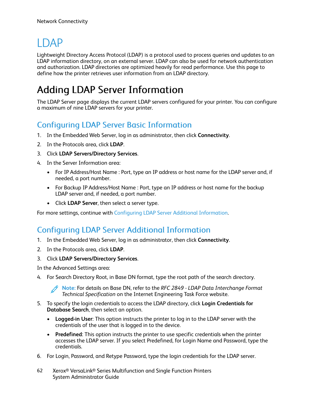# <span id="page-61-0"></span>LDAP

Lightweight Directory Access Protocol (LDAP) is a protocol used to process queries and updates to an LDAP information directory, on an external server. LDAP can also be used for network authentication and authorization. LDAP directories are optimized heavily for read performance. Use this page to define how the printer retrieves user information from an LDAP directory.

### <span id="page-61-2"></span>Adding LDAP Server Information

The LDAP Server page displays the current LDAP servers configured for your printer. You can configure a maximum of nine LDAP servers for your printer.

#### Configuring LDAP Server Basic Information

- 1. In the Embedded Web Server, log in as administrator, then click **Connectivity**.
- 2. In the Protocols area, click **LDAP**.
- 3. Click **LDAP Servers/Directory Services**.
- 4. In the Server Information area:
	- For IP Address/Host Name: Port, type an IP address or host name for the LDAP server and, if needed, a port number.
	- For Backup IP Address/Host Name : Port, type an IP address or host name for the backup LDAP server and, if needed, a port number.
	- Click **LDAP Server**, then select a server type.

For more settings, continue with Configuring LDAP Server Additional [Information.](#page-61-1)

#### <span id="page-61-1"></span>Configuring LDAP Server Additional Information

- 1. In the Embedded Web Server, log in as administrator, then click **Connectivity**.
- 2. In the Protocols area, click **LDAP**.
- 3. Click **LDAP Servers/Directory Services**.

In the Advanced Settings area:

4. For Search Directory Root, in Base DN format, type the root path of the search directory.

**Note:** For details on Base DN, refer to the *RFC 2849 - LDAP Data Interchange Format Technical Specification* on the Internet Engineering Task Force website.

- 5. To specify the login credentials to access the LDAP directory, click **Login Credentials for Database Search**, then select an option.
	- **Logged-in User**: This option instructs the printer to log in to the LDAP server with the credentials of the user that is logged in to the device.
	- **Predefined**: This option instructs the printer to use specific credentials when the printer accesses the LDAP server. If you select Predefined, for Login Name and Password, type the credentials.
- 6. For Login, Password, and Retype Password, type the login credentials for the LDAP server.
- 62 Xerox® VersaLink® Series Multifunction and Single Function Printers System Administrator Guide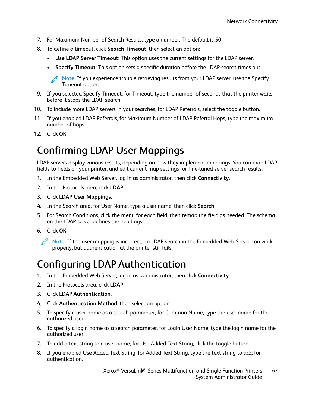- 7. For Maximum Number of Search Results, type a number. The default is 50.
- 8. To define a timeout, click **Search Timeout**, then select an option:
	- **Use LDAP Server Timeout**: This option uses the current settings for the LDAP server.
	- **Specify Timeout**: This option sets a specific duration before the LDAP search times out.

**Note:** If you experience trouble retrieving results from your LDAP server, use the Specify Timeout option.

- 9. If you selected Specify Timeout, for Timeout, type the number of seconds that the printer waits before it stops the LDAP search.
- 10. To include more LDAP servers in your searches, for LDAP Referrals, select the toggle button.
- 11. If you enabled LDAP Referrals, for Maximum Number of LDAP Referral Hops, type the maximum number of hops.
- 12. Click **OK**.

### Confirming LDAP User Mappings

LDAP servers display various results, depending on how they implement mappings. You can map LDAP fields to fields on your printer, and edit current map settings for fine-tuned server search results.

- 1. In the Embedded Web Server, log in as administrator, then click **Connectivity**.
- 2. In the Protocols area, click **LDAP**.
- 3. Click **LDAP User Mappings**.
- 4. In the Search area, for User Name, type a user name, then click **Search**.
- 5. For Search Conditions, click the menu for each field, then remap the field as needed. The schema on the LDAP server defines the headings.
- 6. Click **OK**.

**Note:** If the user mapping is incorrect, an LDAP search in the Embedded Web Server can work properly, but authentication at the printer still fails.

### Configuring LDAP Authentication

- 1. In the Embedded Web Server, log in as administrator, then click **Connectivity**.
- 2. In the Protocols area, click **LDAP**.
- 3. Click **LDAP Authentication**.
- 4. Click **Authentication Method**, then select an option.
- 5. To specify a user name as a search parameter, for Common Name, type the user name for the authorized user.
- 6. To specify a login name as a search parameter, for Login User Name, type the login name for the authorized user.
- 7. To add a text string to a user name, for Use Added Text String, click the toggle button.
- 8. If you enabled Use Added Text String, for Added Text String, type the text string to add for authentication.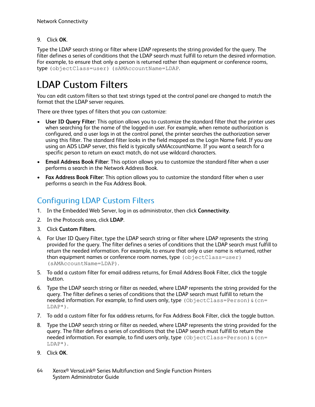#### 9. Click **OK**.

Type the LDAP search string or filter where LDAP represents the string provided for the query. The filter defines a series of conditions that the LDAP search must fulfill to return the desired information. For example, to ensure that only a person is returned rather than equipment or conference rooms, type (objectClass=user) (sAMAccountName=LDAP.

### LDAP Custom Filters

You can edit custom filters so that text strings typed at the control panel are changed to match the format that the LDAP server requires.

There are three types of filters that you can customize:

- **User ID Query Filter**: This option allows you to customize the standard filter that the printer uses when searching for the name of the logged-in user. For example, when remote authorization is configured, and a user logs in at the control panel, the printer searches the authorization server using this filter. The standard filter looks in the field mapped as the Login Name field. If you are using an ADS LDAP server, this field is typically sAMAccountName. If you want a search for a specific person to return an exact match, do not use wildcard characters.
- **Email Address Book Filter**: This option allows you to customize the standard filter when a user performs a search in the Network Address Book.
- **Fax Address Book Filter**: This option allows you to customize the standard filter when a user performs a search in the Fax Address Book.

#### Configuring LDAP Custom Filters

- 1. In the Embedded Web Server, log in as administrator, then click **Connectivity**.
- 2. In the Protocols area, click **LDAP**.
- 3. Click **Custom Filters**.
- 4. For User ID Query Filter, type the LDAP search string or filter where LDAP represents the string provided for the query. The filter defines a series of conditions that the LDAP search must fulfill to return the needed information. For example, to ensure that only a user name is returned, rather than equipment names or conference room names, type (objectClass=user) (sAMAccountName=LDAP).
- 5. To add a custom filter for email address returns, for Email Address Book Filter, click the toggle button.
- 6. Type the LDAP search string or filter as needed, where LDAP represents the string provided for the query. The filter defines a series of conditions that the LDAP search must fulfill to return the needed information. For example, to find users only, type  $(ObjectClass=Person)$  &  $(cn=$ LDAP\*).
- 7. To add a custom filter for fax address returns, for Fax Address Book Filter, click the toggle button.
- 8. Type the LDAP search string or filter as needed, where LDAP represents the string provided for the query. The filter defines a series of conditions that the LDAP search must fulfill to return the needed information. For example, to find users only, type (ObjectClass=Person)  $\&$  (cn= LDAP\*).
- 9. Click **OK**.
- 64 Xerox® VersaLink® Series Multifunction and Single Function Printers System Administrator Guide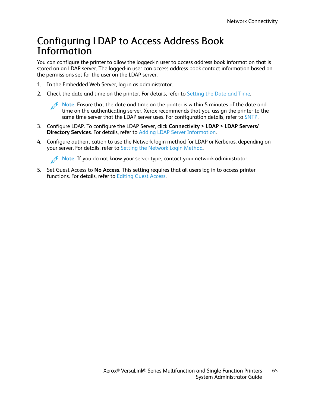### Configuring LDAP to Access Address Book Information

You can configure the printer to allow the logged-in user to access address book information that is stored on an LDAP server. The logged-in user can access address book contact information based on the permissions set for the user on the LDAP server.

- 1. In the Embedded Web Server, log in as administrator.
- 2. Check the date and time on the printer. For details, refer to [Setting](#page-25-0) the Date and Time.

**Note:** Ensure that the date and time on the printer is within 5 minutes of the date and time on the authenticating server. Xerox recommends that you assign the printer to the same time server that the LDAP server uses. For configuration details, refer to [SNTP.](#page-74-0)

- 3. Configure LDAP. To configure the LDAP Server, click **Connectivity > LDAP > LDAP Servers/ Directory Services**. For details, refer to Adding LDAP Server [Information.](#page-61-2)
- 4. Configure authentication to use the Network login method for LDAP or Kerberos, depending on your server. For details, refer to Setting the [Network](#page-82-0) Login Method.

**Note:** If you do not know your server type, contact your network administrator.

5. Set Guest Access to **No Access**. This setting requires that all users log in to access printer functions. For details, refer to [Editing](#page-93-0) Guest Access.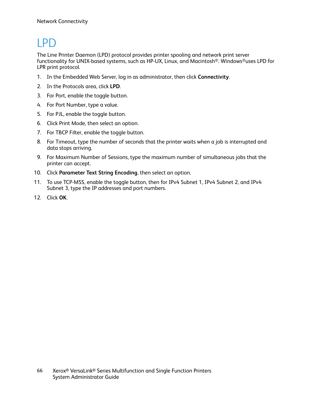# <span id="page-65-0"></span>LPD

The Line Printer Daemon (LPD) protocol provides printer spooling and network print server functionality for UNIX-based systems, such as HP-UX, Linux, and Macintosh®. Windows®uses LPD for LPR print protocol.

- 1. In the Embedded Web Server, log in as administrator, then click **Connectivity**.
- 2. In the Protocols area, click **LPD**.
- 3. For Port, enable the toggle button.
- 4. For Port Number, type a value.
- 5. For PJL, enable the toggle button.
- 6. Click Print Mode, then select an option.
- 7. For TBCP Filter, enable the toggle button.
- 8. For Timeout, type the number of seconds that the printer waits when a job is interrupted and data stops arriving.
- 9. For Maximum Number of Sessions, type the maximum number of simultaneous jobs that the printer can accept.
- 10. Click **Parameter Text String Encoding**, then select an option.
- 11. To use TCP-MSS, enable the toggle button, then for IPv4 Subnet 1, IPv4 Subnet 2, and IPv4 Subnet 3, type the IP addresses and port numbers.
- 12. Click **OK**.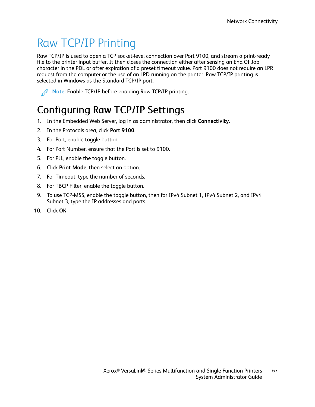# <span id="page-66-0"></span>Raw TCP/IP Printing

Raw TCP/IP is used to open a TCP socket-level connection over Port 9100, and stream a print-ready file to the printer input buffer. It then closes the connection either after sensing an End Of Job character in the PDL or after expiration of a preset timeout value. Port 9100 does not require an LPR request from the computer or the use of an LPD running on the printer. Raw TCP/IP printing is selected in Windows as the Standard TCP/IP port.



**Note:** Enable TCP/IP before enabling Raw TCP/IP printing.

### Configuring Raw TCP/IP Settings

- 1. In the Embedded Web Server, log in as administrator, then click **Connectivity**.
- 2. In the Protocols area, click **Port 9100**.
- 3. For Port, enable toggle button.
- 4. For Port Number, ensure that the Port is set to 9100.
- 5. For PJL, enable the toggle button.
- 6. Click **Print Mode**, then select an option.
- 7. For Timeout, type the number of seconds.
- 8. For TBCP Filter, enable the toggle button.
- 9. To use TCP-MSS, enable the toggle button, then for IPv4 Subnet 1, IPv4 Subnet 2, and IPv4 Subnet 3, type the IP addresses and ports.
- 10. Click **OK**.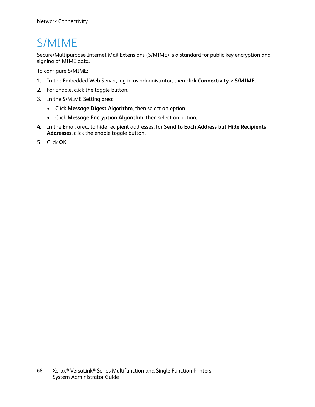# <span id="page-67-0"></span>S/MIME

Secure/Multipurpose Internet Mail Extensions (S/MIME) is a standard for public key encryption and signing of MIME data.

To configure S/MIME:

- 1. In the Embedded Web Server, log in as administrator, then click **Connectivity > S/MIME**.
- 2. For Enable, click the toggle button.
- 3. In the S/MIME Setting area:
	- Click **Message Digest Algorithm**, then select an option.
	- Click **Message Encryption Algorithm**, then select an option.
- 4. In the Email area, to hide recipient addresses, for **Send to Each Address but Hide Recipients Addresses**, click the enable toggle button.
- 5. Click **OK**.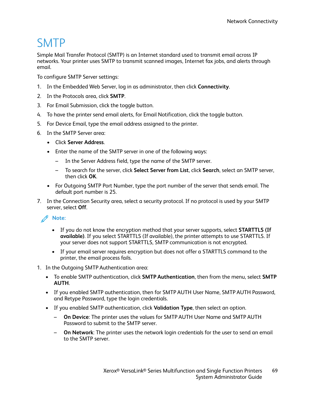# <span id="page-68-0"></span>SMTP

Simple Mail Transfer Protocol (SMTP) is an Internet standard used to transmit email across IP networks. Your printer uses SMTP to transmit scanned images, Internet fax jobs, and alerts through email.

To configure SMTP Server settings:

- 1. In the Embedded Web Server, log in as administrator, then click **Connectivity**.
- 2. In the Protocols area, click **SMTP**.
- 3. For Email Submission, click the toggle button.
- 4. To have the printer send email alerts, for Email Notification, click the toggle button.
- 5. For Device Email, type the email address assigned to the printer.
- 6. In the SMTP Server area:
	- Click **Server Address**.
	- Enter the name of the SMTP server in one of the following ways:
		- In the Server Address field, type the name of the SMTP server.
		- To search for the server, click **Select Server from List**, click **Search**, select an SMTP server, then click **OK**.
	- For Outgoing SMTP Port Number, type the port number of the server that sends email. The default port number is 25.
- 7. In the Connection Security area, select a security protocol. If no protocol is used by your SMTP server, select **Off**.

**Note:**

- If you do not know the encryption method that your server supports, select **STARTTLS (If available)**. If you select STARTTLS (If available), the printer attempts to use STARTTLS. If your server does not support STARTTLS, SMTP communication is not encrypted.
- If your email server requires encryption but does not offer a STARTTLS command to the printer, the email process fails.
- 1. In the Outgoing SMTP Authentication area:
	- To enable SMTP authentication, click **SMTP Authentication**, then from the menu, select **SMTP AUTH**.
	- If you enabled SMTP authentication, then for SMTP AUTH User Name, SMTP AUTH Password, and Retype Password, type the login credentials.
	- If you enabled SMTP authentication, click **Validation Type**, then select an option.
		- **On Device**: The printer uses the values for SMTP AUTH User Name and SMTP AUTH Password to submit to the SMTP server.
		- **On Network**: The printer uses the network login credentials for the user to send an email to the SMTP server.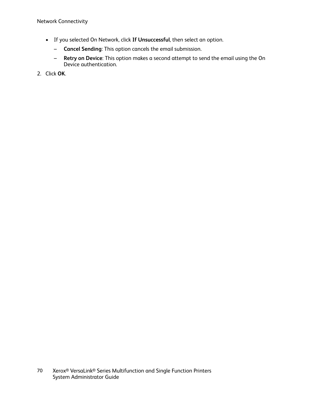- If you selected On Network, click **If Unsuccessful**, then select an option.
	- **Cancel Sending**: This option cancels the email submission.
	- **Retry on Device**: This option makes a second attempt to send the email using the On Device authentication.
- 2. Click **OK**.

70 Xerox® VersaLink® Series Multifunction and Single Function Printers System Administrator Guide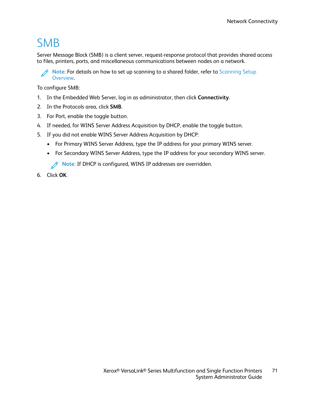# <span id="page-70-0"></span>SMB

Server Message Block (SMB) is a client server, request-response protocol that provides shared access to files, printers, ports, and miscellaneous communications between nodes on a network.

**Note:** For details on how to set up scanning to a shared folder, refer to [Scanning](#page-137-0) Setup **[Overview](#page-137-0)** 

To configure SMB:

- 1. In the Embedded Web Server, log in as administrator, then click **Connectivity**.
- 2. In the Protocols area, click **SMB**.
- 3. For Port, enable the toggle button.
- 4. If needed, for WINS Server Address Acquisition by DHCP, enable the toggle button.
- 5. If you did not enable WINS Server Address Acquisition by DHCP:
	- For Primary WINS Server Address, type the IP address for your primary WINS server.
	- For Secondary WINS Server Address, type the IP address for your secondary WINS server.

**Note:** If DHCP is configured, WINS IP addresses are overridden.

6. Click **OK**.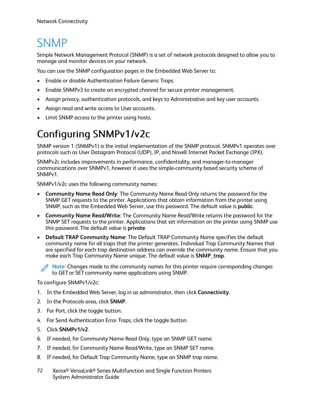# <span id="page-71-0"></span>**SNMP**

Simple Network Management Protocol (SNMP) is a set of network protocols designed to allow you to manage and monitor devices on your network.

You can use the SNMP configuration pages in the Embedded Web Server to:

- Enable or disable Authentication Failure Generic Traps.
- Enable SNMPv3 to create an encrypted channel for secure printer management.
- Assign privacy, authentication protocols, and keys to Administrative and key user accounts.
- Assign read and write access to User accounts.
- Limit SNMP access to the printer using hosts.

# Configuring SNMPv1/v2c

SNMP version 1 (SNMPv1) is the initial implementation of the SNMP protocol. SNMPv1 operates over protocols such as User Datagram Protocol (UDP), IP, and Novell Internet Packet Exchange (IPX).

SNMPv2c includes improvements in performance, confidentiality, and manager-to-manager communications over SNMPv1, however it uses the simple-community based security scheme of SNMPv1.

SNMPv1/v2c uses the following community names:

- **Community Name Read Only**: The Community Name Read Only returns the password for the SNMP GET requests to the printer. Applications that obtain information from the printer using SNMP, such as the Embedded Web Server, use this password. The default value is **public**.
- **Community Name Read/Write**: The Community Name Read/Write returns the password for the SNMP SET requests to the printer. Applications that set information on the printer using SNMP use this password. The default value is **private**.
- **Default TRAP Community Name**: The Default TRAP Community Name specifies the default community name for all traps that the printer generates. Individual Trap Community Names that are specified for each trap destination address can override the community name. Ensure that you make each Trap Community Name unique. The default value is **SNMP\_trap**.

**Note:** Changes made to the community names for this printer require corresponding changes to GET or SET community name applications using SNMP.

To configure SNMPv1/v2c:

- 1. In the Embedded Web Server, log in as administrator, then click **Connectivity**.
- 2. In the Protocols area, click **SNMP**.
- 3. For Port, click the toggle button.
- 4. For Send Authentication Error Traps, click the toggle button.
- 5. Click **SNMPv1/v2**.
- 6. If needed, for Community Name Read Only, type an SNMP GET name.
- 7. If needed, for Community Name Read/Write, type an SNMP SET name.
- 8. If needed, for Default Trap Community Name, type an SNMP trap name.
- 72 Xerox® VersaLink® Series Multifunction and Single Function Printers System Administrator Guide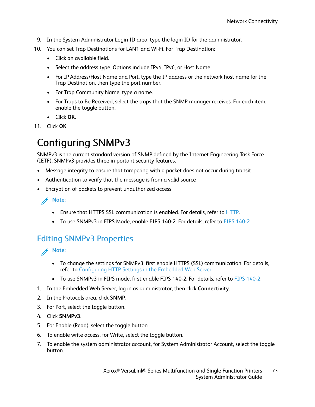- 9. In the System Administrator Login ID area, type the login ID for the administrator.
- 10. You can set Trap Destinations for LAN1 and Wi-Fi. For Trap Destination:
	- Click an available field.
	- Select the address type. Options include IPv4, IPv6, or Host Name.
	- For IP Address/Host Name and Port, type the IP address or the network host name for the Trap Destination, then type the port number.
	- For Trap Community Name, type a name.
	- For Traps to Be Received, select the traps that the SNMP manager receives. For each item, enable the toggle button.
	- Click **OK**.
- 11. Click **OK**.

### Configuring SNMPv3

SNMPv3 is the current standard version of SNMP defined by the Internet Engineering Task Force (IETF). SNMPv3 provides three important security features:

- Message integrity to ensure that tampering with a packet does not occur during transit
- Authentication to verify that the message is from a valid source
- Encryption of packets to prevent unauthorized access

#### **Note:**

- Ensure that [HTTP](#page-52-0)S SSL communication is enabled. For details, refer to HTTP.
- To use SNMPv3 in FIPS Mode, enable FIPS 140-2. For details, refer to FIPS [140-2.](#page-106-0)

#### Editing SNMPv3 Properties



- To change the settings for SNMPv3, first enable HTTPS (SSL) communication. For details, refer to [Configuring](#page-54-0) HTTP Settings in the Embedded Web Server.
- To use SNMPv3 in FIPS mode, first enable FIPS [140-2](#page-106-0). For details, refer to FIPS 140-2.
- 1. In the Embedded Web Server, log in as administrator, then click **Connectivity**.
- 2. In the Protocols area, click **SNMP**.
- 3. For Port, select the toggle button.
- 4. Click **SNMPv3**.
- 5. For Enable (Read), select the toggle button.
- 6. To enable write access, for Write, select the toggle button.
- 7. To enable the system administrator account, for System Administrator Account, select the toggle button.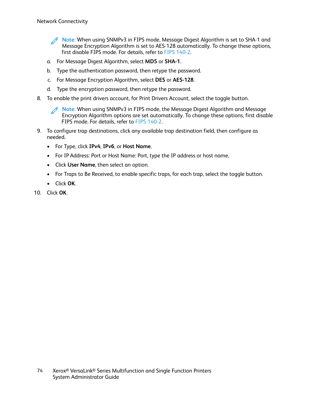- **Note:** When using SNMPv3 in FIPS mode, Message Digest Algorithm is set to SHA-1 and Message Encryption Algorithm is set to AES-128 automatically. To change these options, first disable FIPS mode. For details, refer to FIPS [140-2.](#page-106-0)
- a. For Message Digest Algorithm, select **MD5** or **SHA-1**.
- b. Type the authentication password, then retype the password.
- c. For Message Encryption Algorithm, select **DES** or **AES-128**.
- d. Type the encryption password, then retype the password.
- 8. To enable the print drivers account, for Print Drivers Account, select the toggle button.
	- **Note:** When using SNMPv3 in FIPS mode, the Message Digest Algorithm and Message Encryption Algorithm options are set automatically. To change these options, first disable FIPS mode. For details, refer to FIPS [140-2.](#page-106-0)
- 9. To configure trap destinations, click any available trap destination field, then configure as needed.
	- For Type, click **IPv4**, **IPv6**, or **Host Name**.
	- For IP Address: Port or Host Name: Port, type the IP address or host name.
	- Click **User Name**, then select an option.
	- For Traps to Be Received, to enable specific traps, for each trap, select the toggle button.
	- Click **OK**.
- 10. Click **OK**.

74 Xerox® VersaLink® Series Multifunction and Single Function Printers System Administrator Guide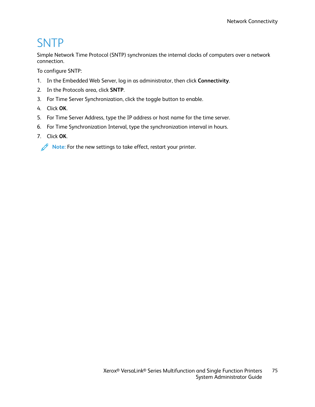# **SNTP**

Simple Network Time Protocol (SNTP) synchronizes the internal clocks of computers over a network connection.

To configure SNTP:

- 1. In the Embedded Web Server, log in as administrator, then click **Connectivity**.
- 2. In the Protocols area, click **SNTP**.
- 3. For Time Server Synchronization, click the toggle button to enable.
- 4. Click **OK**.
- 5. For Time Server Address, type the IP address or host name for the time server.
- 6. For Time Synchronization Interval, type the synchronization interval in hours.
- 7. Click **OK**.

Note: For the new settings to take effect, restart your printer.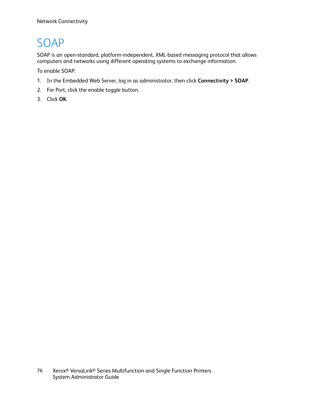# SOAP

SOAP is an open-standard, platform-independent, XML-based messaging protocol that allows computers and networks using different operating systems to exchange information.

To enable SOAP:

- 1. In the Embedded Web Server, log in as administrator, then click **Connectivity > SOAP**.
- 2. For Port, click the enable toggle button.
- 3. Click **OK**.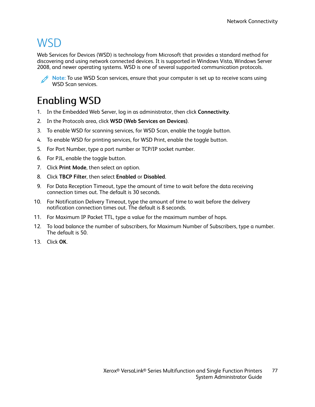# WSD

Web Services for Devices (WSD) is technology from Microsoft that provides a standard method for discovering and using network connected devices. It is supported in Windows Vista, Windows Server 2008, and newer operating systems. WSD is one of several supported communication protocols.



**Note:** To use WSD Scan services, ensure that your computer is set up to receive scans using WSD Scan services.

# Enabling WSD

- 1. In the Embedded Web Server, log in as administrator, then click **Connectivity**.
- 2. In the Protocols area, click **WSD (Web Services on Devices)**.
- 3. To enable WSD for scanning services, for WSD Scan, enable the toggle button.
- 4. To enable WSD for printing services, for WSD Print, enable the toggle button.
- 5. For Port Number, type a port number or TCP/IP socket number.
- 6. For PJL, enable the toggle button.
- 7. Click **Print Mode**, then select an option.
- 8. Click **TBCP Filter**, then select **Enabled** or **Disabled**.
- 9. For Data Reception Timeout, type the amount of time to wait before the data receiving connection times out. The default is 30 seconds.
- 10. For Notification Delivery Timeout, type the amount of time to wait before the delivery notification connection times out. The default is 8 seconds.
- 11. For Maximum IP Packet TTL, type a value for the maximum number of hops.
- 12. To load balance the number of subscribers, for Maximum Number of Subscribers, type a number. The default is 50.
- 13. Click **OK**.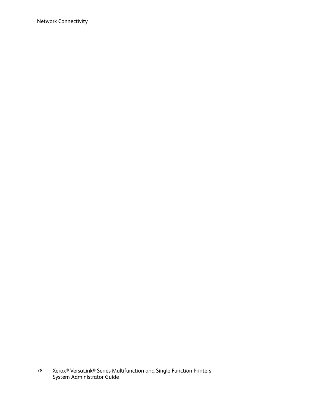Network [Connectivity](#page-36-0)

78 Xerox® VersaLink® Series Multifunction and Single Function Printers System Administrator Guide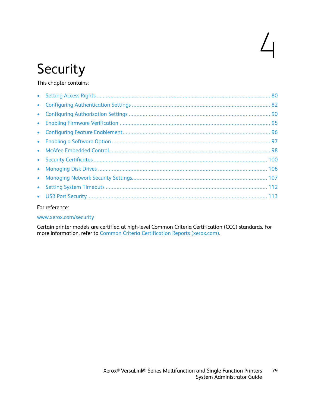# $\angle$

# <span id="page-78-0"></span>Security

This chapter contains:

| $\bullet$   |  |
|-------------|--|
| $\bullet$ . |  |
|             |  |
| $\bullet$   |  |
| $\bullet$   |  |
| $\bullet$ . |  |
| $\bullet$   |  |
|             |  |
|             |  |
| $\bullet$   |  |
| $\bullet$   |  |
|             |  |

#### For reference:

#### [www.xerox.com/security](https://www.xerox.com/security)

Certain printer models are certified at high-level Common Criteria Certification (CCC) standards. For more information, refer to Common Criteria [Certification](https://security.business.xerox.com/en-us/documents/common-criteria/) Reports (xerox.com).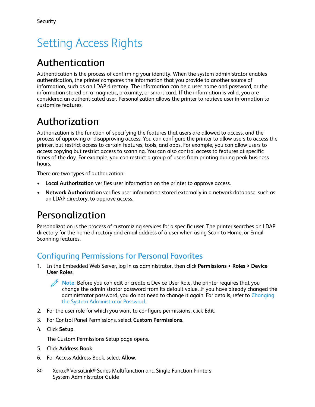# <span id="page-79-0"></span>Setting Access Rights

### Authentication

Authentication is the process of confirming your identity. When the system administrator enables authentication, the printer compares the information that you provide to another source of information, such as an LDAP directory. The information can be a user name and password, or the information stored on a magnetic, proximity, or smart card. If the information is valid, you are considered an authenticated user. Personalization allows the printer to retrieve user information to customize features.

### Authorization

Authorization is the function of specifying the features that users are allowed to access, and the process of approving or disapproving access. You can configure the printer to allow users to access the printer, but restrict access to certain features, tools, and apps. For example, you can allow users to access copying but restrict access to scanning. You can also control access to features at specific times of the day. For example, you can restrict a group of users from printing during peak business hours.

There are two types of authorization:

- **Local Authorization** verifies user information on the printer to approve access.
- **Network Authorization** verifies user information stored externally in a network database, such as an LDAP directory, to approve access.

#### Personalization

Personalization is the process of customizing services for a specific user. The printer searches an LDAP directory for the home directory and email address of a user when using Scan to Home, or Email Scanning features.

#### Configuring Permissions for Personal Favorites

1. In the Embedded Web Server, log in as administrator, then click **Permissions > Roles > Device User Roles**.

**Note:** Before you can edit or create a Device User Role, the printer requires that you change the administrator password from its default value. If you have already changed the administrator password, you do not need to change it again. For details, refer to [Changing](#page-20-0) the System [Administrator](#page-20-0) Password.

- 2. For the user role for which you want to configure permissions, click **Edit**.
- 3. For Control Panel Permissions, select **Custom Permissions**.
- 4. Click **Setup**.

The Custom Permissions Setup page opens.

- 5. Click **Address Book**.
- 6. For Access Address Book, select **Allow**.
- 80 Xerox<sup>®</sup> VersaLink<sup>®</sup> Series Multifunction and Single Function Printers System Administrator Guide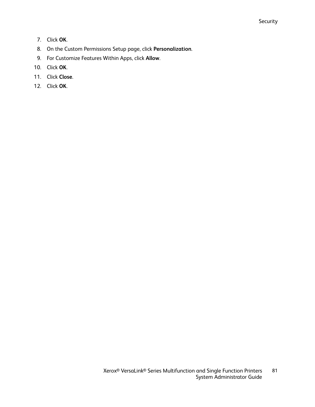- 7. Click **OK**.
- 8. On the Custom Permissions Setup page, click **Personalization**.
- 9. For Customize Features Within Apps, click **Allow**.
- 10. Click **OK**.
- 11. Click **Close**.
- 12. Click **OK**.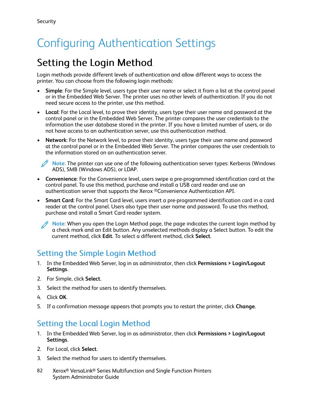# <span id="page-81-0"></span>Configuring Authentication Settings

#### Setting the Login Method

Login methods provide different levels of authentication and allow different ways to access the printer. You can choose from the following login methods:

- **Simple**: For the Simple level, users type their user name or select it from a list at the control panel or in the Embedded Web Server. The printer uses no other levels of authentication. If you do not need secure access to the printer, use this method.
- **Local**: For the Local level, to prove their identity, users type their user name and password at the control panel or in the Embedded Web Server. The printer compares the user credentials to the information the user database stored in the printer. If you have a limited number of users, or do not have access to an authentication server, use this authentication method.
- **Network**: For the Network level, to prove their identity, users type their user name and password at the control panel or in the Embedded Web Server. The printer compares the user credentials to the information stored on an authentication server.

**Note:** The printer can use one of the following authentication server types: Kerberos (Windows ADS), SMB (Windows ADS), or LDAP.

- **Convenience**: For the Convenience level, users swipe a pre-programmed identification card at the control panel. To use this method, purchase and install a USB card reader and use an authentication server that supports the Xerox ®Convenience Authentication API.
- **Smart Card**: For the Smart Card level, users insert a pre-programmed identification card in a card reader at the control panel. Users also type their user name and password. To use this method, purchase and install a Smart Card reader system.

**Note:** When you open the Login Method page, the page indicates the current login method by a check mark and an Edit button. Any unselected methods display a Select button. To edit the current method, click **Edit**. To select a different method, click **Select**.

#### Setting the Simple Login Method

- 1. In the Embedded Web Server, log in as administrator, then click **Permissions > Login/Logout Settings**.
- 2. For Simple, click **Select**.
- 3. Select the method for users to identify themselves.
- 4. Click **OK**.
- 5. If a confirmation message appears that prompts you to restart the printer, click **Change**.

#### Setting the Local Login Method

- 1. In the Embedded Web Server, log in as administrator, then click **Permissions > Login/Logout Settings**.
- 2. For Local, click **Select**.
- 3. Select the method for users to identify themselves.
- 82 Xerox<sup>®</sup> VersaLink<sup>®</sup> Series Multifunction and Single Function Printers System Administrator Guide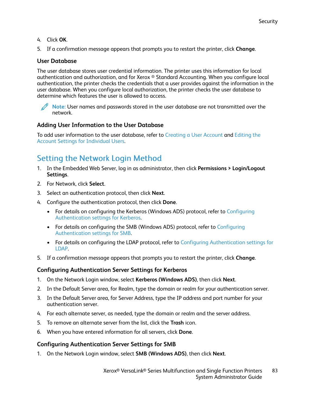- 4. Click **OK**.
- 5. If a confirmation message appears that prompts you to restart the printer, click **Change**.

#### **User Database**

The user database stores user credential information. The printer uses this information for local authentication and authorization, and for Xerox ® Standard Accounting. When you configure local authentication, the printer checks the credentials that a user provides against the information in the user database. When you configure local authorization, the printer checks the user database to determine which features the user is allowed to access.

**Note:** User names and passwords stored in the user database are not transmitted over the network.

#### **Adding User Information to the User Database**

To add user information to the user database, refer to [Creating](#page-173-0) a User Account and [Editing](#page-174-0) the Account Settings for [Individual](#page-174-0) Users.

#### Setting the Network Login Method

- 1. In the Embedded Web Server, log in as administrator, then click **Permissions > Login/Logout Settings**.
- 2. For Network, click **Select**.
- 3. Select an authentication protocol, then click **Next**.
- 4. Configure the authentication protocol, then click **Done**.
	- For details on configuring the Kerberos (Windows ADS) protocol, refer to [Configuring](#page-82-0) [Authentication](#page-82-0) settings for Kerberos.
	- For details on configuring the SMB (Windows ADS) protocol, refer to [Configuring](#page-82-1) [Authentication](#page-82-1) settings for SMB.
	- For details on configuring the LDAP protocol, refer to Configuring [Authentication](#page-83-0) settings for [LDAP.](#page-83-0)
- 5. If a confirmation message appears that prompts you to restart the printer, click **Change**.

#### <span id="page-82-0"></span>**Configuring Authentication Server Settings for Kerberos**

- 1. On the Network Login window, select **Kerberos (Windows ADS)**, then click **Next**.
- 2. In the Default Server area, for Realm, type the domain or realm for your authentication server.
- 3. In the Default Server area, for Server Address, type the IP address and port number for your authentication server.
- 4. For each alternate server, as needed, type the domain or realm and the server address.
- 5. To remove an alternate server from the list, click the **Trash** icon.
- 6. When you have entered information for all servers, click **Done**.

#### <span id="page-82-1"></span>**Configuring Authentication Server Settings for SMB**

1. On the Network Login window, select **SMB (Windows ADS)**, then click **Next**.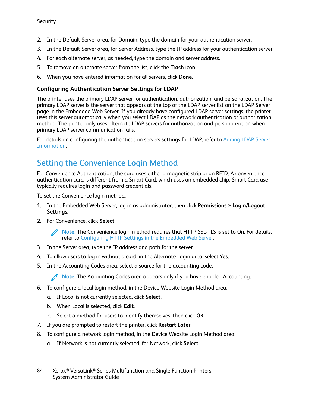- 2. In the Default Server area, for Domain, type the domain for your authentication server.
- 3. In the Default Server area, for Server Address, type the IP address for your authentication server.
- 4. For each alternate server, as needed, type the domain and server address.
- 5. To remove an alternate server from the list, click the **Trash** icon.
- 6. When you have entered information for all servers, click **Done**.

#### <span id="page-83-0"></span>**Configuring Authentication Server Settings for LDAP**

The printer uses the primary LDAP server for authentication, authorization, and personalization. The primary LDAP server is the server that appears at the top of the LDAP server list on the LDAP Server page in the Embedded Web Server. If you already have configured LDAP server settings, the printer uses this server automatically when you select LDAP as the network authentication or authorization method. The printer only uses alternate LDAP servers for authorization and personalization when primary LDAP server communication fails.

For details on configuring the authentication servers settings for LDAP, refer to [Adding](#page-61-0) LDAP Server [Information.](#page-61-0)

#### Setting the Convenience Login Method

For Convenience Authentication, the card uses either a magnetic strip or an RFID. A convenience authentication card is different from a Smart Card, which uses an embedded chip. Smart Card use typically requires login and password credentials.

To set the Convenience login method:

- 1. In the Embedded Web Server, log in as administrator, then click **Permissions > Login/Logout Settings**.
- 2. For Convenience, click **Select**.

**Note:** The Convenience login method requires that HTTP SSL-TLS is set to On. For details, refer to [Configuring](#page-52-0) HTTP Settings in the Embedded Web Server.

- 3. In the Server area, type the IP address and path for the server.
- 4. To allow users to log in without a card, in the Alternate Login area, select **Yes**.
- 5. In the Accounting Codes area, select a source for the accounting code.

**Note:** The Accounting Codes area appears only if you have enabled Accounting.

- 6. To configure a local login method, in the Device Website Login Method area:
	- a. If Local is not currently selected, click **Select**.
	- b. When Local is selected, click **Edit**.
	- c. Select a method for users to identify themselves, then click **OK**.
- 7. If you are prompted to restart the printer, click **Restart Later**.
- 8. To configure a network login method, in the Device Website Login Method area:
	- a. If Network is not currently selected, for Network, click **Select**.
- 84 Xerox<sup>®</sup> VersaLink<sup>®</sup> Series Multifunction and Single Function Printers System Administrator Guide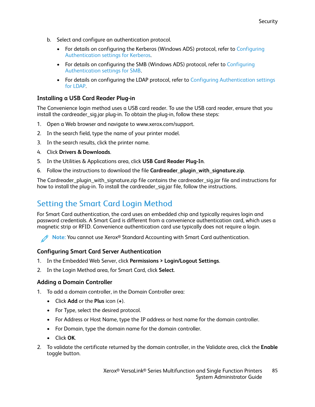- b. Select and configure an authentication protocol.
	- For details on configuring the Kerberos (Windows ADS) protocol, refer to [Configuring](#page-82-0) [Authentication](#page-82-0) settings for Kerberos.
	- For details on configuring the SMB (Windows ADS) protocol, refer to [Configuring](#page-82-1) [Authentication](#page-82-1) settings for SMB.
	- For details on configuring the LDAP protocol, refer to Configuring [Authentication](#page-83-0) settings for [LDAP](#page-83-0)

#### **Installing a USB Card Reader Plug-in**

The Convenience login method uses a USB card reader. To use the USB card reader, ensure that you install the cardreader\_sig.jar plug-in. To obtain the plug-in, follow these steps:

- 1. Open a Web browser and navigate to www.xerox.com/support.
- 2. In the search field, type the name of your printer model.
- 3. In the search results, click the printer name.
- 4. Click **Drivers & Downloads**.
- 5. In the Utilities & Applications area, click **USB Card Reader Plug-In**.
- 6. Follow the instructions to download the file **Cardreader\_plugin\_with\_signature.zip**.

The Cardreader\_plugin\_with\_signature.zip file contains the cardreader\_sig.jar file and instructions for how to install the plug-in. To install the cardreader\_sig.jar file, follow the instructions.

#### Setting the Smart Card Login Method

For Smart Card authentication, the card uses an embedded chip and typically requires login and password credentials. A Smart Card is different from a convenience authentication card, which uses a magnetic strip or RFID. Convenience authentication card use typically does not require a login.

**Note:** You cannot use Xerox® Standard Accounting with Smart Card authentication.

#### **Configuring Smart Card Server Authentication**

- 1. In the Embedded Web Server, click **Permissions > Login/Logout Settings**.
- 2. In the Login Method area, for Smart Card, click **Select**.

#### **Adding a Domain Controller**

- 1. To add a domain controller, in the Domain Controller area:
	- Click **Add** or the **Plus** icon (**+**).
	- For Type, select the desired protocol.
	- For Address or Host Name, type the IP address or host name for the domain controller.
	- For Domain, type the domain name for the domain controller.
	- Click **OK**.
- 2. To validate the certificate returned by the domain controller, in the Validate area, click the **Enable** toggle button.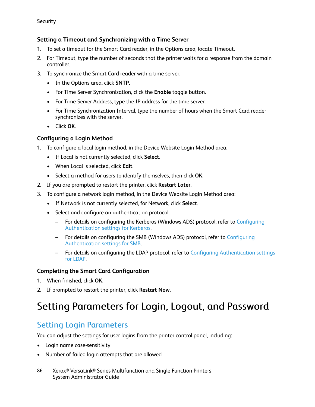#### **Setting a Timeout and Synchronizing with a Time Server**

- 1. To set a timeout for the Smart Card reader, in the Options area, locate Timeout.
- 2. For Timeout, type the number of seconds that the printer waits for a response from the domain controller.
- 3. To synchronize the Smart Card reader with a time server:
	- In the Options area, click **SNTP**.
	- For Time Server Synchronization, click the **Enable** toggle button.
	- For Time Server Address, type the IP address for the time server.
	- For Time Synchronization Interval, type the number of hours when the Smart Card reader synchronizes with the server.
	- Click **OK**.

#### **Configuring a Login Method**

- 1. To configure a local login method, in the Device Website Login Method area:
	- If Local is not currently selected, click **Select**.
	- When Local is selected, click **Edit**.
	- Select a method for users to identify themselves, then click **OK**.
- 2. If you are prompted to restart the printer, click **Restart Later**.
- 3. To configure a network login method, in the Device Website Login Method area:
	- If Network is not currently selected, for Network, click **Select**.
	- Select and configure an authentication protocol.
		- For details on configuring the Kerberos (Windows ADS) protocol, refer to [Configuring](#page-82-0) [Authentication](#page-82-0) settings for Kerberos.
		- For details on configuring the SMB (Windows ADS) protocol, refer to [Configuring](#page-82-1) [Authentication](#page-82-1) settings for SMB.
		- For details on configuring the LDAP protocol, refer to Configuring [Authentication](#page-83-0) settings for [LDAP](#page-83-0).

#### **Completing the Smart Card Configuration**

- 1. When finished, click **OK**.
- 2. If prompted to restart the printer, click **Restart Now**.

### Setting Parameters for Login, Logout, and Password

#### Setting Login Parameters

You can adjust the settings for user logins from the printer control panel, including:

- Login name case-sensitivity
- Number of failed login attempts that are allowed
- 86 Xerox<sup>®</sup> VersaLink<sup>®</sup> Series Multifunction and Single Function Printers System Administrator Guide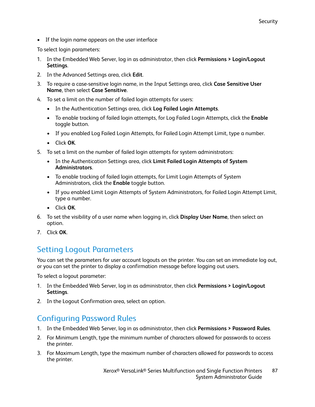• If the login name appears on the user interface

To select login parameters:

- 1. In the Embedded Web Server, log in as administrator, then click **Permissions > Login/Logout Settings**.
- 2. In the Advanced Settings area, click **Edit**.
- 3. To require a case-sensitive login name, in the Input Settings area, click **Case Sensitive User Name**, then select **Case Sensitive**.
- 4. To set a limit on the number of failed login attempts for users:
	- In the Authentication Settings area, click **Log Failed Login Attempts**.
	- To enable tracking of failed login attempts, for Log Failed Login Attempts, click the **Enable** toggle button.
	- If you enabled Log Failed Login Attempts, for Failed Login Attempt Limit, type a number.
	- Click **OK**.
- 5. To set a limit on the number of failed login attempts for system administrators:
	- In the Authentication Settings area, click **Limit Failed Login Attempts of System Administrators**.
	- To enable tracking of failed login attempts, for Limit Login Attempts of System Administrators, click the **Enable** toggle button.
	- If you enabled Limit Login Attempts of System Administrators, for Failed Login Attempt Limit, type a number.
	- Click **OK**.
- 6. To set the visibility of a user name when logging in, click **Display User Name**, then select an option.
- 7. Click **OK**.

#### Setting Logout Parameters

You can set the parameters for user account logouts on the printer. You can set an immediate log out, or you can set the printer to display a confirmation message before logging out users.

To select a logout parameter:

- 1. In the Embedded Web Server, log in as administrator, then click **Permissions > Login/Logout Settings**.
- 2. In the Logout Confirmation area, select an option.

#### Configuring Password Rules

- 1. In the Embedded Web Server, log in as administrator, then click **Permissions > Password Rules**.
- 2. For Minimum Length, type the minimum number of characters allowed for passwords to access the printer.
- 3. For Maximum Length, type the maximum number of characters allowed for passwords to access the printer.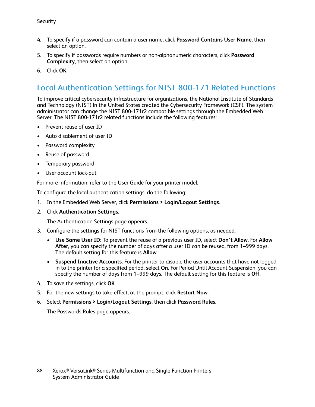- 4. To specify if a password can contain a user name, click **Password Contains User Name**, then select an option.
- 5. To specify if passwords require numbers or non-alphanumeric characters, click **Password Complexity**, then select an option.
- 6. Click **OK**.

#### Local Authentication Settings for NIST 800-171 Related Functions

To improve critical cybersecurity infrastructure for organizations, the National Institute of Standards and Technology (NIST) in the United States created the Cybersecurity Framework (CSF). The system administrator can change the NIST 800-171r2 compatible settings through the Embedded Web Server. The NIST 800-171r2 related functions include the following features:

- Prevent reuse of user ID
- Auto disablement of user ID
- Password complexity
- Reuse of password
- Temporary password
- User account lock-out

For more information, refer to the User Guide for your printer model.

To configure the local authentication settings, do the following:

- 1. In the Embedded Web Server, click **Permissions > Login/Logout Settings**.
- 2. Click **Authentication Settings**.

The Authentication Settings page appears.

- 3. Configure the settings for NIST functions from the following options, as needed:
	- **Use Same User ID**: To prevent the reuse of a previous user ID, select **Don't Allow**. For **Allow After**, you can specify the number of days after a user ID can be reused, from 1–999 days. The default setting for this feature is **Allow**.
	- **Suspend Inactive Accounts**: For the printer to disable the user accounts that have not logged in to the printer for a specified period, select **On**. For Period Until Account Suspension, you can specify the number of days from 1–999 days. The default setting for this feature is **Off**.
- 4. To save the settings, click **OK**.
- 5. For the new settings to take effect, at the prompt, click **Restart Now**.
- 6. Select **Permissions > Login/Logout Settings**, then click **Password Rules**.

The Passwords Rules page appears.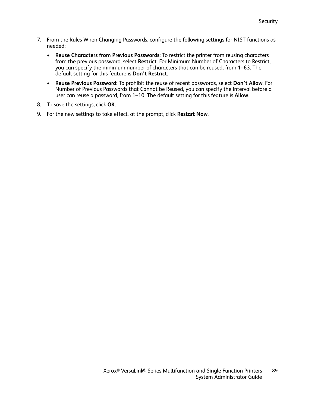- 7. From the Rules When Changing Passwords, configure the following settings for NIST functions as needed:
	- **Reuse Characters from Previous Passwords**: To restrict the printer from reusing characters from the previous password, select **Restrict**. For Minimum Number of Characters to Restrict, you can specify the minimum number of characters that can be reused, from 1–63. The default setting for this feature is **Don't Restrict**.
	- **Reuse Previous Password**: To prohibit the reuse of recent passwords, select **Don't Allow**. For Number of Previous Passwords that Cannot be Reused, you can specify the interval before a user can reuse a password, from 1–10. The default setting for this feature is **Allow**.
- 8. To save the settings, click **OK**.
- 9. For the new settings to take effect, at the prompt, click **Restart Now**.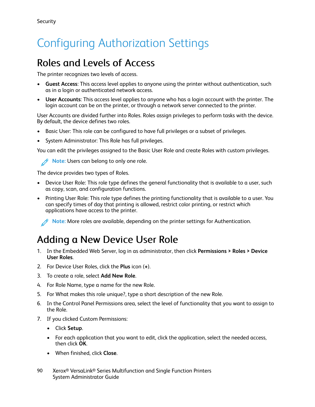# <span id="page-89-0"></span>Configuring Authorization Settings

#### Roles and Levels of Access

The printer recognizes two levels of access.

- **Guest Access**: This access level applies to anyone using the printer without authentication, such as in a login or authenticated network access.
- **User Accounts**: This access level applies to anyone who has a login account with the printer. The login account can be on the printer, or through a network server connected to the printer.

User Accounts are divided further into Roles. Roles assign privileges to perform tasks with the device. By default, the device defines two roles.

- Basic User: This role can be configured to have full privileges or a subset of privileges.
- System Administrator: This Role has full privileges.

You can edit the privileges assigned to the Basic User Role and create Roles with custom privileges.



**Note:** Users can belong to only one role.

The device provides two types of Roles.

- Device User Role: This role type defines the general functionality that is available to a user, such as copy, scan, and configuration functions.
- Printing User Role: This role type defines the printing functionality that is available to a user. You can specify times of day that printing is allowed, restrict color printing, or restrict which applications have access to the printer.

**Note:** More roles are available, depending on the printer settings for Authentication.

#### Adding a New Device User Role

- 1. In the Embedded Web Server, log in as administrator, then click **Permissions > Roles > Device User Roles**.
- 2. For Device User Roles, click the **Plus** icon (**+**).
- 3. To create a role, select **Add New Role**.
- 4. For Role Name, type a name for the new Role.
- 5. For What makes this role unique?, type a short description of the new Role.
- 6. In the Control Panel Permissions area, select the level of functionality that you want to assign to the Role.
- 7. If you clicked Custom Permissions:
	- Click **Setup**.
	- For each application that you want to edit, click the application, select the needed access, then click **OK**.
	- When finished, click **Close**.
- 90 Xerox<sup>®</sup> VersaLink<sup>®</sup> Series Multifunction and Single Function Printers System Administrator Guide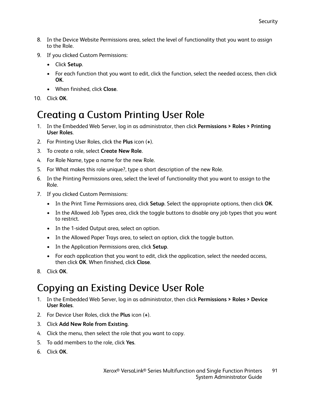- 8. In the Device Website Permissions area, select the level of functionality that you want to assign to the Role.
- 9. If you clicked Custom Permissions:
	- Click **Setup**.
	- For each function that you want to edit, click the function, select the needed access, then click **OK**.
	- When finished, click **Close**.
- 10. Click **OK**.

#### Creating a Custom Printing User Role

- 1. In the Embedded Web Server, log in as administrator, then click **Permissions > Roles > Printing User Roles**.
- 2. For Printing User Roles, click the **Plus** icon (**+**).
- 3. To create a role, select **Create New Role**.
- 4. For Role Name, type a name for the new Role.
- 5. For What makes this role unique?, type a short description of the new Role.
- 6. In the Printing Permissions area, select the level of functionality that you want to assign to the Role.
- 7. If you clicked Custom Permissions:
	- In the Print Time Permissions area, click **Setup**. Select the appropriate options, then click **OK**.
	- In the Allowed Job Types area, click the toggle buttons to disable any job types that you want to restrict.
	- In the 1-sided Output area, select an option.
	- In the Allowed Paper Trays area, to select an option, click the toggle button.
	- In the Application Permissions area, click **Setup**.
	- For each application that you want to edit, click the application, select the needed access, then click **OK**. When finished, click **Close**.
- 8. Click **OK**.

#### Copying an Existing Device User Role

- 1. In the Embedded Web Server, log in as administrator, then click **Permissions > Roles > Device User Roles**.
- 2. For Device User Roles, click the **Plus** icon (**+**).
- 3. Click **Add New Role from Existing**.
- 4. Click the menu, then select the role that you want to copy.
- 5. To add members to the role, click **Yes**.
- 6. Click **OK**.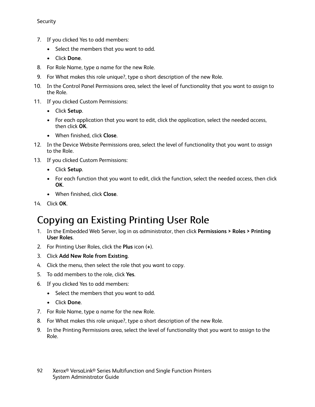- 7. If you clicked Yes to add members:
	- Select the members that you want to add.
	- Click **Done**.
- 8. For Role Name, type a name for the new Role.
- 9. For What makes this role unique?, type a short description of the new Role.
- 10. In the Control Panel Permissions area, select the level of functionality that you want to assign to the Role.
- 11. If you clicked Custom Permissions:
	- Click **Setup**.
	- For each application that you want to edit, click the application, select the needed access, then click **OK**.
	- When finished, click **Close**.
- 12. In the Device Website Permissions area, select the level of functionality that you want to assign to the Role.
- 13. If you clicked Custom Permissions:
	- Click **Setup**.
	- For each function that you want to edit, click the function, select the needed access, then click **OK**.
	- When finished, click **Close**.
- 14. Click **OK**.

#### Copying an Existing Printing User Role

- 1. In the Embedded Web Server, log in as administrator, then click **Permissions > Roles > Printing User Roles**.
- 2. For Printing User Roles, click the **Plus** icon (**+**).
- 3. Click **Add New Role from Existing**.
- 4. Click the menu, then select the role that you want to copy.
- 5. To add members to the role, click **Yes**.
- 6. If you clicked Yes to add members:
	- Select the members that you want to add.
	- Click **Done**.
- 7. For Role Name, type a name for the new Role.
- 8. For What makes this role unique?, type a short description of the new Role.
- 9. In the Printing Permissions area, select the level of functionality that you want to assign to the Role.
- 92 Xerox<sup>®</sup> VersaLink<sup>®</sup> Series Multifunction and Single Function Printers System Administrator Guide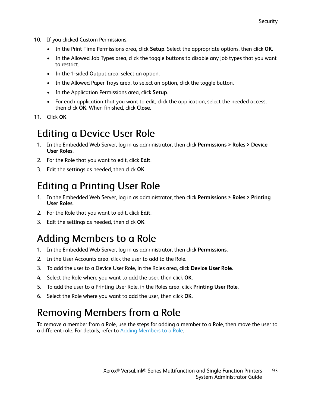- 10. If you clicked Custom Permissions:
	- In the Print Time Permissions area, click **Setup**. Select the appropriate options, then click **OK**.
	- In the Allowed Job Types area, click the toggle buttons to disable any job types that you want to restrict.
	- In the 1-sided Output area, select an option.
	- In the Allowed Paper Trays area, to select an option, click the toggle button.
	- In the Application Permissions area, click **Setup**.
	- For each application that you want to edit, click the application, select the needed access, then click **OK**. When finished, click **Close**.
- 11. Click **OK**.

### Editing a Device User Role

- 1. In the Embedded Web Server, log in as administrator, then click **Permissions > Roles > Device User Roles**.
- 2. For the Role that you want to edit, click **Edit**.
- 3. Edit the settings as needed, then click **OK**.

# Editing a Printing User Role

- 1. In the Embedded Web Server, log in as administrator, then click **Permissions > Roles > Printing User Roles**.
- 2. For the Role that you want to edit, click **Edit**.
- 3. Edit the settings as needed, then click **OK**.

### <span id="page-92-0"></span>Adding Members to a Role

- 1. In the Embedded Web Server, log in as administrator, then click **Permissions**.
- 2. In the User Accounts area, click the user to add to the Role.
- 3. To add the user to a Device User Role, in the Roles area, click **Device User Role**.
- 4. Select the Role where you want to add the user, then click **OK**.
- 5. To add the user to a Printing User Role, in the Roles area, click **Printing User Role**.
- 6. Select the Role where you want to add the user, then click **OK**.

### Removing Members from a Role

To remove a member from a Role, use the steps for adding a member to a Role, then move the user to a different role. For details, refer to Adding [Members](#page-92-0) to a Role.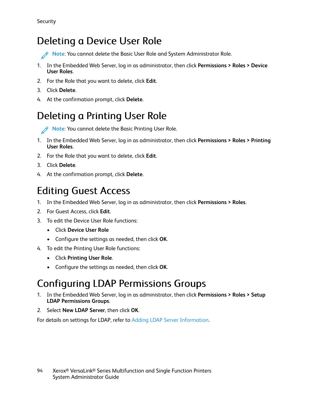#### Deleting a Device User Role

**Note:** You cannot delete the Basic User Role and System Administrator Role.

- 1. In the Embedded Web Server, log in as administrator, then click **Permissions > Roles > Device User Roles**.
- 2. For the Role that you want to delete, click **Edit**.
- 3. Click **Delete**.
- 4. At the confirmation prompt, click **Delete**.

### Deleting a Printing User Role

**Note:** You cannot delete the Basic Printing User Role.

- 1. In the Embedded Web Server, log in as administrator, then click **Permissions > Roles > Printing User Roles**.
- 2. For the Role that you want to delete, click **Edit**.
- 3. Click **Delete**.
- 4. At the confirmation prompt, click **Delete**.

#### Editing Guest Access

- 1. In the Embedded Web Server, log in as administrator, then click **Permissions > Roles**.
- 2. For Guest Access, click **Edit**.
- 3. To edit the Device User Role functions:
	- Click **Device User Role**
	- Configure the settings as needed, then click **OK**.
- 4. To edit the Printing User Role functions:
	- Click **Printing User Role**.
	- Configure the settings as needed, then click **OK**.

#### Configuring LDAP Permissions Groups

- 1. In the Embedded Web Server, log in as administrator, then click **Permissions > Roles > Setup LDAP Permissions Groups**.
- 2. Select **New LDAP Server**, then click **OK**.

For details on settings for LDAP, refer to Adding LDAP Server [Information.](#page-61-0)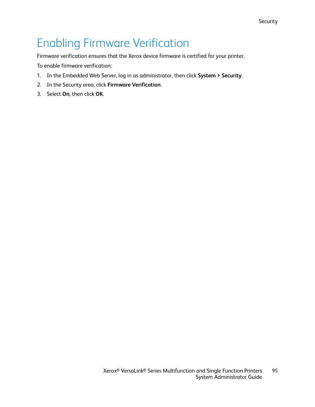# <span id="page-94-0"></span>Enabling Firmware Verification

Firmware verification ensures that the Xerox device firmware is certified for your printer.

To enable firmware verification:

- 1. In the Embedded Web Server, log in as administrator, then click **System > Security**.
- 2. In the Security area, click **Firmware Verification**.
- 3. Select **On**, then click **OK**.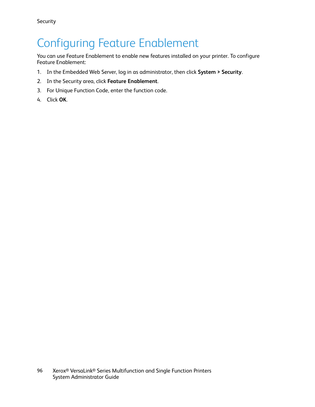# <span id="page-95-0"></span>Configuring Feature Enablement

You can use Feature Enablement to enable new features installed on your printer. To configure Feature Enablement:

- 1. In the Embedded Web Server, log in as administrator, then click **System > Security**.
- 2. In the Security area, click **Feature Enablement**.
- 3. For Unique Function Code, enter the function code.
- 4. Click **OK**.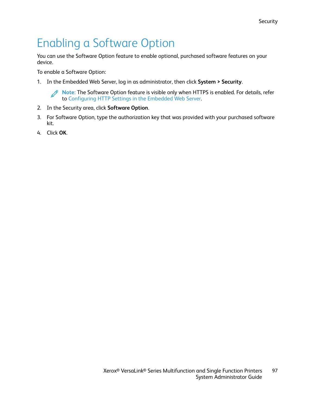# <span id="page-96-0"></span>Enabling a Software Option

You can use the Software Option feature to enable optional, purchased software features on your device.

To enable a Software Option:

1. In the Embedded Web Server, log in as administrator, then click **System > Security**.

**Note:** The Software Option feature is visible only when HTTPS is enabled. For details, refer to [Configuring](#page-52-0) HTTP Settings in the Embedded Web Server.

- 2. In the Security area, click **Software Option**.
- 3. For Software Option, type the authorization key that was provided with your purchased software kit.
- 4. Click **OK**.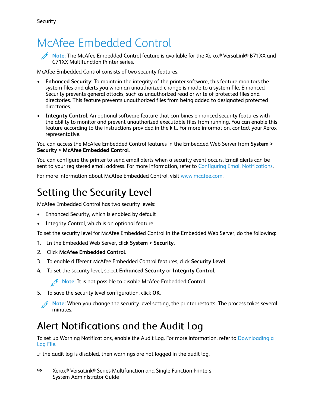# <span id="page-97-0"></span>McAfee Embedded Control

**Note:** The McAfee Embedded Control feature is available for the Xerox® VersaLink® B71XX and C71XX Multifunction Printer series.

McAfee Embedded Control consists of two security features:

- **Enhanced Security**: To maintain the integrity of the printer software, this feature monitors the system files and alerts you when an unauthorized change is made to a system file. Enhanced Security prevents general attacks, such as unauthorized read or write of protected files and directories. This feature prevents unauthorized files from being added to designated protected directories.
- **Integrity Control**: An optional software feature that combines enhanced security features with the ability to monitor and prevent unauthorized executable files from running. You can enable this feature according to the instructions provided in the kit.. For more information, contact your Xerox representative.

You can access the McAfee Embedded Control features in the Embedded Web Server from **System > Security > McAfee Embedded Control**.

You can configure the printer to send email alerts when a security event occurs. Email alerts can be sent to your registered email address. For more information, refer to Configuring Email [Notifications](#page-98-0).

For more information about McAfee Embedded Control, visit [www.mcafee.com.](https://www.mcafee.com/)

#### Setting the Security Level

McAfee Embedded Control has two security levels:

- Enhanced Security, which is enabled by default
- Integrity Control, which is an optional feature

To set the security level for McAfee Embedded Control in the Embedded Web Server, do the following:

- 1. In the Embedded Web Server, click **System > Security**.
- 2. Click **McAfee Embedded Control**.
- 3. To enable different McAfee Embedded Control features, click **Security Level**.
- 4. To set the security level, select **Enhanced Security** or **Integrity Control**.

**Note:** It is not possible to disable McAfee Embedded Control.

5. To save the security level configuration, click **OK**.

#### Alert Notifications and the Audit Log

To set up Warning Notifications, enable the Audit Log. For more information, refer to [Downloading](#page-110-0) a [Log](#page-110-0) File.

If the audit log is disabled, then warnings are not logged in the audit log.

98 Xerox<sup>®</sup> VersaLink<sup>®</sup> Series Multifunction and Single Function Printers System Administrator Guide

**Note:** When you change the security level setting, the printer restarts. The process takes several minutes.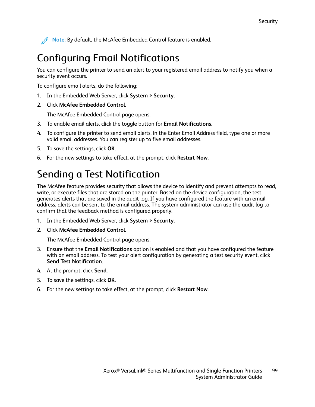**Note:** By default, the McAfee Embedded Control feature is enabled.

### <span id="page-98-0"></span>Configuring Email Notifications

You can configure the printer to send an alert to your registered email address to notify you when a security event occurs.

To configure email alerts, do the following:

- 1. In the Embedded Web Server, click **System > Security**.
- 2. Click **McAfee Embedded Control**.

The McAfee Embedded Control page opens.

- 3. To enable email alerts, click the toggle button for **Email Notifications**.
- 4. To configure the printer to send email alerts, in the Enter Email Address field, type one or more valid email addresses. You can register up to five email addresses.
- 5. To save the settings, click **OK**.
- 6. For the new settings to take effect, at the prompt, click **Restart Now**.

#### Sending a Test Notification

The McAfee feature provides security that allows the device to identify and prevent attempts to read, write, or execute files that are stored on the printer. Based on the device configuration, the test generates alerts that are saved in the audit log. If you have configured the feature with an email address, alerts can be sent to the email address. The system administrator can use the audit log to confirm that the feedback method is configured properly.

- 1. In the Embedded Web Server, click **System > Security**.
- 2. Click **McAfee Embedded Control**.

The McAfee Embedded Control page opens.

- 3. Ensure that the **Email Notifications** option is enabled and that you have configured the feature with an email address. To test your alert configuration by generating a test security event, click **Send Test Notification**.
- 4. At the prompt, click **Send**.
- 5. To save the settings, click **OK**.
- 6. For the new settings to take effect, at the prompt, click **Restart Now**.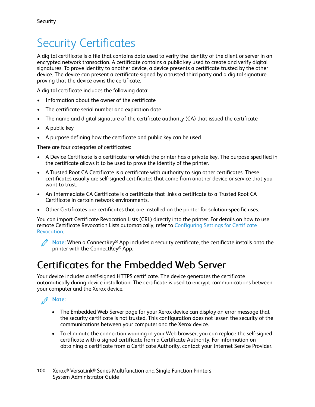# <span id="page-99-0"></span>Security Certificates

A digital certificate is a file that contains data used to verify the identity of the client or server in an encrypted network transaction. A certificate contains a public key used to create and verify digital signatures. To prove identity to another device, a device presents a certificate trusted by the other device. The device can present a certificate signed by a trusted third party and a digital signature proving that the device owns the certificate.

A digital certificate includes the following data:

- Information about the owner of the certificate
- The certificate serial number and expiration date
- The name and digital signature of the certificate authority (CA) that issued the certificate
- A public key
- A purpose defining how the certificate and public key can be used

There are four categories of certificates:

- A Device Certificate is a certificate for which the printer has a private key. The purpose specified in the certificate allows it to be used to prove the identity of the printer.
- A Trusted Root CA Certificate is a certificate with authority to sign other certificates. These certificates usually are self-signed certificates that come from another device or service that you want to trust.
- An Intermediate CA Certificate is a certificate that links a certificate to a Trusted Root CA Certificate in certain network environments.
- Other Certificates are certificates that are installed on the printer for solution-specific uses.

You can import Certificate Revocation Lists (CRL) directly into the printer. For details on how to use remote Certificate Revocation Lists automatically, refer to [Configuring](#page-104-0) Settings for Certificate [Revocation.](#page-104-0)

**Note:** When a ConnectKey® App includes a security certificate, the certificate installs onto the printer with the ConnectKey® App.

#### Certificates for the Embedded Web Server

Your device includes a self-signed HTTPS certificate. The device generates the certificate automatically during device installation. The certificate is used to encrypt communications between your computer and the Xerox device.

#### **Note:**

- The Embedded Web Server page for your Xerox device can display an error message that the security certificate is not trusted. This configuration does not lessen the security of the communications between your computer and the Xerox device.
- To eliminate the connection warning in your Web browser, you can replace the self-signed certificate with a signed certificate from a Certificate Authority. For information on obtaining a certificate from a Certificate Authority, contact your Internet Service Provider.

100 Xerox® VersaLink® Series Multifunction and Single Function Printers System Administrator Guide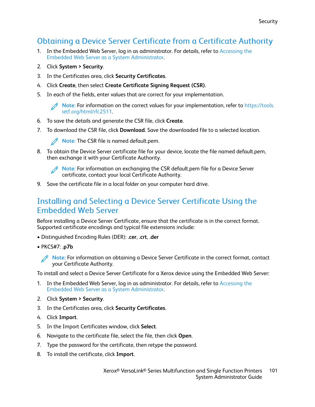#### Obtaining a Device Server Certificate from a Certificate Authority

- 1. In the Embedded Web Server, log in as administrator. For details, refer to [Accessing](#page-19-0) the Embedded Web Server as a System [Administrator](#page-19-0).
- 2. Click **System > Security**.
- 3. In the Certificates area, click **Security Certificates**.
- 4. Click **Create**, then select **Create Certificate Signing Request (CSR)**.
- 5. In each of the fields, enter values that are correct for your implementation.

**Note:** For information on the correct values for your implementation, refer to [https://tools.](https://tools.ietf.org/html/rfc2511) [ietf.org/html/rfc2511.](https://tools.ietf.org/html/rfc2511)

- 6. To save the details and generate the CSR file, click **Create**.
- 7. To download the CSR file, click **Download**. Save the downloaded file to a selected location.

**Note:** The CSR file is named default.pem.

8. To obtain the Device Server certificate file for your device, locate the file named default.pem, then exchange it with your Certificate Authority.

**Note:** For information on exchanging the CSR default.pem file for a Device Server certificate, contact your local Certificate Authority.

9. Save the certificate file in a local folder on your computer hard drive.

#### Installing and Selecting a Device Server Certificate Using the Embedded Web Server

Before installing a Device Server Certificate, ensure that the certificate is in the correct format. Supported certificate encodings and typical file extensions include:

- Distinguished Encoding Rules (DER): **.cer**, **.crt**, **.der**
- PKCS#7: **.p7b**

**Note:** For information on obtaining a Device Server Certificate in the correct format, contact your Certificate Authority.

To install and select a Device Server Certificate for a Xerox device using the Embedded Web Server:

- 1. In the Embedded Web Server, log in as administrator. For details, refer to [Accessing](#page-19-0) the Embedded Web Server as a System [Administrator](#page-19-0).
- 2. Click **System > Security**.
- 3. In the Certificates area, click **Security Certificates**.
- 4. Click **Import**.
- 5. In the Import Certificates window, click **Select**.
- 6. Navigate to the certificate file, select the file, then click **Open**.
- 7. Type the password for the certificate, then retype the password.
- 8. To install the certificate, click **Import**.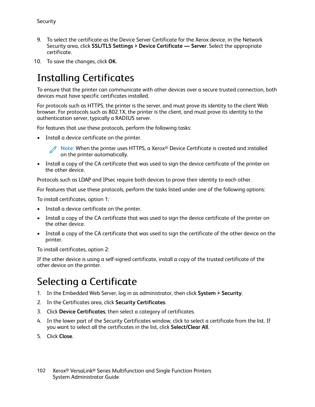- 9. To select the certificate as the Device Server Certificate for the Xerox device, in the Network Security area, click **SSL/TLS Settings > Device Certificate — Server**. Select the appropriate certificate.
- 10. To save the changes, click **OK**.

### Installing Certificates

To ensure that the printer can communicate with other devices over a secure trusted connection, both devices must have specific certificates installed.

For protocols such as HTTPS, the printer is the server, and must prove its identity to the client Web browser. For protocols such as 802.1X, the printer is the client, and must prove its identity to the authentication server, typically a RADIUS server.

For features that use these protocols, perform the following tasks:

• Install a device certificate on the printer.

**Note:** When the printer uses HTTPS, a Xerox® Device Certificate is created and installed on the printer automatically.

• Install a copy of the CA certificate that was used to sign the device certificate of the printer on the other device.

Protocols such as LDAP and IPsec require both devices to prove their identity to each other.

For features that use these protocols, perform the tasks listed under one of the following options:

To install certificates, option 1:

- Install a device certificate on the printer.
- Install a copy of the CA certificate that was used to sign the device certificate of the printer on the other device.
- Install a copy of the CA certificate that was used to sign the certificate of the other device on the printer.

To install certificates, option 2:

If the other device is using a self-signed certificate, install a copy of the trusted certificate of the other device on the printer.

#### Selecting a Certificate

- 1. In the Embedded Web Server, log in as administrator, then click **System > Security**.
- 2. In the Certificates area, click **Security Certificates**.
- 3. Click **Device Certificates**, then select a category of certificates.
- 4. In the lower part of the Security Certificates window, click to select a certificate from the list. If you want to select all the certificates in the list, click **Select/Clear All**.
- 5. Click **Close**.
- 102 Xerox® VersaLink® Series Multifunction and Single Function Printers System Administrator Guide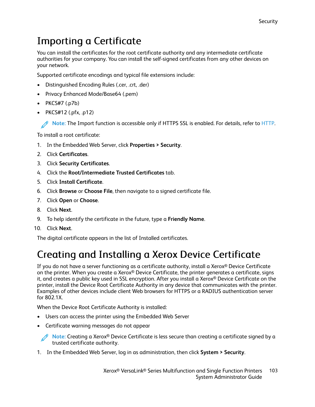### Importing a Certificate

You can install the certificates for the root certificate authority and any intermediate certificate authorities for your company. You can install the self-signed certificates from any other devices on your network.

Supported certificate encodings and typical file extensions include:

- Distinguished Encoding Rules (.cer, .crt, .der)
- Privacy Enhanced Mode/Base64 (.pem)
- PKCS#7 (.p7b)
- PKCS#12 (.pfx, .p12)

**Note:** The Import function is accessible only if [HTTP](#page-52-1)S SSL is enabled. For details, refer to HTTP.

To install a root certificate:

- 1. In the Embedded Web Server, click **Properties > Security**.
- 2. Click **Certificates**.
- 3. Click **Security Certificates**.
- 4. Click the **Root/Intermediate Trusted Certificates** tab.
- 5. Click **Install Certificate**.
- 6. Click **Browse** or **Choose File**, then navigate to a signed certificate file.
- 7. Click **Open** or **Choose**.
- 8. Click **Next**.
- 9. To help identify the certificate in the future, type a **Friendly Name**.
- 10. Click **Next**.

The digital certificate appears in the list of Installed certificates.

### Creating and Installing a Xerox Device Certificate

If you do not have a server functioning as a certificate authority, install a Xerox® Device Certificate on the printer. When you create a Xerox® Device Certificate, the printer generates a certificate, signs it, and creates a public key used in SSL encryption. After you install a Xerox® Device Certificate on the printer, install the Device Root Certificate Authority in any device that communicates with the printer. Examples of other devices include client Web browsers for HTTPS or a RADIUS authentication server for 802.1X.

When the Device Root Certificate Authority is installed:

- Users can access the printer using the Embedded Web Server
- Certificate warning messages do not appear

**Note:** Creating a Xerox® Device Certificate is less secure than creating a certificate signed by a trusted certificate authority.

1. In the Embedded Web Server, log in as administration, then click **System > Security**.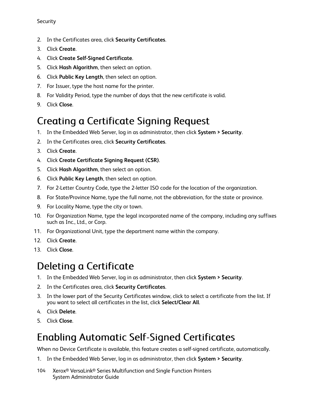#### **[Security](#page-78-0)**

- 2. In the Certificates area, click **Security Certificates**.
- 3. Click **Create**.
- 4. Click **Create Self-Signed Certificate**.
- 5. Click **Hash Algorithm**, then select an option.
- 6. Click **Public Key Length**, then select an option.
- 7. For Issuer, type the host name for the printer.
- 8. For Validity Period, type the number of days that the new certificate is valid.
- 9. Click **Close**.

### Creating a Certificate Signing Request

- 1. In the Embedded Web Server, log in as administrator, then click **System > Security**.
- 2. In the Certificates area, click **Security Certificates**.
- 3. Click **Create**.
- 4. Click **Create Certificate Signing Request (CSR)**.
- 5. Click **Hash Algorithm**, then select an option.
- 6. Click **Public Key Length**, then select an option.
- 7. For 2-Letter Country Code, type the 2-letter ISO code for the location of the organization.
- 8. For State/Province Name, type the full name, not the abbreviation, for the state or province.
- 9. For Locality Name, type the city or town.
- 10. For Organization Name, type the legal incorporated name of the company, including any suffixes such as Inc., Ltd., or Corp.
- 11. For Organizational Unit, type the department name within the company.
- 12. Click **Create**.
- 13. Click **Close**.

#### Deleting a Certificate

- 1. In the Embedded Web Server, log in as administrator, then click **System > Security**.
- 2. In the Certificates area, click **Security Certificates**.
- 3. In the lower part of the Security Certificates window, click to select a certificate from the list. If you want to select all certificates in the list, click **Select/Clear All**.
- 4. Click **Delete**.
- 5. Click **Close**.

### Enabling Automatic Self-Signed Certificates

When no Device Certificate is available, this feature creates a self-signed certificate, automatically.

- 1. In the Embedded Web Server, log in as administrator, then click **System > Security**.
- 104 Xerox® VersaLink® Series Multifunction and Single Function Printers System Administrator Guide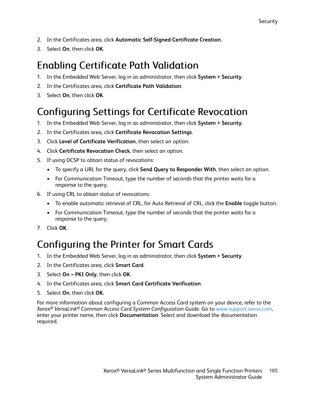- 2. In the Certificates area, click **Automatic Self-Signed Certificate Creation**.
- 3. Select **On**, then click **OK**.

#### Enabling Certificate Path Validation

- 1. In the Embedded Web Server, log in as administrator, then click **System > Security**.
- 2. In the Certificates area, click **Certificate Path Validation**.
- 3. Select **On**, then click **OK**.

### <span id="page-104-0"></span>Configuring Settings for Certificate Revocation

- 1. In the Embedded Web Server, log in as administrator, then click **System > Security**.
- 2. In the Certificates area, click **Certificate Revocation Settings**.
- 3. Click **Level of Certificate Verification**, then select an option.
- 4. Click **Certificate Revocation Check**, then select an option.
- 5. If using OCSP to obtain status of revocations:
	- To specify a URL for the query, click **Send Query to Responder With**, then select an option.
	- For Communication Timeout, type the number of seconds that the printer waits for a response to the query.
- 6. If using CRL to obtain status of revocations:
	- To enable automatic retrieval of CRL, for Auto Retrieval of CRL, click the **Enable** toggle button.
	- For Communication Timeout, type the number of seconds that the printer waits for a response to the query.
- 7. Click **OK**.

#### Configuring the Printer for Smart Cards

- 1. In the Embedded Web Server, log in as administrator, then click **System > Security**.
- 2. In the Certificates area, click **Smart Card**.
- 3. Select **On – PKI Only**, then click **OK**.
- 4. In the Certificates area, click **Smart Card Certificate Verification**.
- 5. Select **On**, then click **OK**.

For more information about configuring a Common Access Card system on your device, refer to the *Xerox*® *VersaLink*® *Common Access Card System Configuration Guide*. Go to [www.support.xerox.com](http://www.support.xerox.com), enter your printer name, then click **Documentation**. Select and download the documentation required.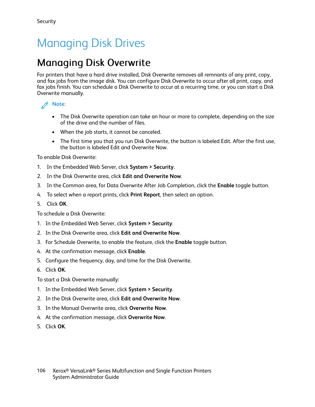# <span id="page-105-0"></span>Managing Disk Drives

## Managing Disk Overwrite

For printers that have a hard drive installed, Disk Overwrite removes all remnants of any print, copy, and fax jobs from the image disk. You can configure Disk Overwrite to occur after all print, copy, and fax jobs finish. You can schedule a Disk Overwrite to occur at a recurring time, or you can start a Disk Overwrite manually.

#### **Note:**

- The Disk Overwrite operation can take an hour or more to complete, depending on the size of the drive and the number of files.
- When the job starts, it cannot be canceled.
- The first time you that you run Disk Overwrite, the button is labeled Edit. After the first use, the button is labeled Edit and Overwrite Now.

#### To enable Disk Overwrite:

- 1. In the Embedded Web Server, click **System > Security**.
- 2. In the Disk Overwrite area, click **Edit and Overwrite Now**.
- 3. In the Common area, for Data Overwrite After Job Completion, click the **Enable** toggle button.
- 4. To select when a report prints, click **Print Report**, then select an option.
- 5. Click **OK**.

To schedule a Disk Overwrite:

- 1. In the Embedded Web Server, click **System > Security**.
- 2. In the Disk Overwrite area, click **Edit and Overwrite Now**.
- 3. For Schedule Overwrite, to enable the feature, click the **Enable** toggle button.
- 4. At the confirmation message, click **Enable**.
- 5. Configure the frequency, day, and time for the Disk Overwrite.
- 6. Click **OK**.

To start a Disk Overwrite manually:

- 1. In the Embedded Web Server, click **System > Security**.
- 2. In the Disk Overwrite area, click **Edit and Overwrite Now**.
- 3. In the Manual Overwrite area, click **Overwrite Now**.
- 4. At the confirmation message, click **Overwrite Now**.
- 5. Click **OK**.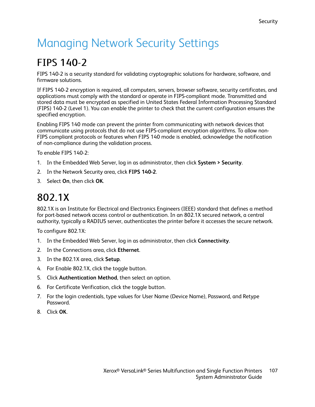# <span id="page-106-1"></span>Managing Network Security Settings

### <span id="page-106-0"></span>FIPS 140-2

FIPS 140-2 is a security standard for validating cryptographic solutions for hardware, software, and firmware solutions.

If FIPS 140-2 encryption is required, all computers, servers, browser software, security certificates, and applications must comply with the standard or operate in FIPS-compliant mode. Transmitted and stored data must be encrypted as specified in United States Federal Information Processing Standard (FIPS) 140-2 (Level 1). You can enable the printer to check that the current configuration ensures the specified encryption.

Enabling FIPS 140 mode can prevent the printer from communicating with network devices that communicate using protocols that do not use FIPS-compliant encryption algorithms. To allow non-FIPS compliant protocols or features when FIPS 140 mode is enabled, acknowledge the notification of non-compliance during the validation process.

To enable FIPS 140-2:

- 1. In the Embedded Web Server, log in as administrator, then click **System > Security**.
- 2. In the Network Security area, click **FIPS 140-2**.
- 3. Select **On**, then click **OK**.

#### 802.1X

802.1X is an Institute for Electrical and Electronics Engineers (IEEE) standard that defines a method for port-based network access control or authentication. In an 802.1X secured network, a central authority, typically a RADIUS server, authenticates the printer before it accesses the secure network.

To configure 802.1X:

- 1. In the Embedded Web Server, log in as administrator, then click **Connectivity**.
- 2. In the Connections area, click **Ethernet**.
- 3. In the 802.1X area, click **Setup**.
- 4. For Enable 802.1X, click the toggle button.
- 5. Click **Authentication Method**, then select an option.
- 6. For Certificate Verification, click the toggle button.
- 7. For the login credentials, type values for User Name (Device Name), Password, and Retype Password.
- 8. Click **OK**.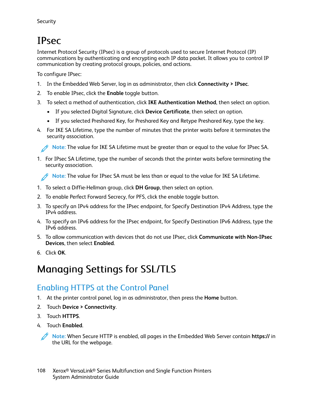### IPsec

Internet Protocol Security (IPsec) is a group of protocols used to secure Internet Protocol (IP) communications by authenticating and encrypting each IP data packet. It allows you to control IP communication by creating protocol groups, policies, and actions.

To configure IPsec:

- 1. In the Embedded Web Server, log in as administrator, then click **Connectivity > IPsec**.
- 2. To enable IPsec, click the **Enable** toggle button.
- 3. To select a method of authentication, click **IKE Authentication Method**, then select an option.
	- If you selected Digital Signature, click **Device Certificate**, then select an option.
	- If you selected Preshared Key, for Preshared Key and Retype Preshared Key, type the key.
- 4. For IKE SA Lifetime, type the number of minutes that the printer waits before it terminates the security association.

**Note:** The value for IKE SA Lifetime must be greater than or equal to the value for IPsec SA.

1. For IPsec SA Lifetime, type the number of seconds that the printer waits before terminating the security association.

**Note:** The value for IPsec SA must be less than or equal to the value for IKE SA Lifetime.

- 1. To select a Diffie-Hellman group, click **DH Group**, then select an option.
- 2. To enable Perfect Forward Secrecy, for PFS, click the enable toggle button.
- 3. To specify an IPv4 address for the IPsec endpoint, for Specify Destination IPv4 Address, type the IPv4 address.
- 4. To specify an IPv6 address for the IPsec endpoint, for Specify Destination IPv6 Address, type the IPv6 address.
- 5. To allow communication with devices that do not use IPsec, click **Communicate with Non-IPsec Devices**, then select **Enabled**.
- 6. Click **OK**.

### Managing Settings for SSL/TLS

#### Enabling HTTPS at the Control Panel

- 1. At the printer control panel, log in as administrator, then press the **Home** button.
- 2. Touch **Device > Connectivity**.
- 3. Touch **HTTPS**.
- 4. Touch **Enabled**.

**Note:** When Secure HTTP is enabled, all pages in the Embedded Web Server contain **https://** in the URL for the webpage.

108 Xerox® VersaLink® Series Multifunction and Single Function Printers System Administrator Guide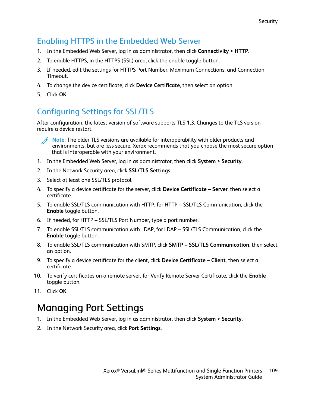#### Enabling HTTPS in the Embedded Web Server

- 1. In the Embedded Web Server, log in as administrator, then click **Connectivity > HTTP**.
- 2. To enable HTTPS, in the HTTPS (SSL) area, click the enable toggle button.
- 3. If needed, edit the settings for HTTPS Port Number, Maximum Connections, and Connection Timeout.
- 4. To change the device certificate, click **Device Certificate**, then select an option.
- 5. Click **OK**.

### Configuring Settings for SSL/TLS

After configuration, the latest version of software supports TLS 1.3. Changes to the TLS version require a device restart.

**Note:** The older TLS versions are available for interoperability with older products and environments, but are less secure. Xerox recommends that you choose the most secure option that is interoperable with your environment.

- 1. In the Embedded Web Server, log in as administrator, then click **System > Security**.
- 2. In the Network Security area, click **SSL/TLS Settings**.
- 3. Select at least one SSL/TLS protocol.
- 4. To specify a device certificate for the server, click **Device Certificate – Server**, then select a certificate.
- 5. To enable SSL/TLS communication with HTTP, for HTTP SSL/TLS Communication, click the **Enable** toggle button.
- 6. If needed, for HTTP SSL/TLS Port Number, type a port number.
- 7. To enable SSL/TLS communication with LDAP, for LDAP SSL/TLS Communication, click the **Enable** toggle button.
- 8. To enable SSL/TLS communication with SMTP, click **SMTP – SSL/TLS Communication**, then select an option.
- 9. To specify a device certificate for the client, click **Device Certificate – Client**, then select a certificate.
- 10. To verify certificates on a remote server, for Verify Remote Server Certificate, click the **Enable** toggle button.
- 11. Click **OK**.

## Managing Port Settings

- 1. In the Embedded Web Server, log in as administrator, then click **System > Security**.
- 2. In the Network Security area, click **Port Settings**.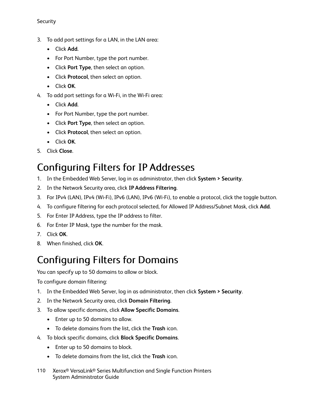#### **[Security](#page-78-0)**

- 3. To add port settings for a LAN, in the LAN area:
	- Click **Add**.
	- For Port Number, type the port number.
	- Click **Port Type**, then select an option.
	- Click **Protocol**, then select an option.
	- Click **OK**.
- 4. To add port settings for a Wi-Fi, in the Wi-Fi area:
	- Click **Add**.
	- For Port Number, type the port number.
	- Click **Port Type**, then select an option.
	- Click **Protocol**, then select an option.
	- Click **OK**.
- 5. Click **Close**.

## Configuring Filters for IP Addresses

- 1. In the Embedded Web Server, log in as administrator, then click **System > Security**.
- 2. In the Network Security area, click **IP Address Filtering**.
- 3. For IPv4 (LAN), IPv4 (Wi-Fi), IPv6 (LAN), IPv6 (Wi-Fi), to enable a protocol, click the toggle button.
- 4. To configure filtering for each protocol selected, for Allowed IP Address/Subnet Mask, click **Add**.
- 5. For Enter IP Address, type the IP address to filter.
- 6. For Enter IP Mask, type the number for the mask.
- 7. Click **OK**.
- 8. When finished, click **OK**.

## Configuring Filters for Domains

You can specify up to 50 domains to allow or block.

To configure domain filtering:

- 1. In the Embedded Web Server, log in as administrator, then click **System > Security**.
- 2. In the Network Security area, click **Domain Filtering**.
- 3. To allow specific domains, click **Allow Specific Domains**.
	- Enter up to 50 domains to allow.
	- To delete domains from the list, click the **Trash** icon.
- 4. To block specific domains, click **Block Specific Domains**.
	- Enter up to 50 domains to block.
	- To delete domains from the list, click the **Trash** icon.
- 110 Xerox<sup>®</sup> VersaLink<sup>®</sup> Series Multifunction and Single Function Printers System Administrator Guide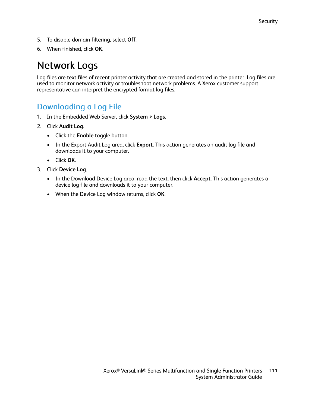- 5. To disable domain filtering, select **Off**.
- 6. When finished, click **OK**.

## Network Logs

Log files are text files of recent printer activity that are created and stored in the printer. Log files are used to monitor network activity or troubleshoot network problems. A Xerox customer support representative can interpret the encrypted format log files.

#### Downloading a Log File

- 1. In the Embedded Web Server, click **System > Logs**.
- 2. Click **Audit Log**.
	- Click the **Enable** toggle button.
	- In the Export Audit Log area, click **Export**. This action generates an audit log file and downloads it to your computer.
	- Click **OK**.
- 3. Click **Device Log**.
	- In the Download Device Log area, read the text, then click **Accept**. This action generates a device log file and downloads it to your computer.
	- When the Device Log window returns, click **OK**.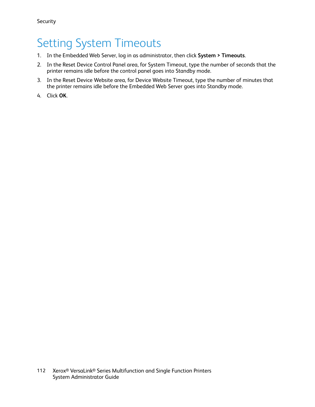# Setting System Timeouts

- 1. In the Embedded Web Server, log in as administrator, then click **System > Timeouts**.
- 2. In the Reset Device Control Panel area, for System Timeout, type the number of seconds that the printer remains idle before the control panel goes into Standby mode.
- 3. In the Reset Device Website area, for Device Website Timeout, type the number of minutes that the printer remains idle before the Embedded Web Server goes into Standby mode.
- 4. Click **OK**.

112 Xerox<sup>®</sup> VersaLink<sup>®</sup> Series Multifunction and Single Function Printers System Administrator Guide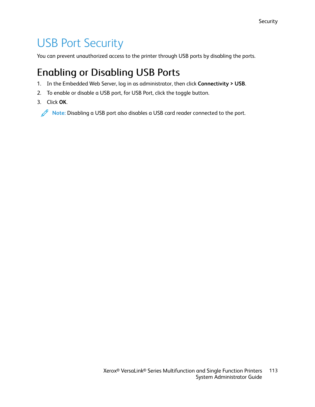# USB Port Security

You can prevent unauthorized access to the printer through USB ports by disabling the ports.

## Enabling or Disabling USB Ports

- 1. In the Embedded Web Server, log in as administrator, then click **Connectivity > USB**.
- 2. To enable or disable a USB port, for USB Port, click the toggle button.
- 3. Click **OK**.

**Note:** Disabling a USB port also disables a USB card reader connected to the port.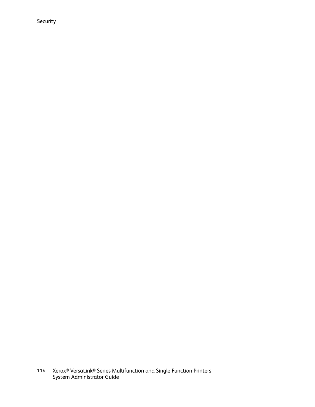[Security](#page-78-0)

114 Xerox® VersaLink® Series Multifunction and Single Function Printers System Administrator Guide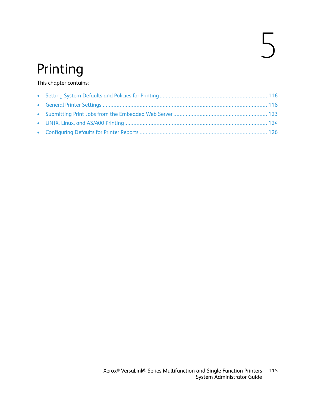# 5

# <span id="page-114-0"></span>Printing

#### This chapter contains: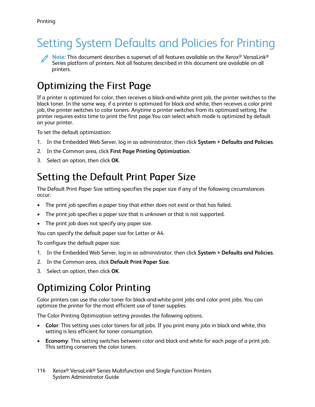# <span id="page-115-0"></span>Setting System Defaults and Policies for Printing

**Note:** This document describes a superset of all features available on the Xerox® VersaLink® Series platform of printers. Not all features described in this document are available on all printers.

## <span id="page-115-1"></span>Optimizing the First Page

If a printer is optimized for color, then receives a black-and-white print job, the printer switches to the black toner. In the same way, if a printer is optimized for black and white, then receives a color print job, the printer switches to color toners. Anytime a printer switches from its optimized setting, the printer requires extra time to print the first page.You can select which mode is optimized by default on your printer.

To set the default optimization:

- 1. In the Embedded Web Server, log in as administrator, then click **System > Defaults and Policies**.
- 2. In the Common area, click **First Page Printing Optimization**.
- 3. Select an option, then click **OK**.

## <span id="page-115-2"></span>Setting the Default Print Paper Size

The Default Print Paper Size setting specifies the paper size if any of the following circumstances occur:

- The print job specifies a paper tray that either does not exist or that has failed.
- The print job specifies a paper size that is unknown or that is not supported.
- The print job does not specify any paper size.

You can specify the default paper size for Letter or A4.

To configure the default paper size:

- 1. In the Embedded Web Server, log in as administrator, then click **System > Defaults and Policies**.
- 2. In the Common area, click **Default Print Paper Size**.
- 3. Select an option, then click **OK**.

## <span id="page-115-3"></span>Optimizing Color Printing

Color printers can use the color toner for black-and-white print jobs and color print jobs. You can optimize the printer for the most efficient use of toner supplies.

The Color Printing Optimization setting provides the following options.

- **Color**: This setting uses color toners for all jobs. If you print many jobs in black and white, this setting is less efficient for toner consumption.
- **Economy**: This setting switches between color and black and white for each page of a print job. This setting conserves the color toners.
- 116 Xerox® VersaLink® Series Multifunction and Single Function Printers System Administrator Guide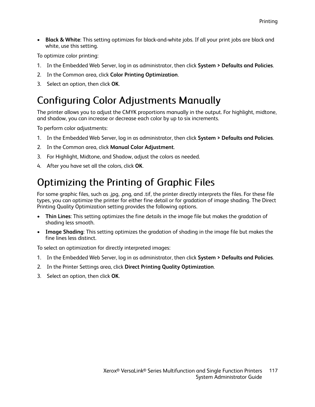• **Black & White**: This setting optimizes for black-and-white jobs. If all your print jobs are black and white, use this setting.

To optimize color printing:

- 1. In the Embedded Web Server, log in as administrator, then click **System > Defaults and Policies**.
- 2. In the Common area, click **Color Printing Optimization**.
- 3. Select an option, then click **OK**.

## <span id="page-116-0"></span>Configuring Color Adjustments Manually

The printer allows you to adjust the CMYK proportions manually in the output. For highlight, midtone, and shadow, you can increase or decrease each color by up to six increments.

To perform color adjustments:

- 1. In the Embedded Web Server, log in as administrator, then click **System > Defaults and Policies**.
- 2. In the Common area, click **Manual Color Adjustment**.
- 3. For Highlight, Midtone, and Shadow, adjust the colors as needed.
- 4. After you have set all the colors, click **OK**.

## Optimizing the Printing of Graphic Files

For some graphic files, such as .jpg, .png, and .tif, the printer directly interprets the files. For these file types, you can optimize the printer for either fine detail or for gradation of image shading. The Direct Printing Quality Optimization setting provides the following options.

- **Thin Lines**: This setting optimizes the fine details in the image file but makes the gradation of shading less smooth.
- **Image Shading**: This setting optimizes the gradation of shading in the image file but makes the fine lines less distinct.

To select an optimization for directly interpreted images:

- 1. In the Embedded Web Server, log in as administrator, then click **System > Defaults and Policies**.
- 2. In the Printer Settings area, click **Direct Printing Quality Optimization**.
- 3. Select an option, then click **OK**.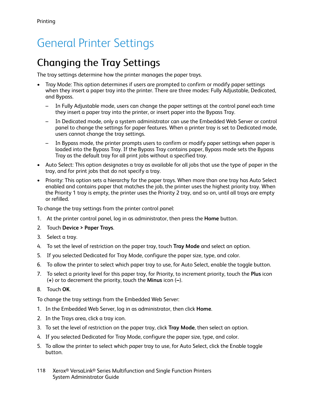## <span id="page-117-0"></span>General Printer Settings

## Changing the Tray Settings

The tray settings determine how the printer manages the paper trays.

- Tray Mode: This option determines if users are prompted to confirm or modify paper settings when they insert a paper tray into the printer. There are three modes: Fully Adjustable, Dedicated, and Bypass.
	- In Fully Adjustable mode, users can change the paper settings at the control panel each time they insert a paper tray into the printer, or insert paper into the Bypass Tray.
	- In Dedicated mode, only a system administrator can use the Embedded Web Server or control panel to change the settings for paper features. When a printer tray is set to Dedicated mode, users cannot change the tray settings.
	- In Bypass mode, the printer prompts users to confirm or modify paper settings when paper is loaded into the Bypass Tray. If the Bypass Tray contains paper, Bypass mode sets the Bypass Tray as the default tray for all print jobs without a specified tray.
- Auto Select: This option designates a tray as available for all jobs that use the type of paper in the tray, and for print jobs that do not specify a tray.
- Priority: This option sets a hierarchy for the paper trays. When more than one tray has Auto Select enabled and contains paper that matches the job, the printer uses the highest priority tray. When the Priority 1 tray is empty, the printer uses the Priority 2 tray, and so on, until all trays are empty or refilled.

To change the tray settings from the printer control panel:

- 1. At the printer control panel, log in as administrator, then press the **Home** button.
- 2. Touch **Device > Paper Trays**.
- 3. Select a tray.
- 4. To set the level of restriction on the paper tray, touch **Tray Mode** and select an option.
- 5. If you selected Dedicated for Tray Mode, configure the paper size, type, and color.
- 6. To allow the printer to select which paper tray to use, for Auto Select, enable the toggle button.
- 7. To select a priority level for this paper tray, for Priority, to increment priority, touch the **Plus** icon (**+**) or to decrement the priority, touch the **Minus** icon (**–**).
- 8. Touch **OK**.

To change the tray settings from the Embedded Web Server:

- 1. In the Embedded Web Server, log in as administrator, then click **Home**.
- 2. In the Trays area, click a tray icon.
- 3. To set the level of restriction on the paper tray, click **Tray Mode**, then select an option.
- 4. If you selected Dedicated for Tray Mode, configure the paper size, type, and color.
- 5. To allow the printer to select which paper tray to use, for Auto Select, click the Enable toggle button.
- 118 Xerox<sup>®</sup> VersaLink<sup>®</sup> Series Multifunction and Single Function Printers System Administrator Guide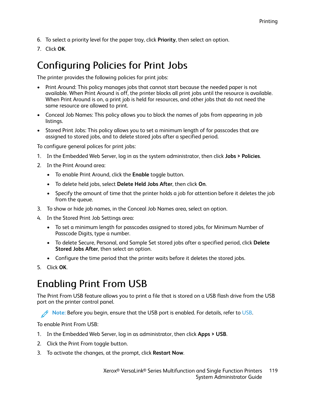- 6. To select a priority level for the paper tray, click **Priority**, then select an option.
- 7. Click **OK**.

## Configuring Policies for Print Jobs

The printer provides the following policies for print jobs:

- Print Around: This policy manages jobs that cannot start because the needed paper is not available. When Print Around is off, the printer blocks all print jobs until the resource is available. When Print Around is on, a print job is held for resources, and other jobs that do not need the same resource are allowed to print.
- Conceal Job Names: This policy allows you to block the names of jobs from appearing in job listings.
- Stored Print Jobs: This policy allows you to set a minimum length of for passcodes that are assigned to stored jobs, and to delete stored jobs after a specified period.

To configure general polices for print jobs:

- 1. In the Embedded Web Server, log in as the system administrator, then click **Jobs > Policies**.
- 2. In the Print Around area:
	- To enable Print Around, click the **Enable** toggle button.
	- To delete held jobs, select **Delete Held Jobs After**, then click **On**.
	- Specify the amount of time that the printer holds a job for attention before it deletes the job from the queue.
- 3. To show or hide job names, in the Conceal Job Names area, select an option.
- 4. In the Stored Print Job Settings area:
	- To set a minimum length for passcodes assigned to stored jobs, for Minimum Number of Passcode Digits, type a number.
	- To delete Secure, Personal, and Sample Set stored jobs after a specified period, click **Delete Stored Jobs After**, then select an option.
	- Configure the time period that the printer waits before it deletes the stored jobs.
- 5. Click **OK**.

### Enabling Print From USB

The Print From USB feature allows you to print a file that is stored on a USB flash drive from the USB port on the printer control panel.

**Note:** Before you begin, ensure that the USB port is enabled. For details, refer to [USB](#page-44-0).

To enable Print From USB:

- 1. In the Embedded Web Server, log in as administrator, then click **Apps > USB**.
- 2. Click the Print From toggle button.
- 3. To activate the changes, at the prompt, click **Restart Now**.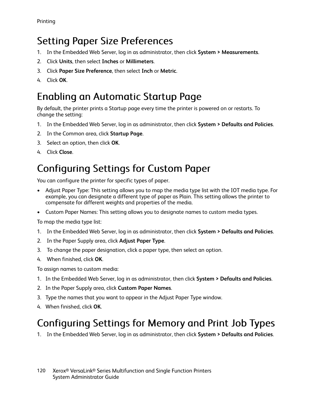## Setting Paper Size Preferences

- 1. In the Embedded Web Server, log in as administrator, then click **System > Measurements**.
- 2. Click **Units**, then select **Inches** or **Millimeters**.
- 3. Click **Paper Size Preference**, then select **Inch** or **Metric**.
- 4. Click **OK**.

## Enabling an Automatic Startup Page

By default, the printer prints a Startup page every time the printer is powered on or restarts. To change the setting:

- 1. In the Embedded Web Server, log in as administrator, then click **System > Defaults and Policies**.
- 2. In the Common area, click **Startup Page**.
- 3. Select an option, then click **OK**.
- 4. Click **Close**.

## Configuring Settings for Custom Paper

You can configure the printer for specific types of paper.

- Adjust Paper Type: This setting allows you to map the media type list with the IOT media type. For example, you can designate a different type of paper as Plain. This setting allows the printer to compensate for different weights and properties of the media.
- Custom Paper Names: This setting allows you to designate names to custom media types.

To map the media type list:

- 1. In the Embedded Web Server, log in as administrator, then click **System > Defaults and Policies**.
- 2. In the Paper Supply area, click **Adjust Paper Type**.
- 3. To change the paper designation, click a paper type, then select an option.
- 4. When finished, click **OK**.

To assign names to custom media:

- 1. In the Embedded Web Server, log in as administrator, then click **System > Defaults and Policies**.
- 2. In the Paper Supply area, click **Custom Paper Names**.
- 3. Type the names that you want to appear in the Adjust Paper Type window.
- 4. When finished, click **OK**.

## Configuring Settings for Memory and Print Job Types

1. In the Embedded Web Server, log in as administrator, then click **System > Defaults and Policies**.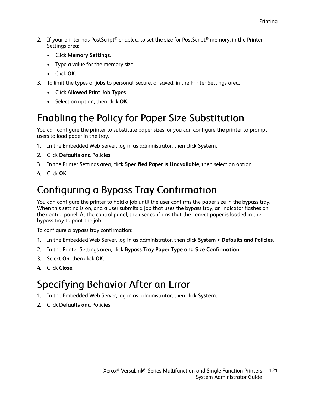- 2. If your printer has PostScript<sup>®</sup> enabled, to set the size for PostScript<sup>®</sup> memory, in the Printer Settings area:
	- Click **Memory Settings**.
	- Type a value for the memory size.
	- Click **OK**.
- 3. To limit the types of jobs to personal, secure, or saved, in the Printer Settings area:
	- Click **Allowed Print Job Types**.
	- Select an option, then click **OK**.

## Enabling the Policy for Paper Size Substitution

You can configure the printer to substitute paper sizes, or you can configure the printer to prompt users to load paper in the tray.

- 1. In the Embedded Web Server, log in as administrator, then click **System**.
- 2. Click **Defaults and Policies**.
- 3. In the Printer Settings area, click **Specified Paper is Unavailable**, then select an option.
- 4. Click **OK**.

## Configuring a Bypass Tray Confirmation

You can configure the printer to hold a job until the user confirms the paper size in the bypass tray. When this setting is on, and a user submits a job that uses the bypass tray, an indicator flashes on the control panel. At the control panel, the user confirms that the correct paper is loaded in the bypass tray to print the job.

To configure a bypass tray confirmation:

- 1. In the Embedded Web Server, log in as administrator, then click **System > Defaults and Policies**.
- 2. In the Printer Settings area, click **Bypass Tray Paper Type and Size Confirmation**.
- 3. Select **On**, then click **OK**.
- 4. Click **Close**.

## Specifying Behavior After an Error

- 1. In the Embedded Web Server, log in as administrator, then click **System**.
- 2. Click **Defaults and Policies**.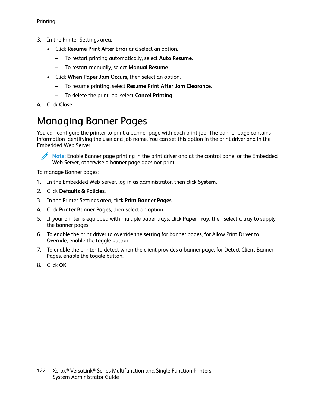- 3. In the Printer Settings area:
	- Click **Resume Print After Error** and select an option.
		- To restart printing automatically, select **Auto Resume**.
		- To restart manually, select **Manual Resume**.
	- Click **When Paper Jam Occurs**, then select an option.
		- To resume printing, select **Resume Print After Jam Clearance**.
		- To delete the print job, select **Cancel Printing**.
- 4. Click **Close**.

## Managing Banner Pages

You can configure the printer to print a banner page with each print job. The banner page contains information identifying the user and job name. You can set this option in the print driver and in the Embedded Web Server.

**Note:** Enable Banner page printing in the print driver and at the control panel or the Embedded Web Server, otherwise a banner page does not print.

To manage Banner pages:

- 1. In the Embedded Web Server, log in as administrator, then click **System**.
- 2. Click **Defaults & Policies**.
- 3. In the Printer Settings area, click **Print Banner Pages**.
- 4. Click **Printer Banner Pages**, then select an option.
- 5. If your printer is equipped with multiple paper trays, click **Paper Tray**, then select a tray to supply the banner pages.
- 6. To enable the print driver to override the setting for banner pages, for Allow Print Driver to Override, enable the toggle button.
- 7. To enable the printer to detect when the client provides a banner page, for Detect Client Banner Pages, enable the toggle button.
- 8. Click **OK**.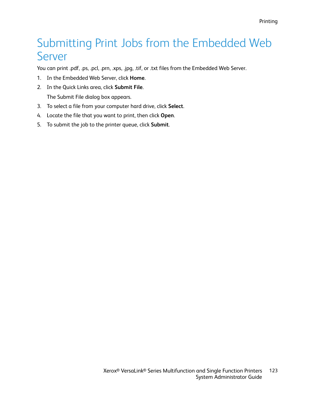## <span id="page-122-0"></span>Submitting Print Jobs from the Embedded Web Server

You can print .pdf, .ps, .pcl, .prn, .xps, .jpg, .tif, or .txt files from the Embedded Web Server.

- 1. In the Embedded Web Server, click **Home**.
- 2. In the Quick Links area, click **Submit File**. The Submit File dialog box appears.
- 3. To select a file from your computer hard drive, click **Select**.
- 4. Locate the file that you want to print, then click **Open**.
- 5. To submit the job to the printer queue, click **Submit**.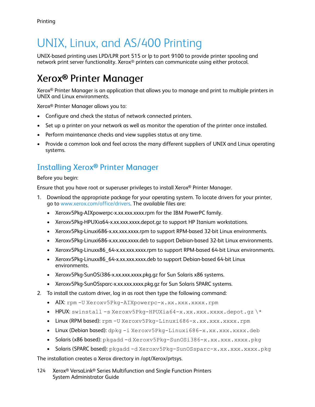# <span id="page-123-0"></span>UNIX, Linux, and AS/400 Printing

UNIX-based printing uses LPD/LPR port 515 or lp to port 9100 to provide printer spooling and network print server functionality. Xerox® printers can communicate using either protocol.

## Xerox® Printer Manager

Xerox® Printer Manager is an application that allows you to manage and print to multiple printers in UNIX and Linux environments.

Xerox® Printer Manager allows you to:

- Configure and check the status of network connected printers.
- Set up a printer on your network as well as monitor the operation of the printer once installed.
- Perform maintenance checks and view supplies status at any time.
- Provide a common look and feel across the many different suppliers of UNIX and Linux operating systems.

#### Installing Xerox® Printer Manager

#### Before you begin:

Ensure that you have root or superuser privileges to install Xerox® Printer Manager.

- 1. Download the appropriate package for your operating system. To locate drivers for your printer, go to [www.xerox.com/office/drivers](http://www.office.xerox.com/cgi-bin/printer.pl?APP=udpdfs&Page=color&PgName=driver&Language=English). The available files are:
	- Xeroxv5Pkg-AIXpowerpc-x.xx.xxx.xxx.rpm for the IBM PowerPC family.
	- Xeroxv5Pkg-HPUXia64-x.xx.xxx.xxxx.depot.gz to support HP Itanium workstations.
	- Xeroxv5Pkg-Linuxi686-x.xx.xxx.xxx.rpm to support RPM-based 32-bit Linux environments.
	- Xeroxv5Pkg-Linuxi686-x.xx.xxx.xxx.deb to support Debian-based 32-bit Linux environments.
	- Xeroxy5Pkg-Linuxx86 64-x.xx.xxx.xxx.rpm to support RPM-based 64-bit Linux environments.
	- Xeroxy5Pkg-Linuxx86 64-x.xx.xxx.xxxx.deb to support Debian-based 64-bit Linux environments.
	- Xeroxv5Pkg-SunOSi386-x.xx.xxx.xxx.pkg.gz for Sun Solaris x86 systems.
	- Xeroxv5Pkg-SunOSsparc-x.xx.xxx.xxxx.pkg.gz for Sun Solaris SPARC systems.
- 2. To install the custom driver, log in as root then type the following command:
	- AIX: rpm U Xeroxv5Pkg-AIXpowerpc-x.xx.xxx.xxx.rpm
	- HPUX: swinstall -s Xeroxv5Pkg-HPUXia64-x.xx.xxx.xxx.depot.gz \\*
	- Linux (RPM based): rpm -U Xeroxv5Pkg-Linuxi686-x.xx.xxx.xxxx.rpm
	- Linux (Debian based): dpkg -i Xeroxv5Pkg-Linuxi686-x.xx.xxx.xxxx.deb
	- Solaris (x86 based): pkgadd -d Xeroxv5Pkg-SunOSi386-x.xx.xxx.xxxx.pkg
	- Solaris (SPARC based): pkgadd -d Xeroxv5Pkg-SunOSsparc-x.xx.xxx.xxxx.pkg

The installation creates a Xerox directory in /opt/Xerox/prtsys.

124 Xerox® VersaLink® Series Multifunction and Single Function Printers System Administrator Guide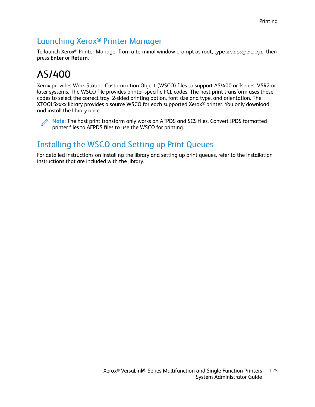#### Launching Xerox® Printer Manager

To launch Xerox® Printer Manager from a terminal window prompt as root, type  $x$ eroxprtmgr, then press **Enter** or **Return**.

## AS/400

Xerox provides Work Station Customization Object (WSCO) files to support AS/400 or Iseries, V5R2 or later systems. The WSCO file provides printer-specific PCL codes. The host print transform uses these codes to select the correct tray, 2-sided printing option, font size and type, and orientation. The XTOOLSxxxx library provides a source WSCO for each supported Xerox® printer. You only download and install the library once.

**Note:** The host print transform only works on AFPDS and SCS files. Convert IPDS formatted printer files to AFPDS files to use the WSCO for printing.

#### Installing the WSCO and Setting up Print Queues

For detailed instructions on installing the library and setting up print queues, refer to the installation instructions that are included with the library.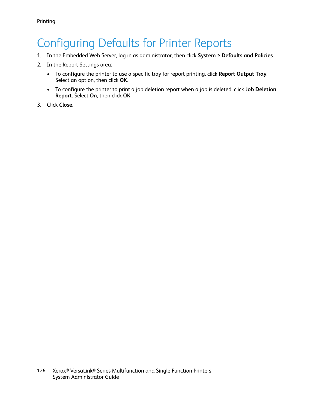# <span id="page-125-0"></span>Configuring Defaults for Printer Reports

- 1. In the Embedded Web Server, log in as administrator, then click **System > Defaults and Policies**.
- 2. In the Report Settings area:
	- To configure the printer to use a specific tray for report printing, click **Report Output Tray**. Select an option, then click **OK**.
	- To configure the printer to print a job deletion report when a job is deleted, click **Job Deletion Report**. Select **On**, then click **OK**.
- 3. Click **Close**.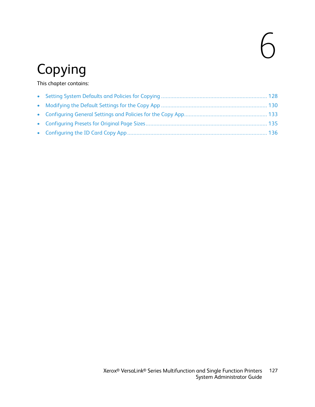# **6**

# <span id="page-126-0"></span>Copying

This chapter contains: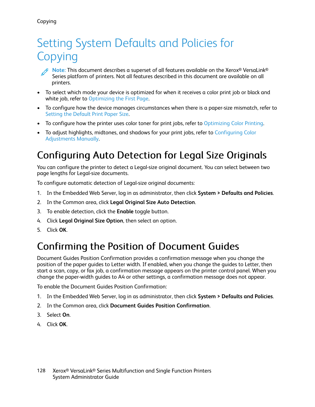# <span id="page-127-0"></span>Setting System Defaults and Policies for Copying

**Note:** This document describes a superset of all features available on the Xerox® VersaLink® Series platform of printers. Not all features described in this document are available on all printers.

- To select which mode your device is optimized for when it receives a color print job or black and white job, refer to [Optimizing](#page-115-1) the First Page.
- To configure how the device manages circumstances when there is a paper-size mismatch, refer to Setting the [Default](#page-115-2) Print Paper Size.
- To configure how the printer uses color toner for print jobs, refer to [Optimizing](#page-115-3) Color Printing.
- To adjust highlights, midtones, and shadows for your print jobs, refer to [Configuring](#page-116-0) Color [Adjustments](#page-116-0) Manually.

## <span id="page-127-1"></span>Configuring Auto Detection for Legal Size Originals

You can configure the printer to detect a Legal-size original document. You can select between two page lengths for Legal-size documents.

To configure automatic detection of Legal-size original documents:

- 1. In the Embedded Web Server, log in as administrator, then click **System > Defaults and Policies**.
- 2. In the Common area, click **Legal Original Size Auto Detection**.
- 3. To enable detection, click the **Enable** toggle button.
- 4. Click **Legal Original Size Option**, then select an option.
- 5. Click **OK**.

## <span id="page-127-2"></span>Confirming the Position of Document Guides

Document Guides Position Confirmation provides a confirmation message when you change the position of the paper guides to Letter width. If enabled, when you change the guides to Letter, then start a scan, copy, or fax job, a confirmation message appears on the printer control panel. When you change the paper-width guides to A4 or other settings, a confirmation message does not appear.

To enable the Document Guides Position Confirmation:

- 1. In the Embedded Web Server, log in as administrator, then click **System > Defaults and Policies**.
- 2. In the Common area, click **Document Guides Position Confirmation**.
- 3. Select **On**.
- 4. Click **OK**.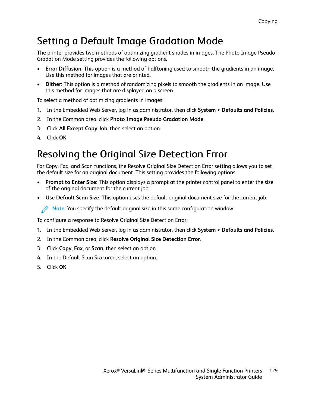## <span id="page-128-0"></span>Setting a Default Image Gradation Mode

The printer provides two methods of optimizing gradient shades in images. The Photo Image Pseudo Gradation Mode setting provides the following options.

- **Error Diffusion**: This option is a method of halftoning used to smooth the gradients in an image. Use this method for images that are printed.
- **Dither**: This option is a method of randomizing pixels to smooth the gradients in an image. Use this method for images that are displayed on a screen.

To select a method of optimizing gradients in images:

- 1. In the Embedded Web Server, log in as administrator, then click **System > Defaults and Policies**.
- 2. In the Common area, click **Photo Image Pseudo Gradation Mode**.
- 3. Click **All Except Copy Job**, then select an option.
- 4. Click **OK**.

## <span id="page-128-1"></span>Resolving the Original Size Detection Error

For Copy, Fax, and Scan functions, the Resolve Original Size Detection Error setting allows you to set the default size for an original document. This setting provides the following options.

- **Prompt to Enter Size**: This option displays a prompt at the printer control panel to enter the size of the original document for the current job.
- **Use Default Scan Size**: This option uses the default original document size for the current job.

**Note:** You specify the default original size in this same configuration window.

To configure a response to Resolve Original Size Detection Error:

- 1. In the Embedded Web Server, log in as administrator, then click **System > Defaults and Policies**.
- 2. In the Common area, click **Resolve Original Size Detection Error**.
- 3. Click **Copy**, **Fax**, or **Scan**, then select an option.
- 4. In the Default Scan Size area, select an option.
- 5. Click **OK**.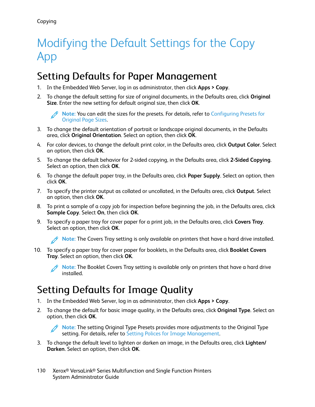# <span id="page-129-0"></span>Modifying the Default Settings for the Copy App

## Setting Defaults for Paper Management

- 1. In the Embedded Web Server, log in as administrator, then click **Apps > Copy**.
- 2. To change the default setting for size of original documents, in the Defaults area, click **Original Size**. Enter the new setting for default original size, then click **OK**.

**Note:** You can edit the sizes for the presets. For details, refer to [Configuring](#page-134-0) Presets for [Original](#page-134-0) Page Sizes.

- 3. To change the default orientation of portrait or landscape original documents, in the Defaults area, click **Original Orientation**. Select an option, then click **OK**.
- 4. For color devices, to change the default print color, in the Defaults area, click **Output Color**. Select an option, then click **OK**.
- 5. To change the default behavior for 2-sided copying, in the Defaults area, click **2-Sided Copying**. Select an option, then click **OK**.
- 6. To change the default paper tray, in the Defaults area, click **Paper Supply**. Select an option, then click **OK**.
- 7. To specify the printer output as collated or uncollated, in the Defaults area, click **Output**. Select an option, then click **OK**.
- 8. To print a sample of a copy job for inspection before beginning the job, in the Defaults area, click **Sample Copy**. Select **On**, then click **OK**.
- 9. To specify a paper tray for cover paper for a print job, in the Defaults area, click **Covers Tray**. Select an option, then click **OK**.

**Note:** The Covers Tray setting is only available on printers that have a hard drive installed.

10. To specify a paper tray for cover paper for booklets, in the Defaults area, click **Booklet Covers Tray**. Select an option, then click **OK**.

**Note:** The Booklet Covers Tray setting is available only on printers that have a hard drive installed.

## <span id="page-129-1"></span>Setting Defaults for Image Quality

- 1. In the Embedded Web Server, log in as administrator, then click **Apps > Copy**.
- 2. To change the default for basic image quality, in the Defaults area, click **Original Type**. Select an option, then click **OK**.

**Note:** The setting Original Type Presets provides more adjustments to the Original Type setting. For details, refer to Setting Polices for Image [Management](#page-132-1).

- 3. To change the default level to lighten or darken an image, in the Defaults area, click **Lighten/ Darken**. Select an option, then click **OK**.
- 130 Xerox® VersaLink® Series Multifunction and Single Function Printers System Administrator Guide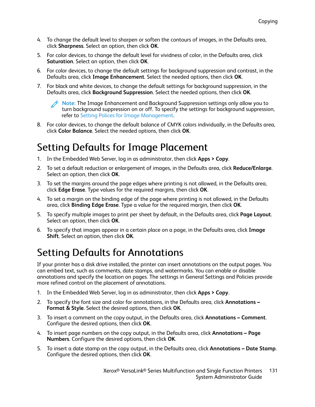- 4. To change the default level to sharpen or soften the contours of images, in the Defaults area, click **Sharpness**. Select an option, then click **OK**.
- 5. For color devices, to change the default level for vividness of color, in the Defaults area, click **Saturation**. Select an option, then click **OK**.
- 6. For color devices, to change the default settings for background suppression and contrast, in the Defaults area, click **Image Enhancement**. Select the needed options, then click **OK**.
- 7. For black and white devices, to change the default settings for background suppression, in the Defaults area, click **Background Suppression**. Select the needed options, then click **OK**.

**Note:** The Image Enhancement and Background Suppression settings only allow you to turn background suppression on or off. To specify the settings for background suppression, refer to Setting Polices for Image [Management.](#page-132-1)

8. For color devices, to change the default balance of CMYK colors individually, in the Defaults area, click **Color Balance**. Select the needed options, then click **OK**.

## Setting Defaults for Image Placement

- 1. In the Embedded Web Server, log in as administrator, then click **Apps > Copy**.
- 2. To set a default reduction or enlargement of images, in the Defaults area, click **Reduce/Enlarge**. Select an option, then click **OK**.
- 3. To set the margins around the page edges where printing is not allowed, in the Defaults area, click **Edge Erase**. Type values for the required margins, then click **OK**.
- 4. To set a margin on the binding edge of the page where printing is not allowed, in the Defaults area, click **Binding Edge Erase**. Type a value for the required margin, then click **OK**.
- 5. To specify multiple images to print per sheet by default, in the Defaults area, click **Page Layout**. Select an option, then click **OK**.
- 6. To specify that images appear in a certain place on a page, in the Defaults area, click **Image Shift**. Select an option, then click **OK**.

## Setting Defaults for Annotations

If your printer has a disk drive installed, the printer can insert annotations on the output pages. You can embed text, such as comments, date stamps, and watermarks. You can enable or disable annotations and specify the location on pages. The settings in General Settings and Policies provide more refined control on the placement of annotations.

- 1. In the Embedded Web Server, log in as administrator, then click **Apps > Copy**.
- 2. To specify the font size and color for annotations, in the Defaults area, click **Annotations – Format & Style**. Select the desired options, then click **OK**.
- 3. To insert a comment on the copy output, in the Defaults area, click **Annotations – Comment**. Configure the desired options, then click **OK**.
- 4. To insert page numbers on the copy output, in the Defaults area, click **Annotations – Page Numbers**. Configure the desired options, then click **OK**.
- 5. To insert a date stamp on the copy output, in the Defaults area, click **Annotations – Date Stamp**. Configure the desired options, then click **OK**.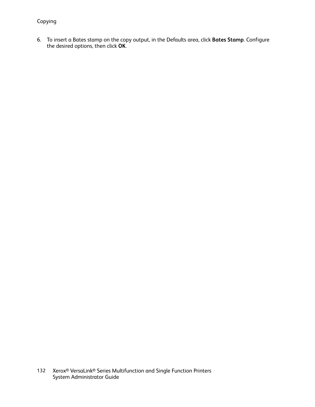#### [Copying](#page-126-0)

6. To insert a Bates stamp on the copy output, in the Defaults area, click **Bates Stamp**. Configure the desired options, then click **OK**.

132 Xerox<sup>®</sup> VersaLink<sup>®</sup> Series Multifunction and Single Function Printers System Administrator Guide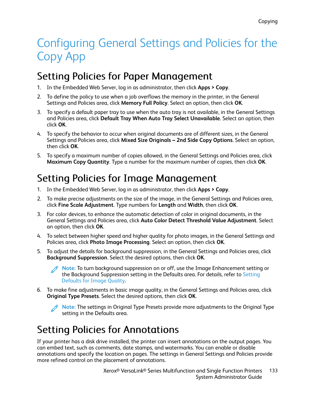# <span id="page-132-0"></span>Configuring General Settings and Policies for the Copy App

## Setting Policies for Paper Management

- 1. In the Embedded Web Server, log in as administrator, then click **Apps > Copy**.
- 2. To define the policy to use when a job overflows the memory in the printer, in the General Settings and Policies area, click **Memory Full Policy**. Select an option, then click **OK**.
- 3. To specify a default paper tray to use when the auto tray is not available, in the General Settings and Policies area, click **Default Tray When Auto Tray Select Unavailable**. Select an option, then click **OK**.
- 4. To specify the behavior to occur when original documents are of different sizes, in the General Settings and Policies area, click **Mixed Size Originals – 2nd Side Copy Options**. Select an option, then click **OK**.
- 5. To specify a maximum number of copies allowed, in the General Settings and Policies area, click **Maximum Copy Quantity**. Type a number for the maximum number of copies, then click **OK**.

## <span id="page-132-1"></span>Setting Policies for Image Management

- 1. In the Embedded Web Server, log in as administrator, then click **Apps > Copy**.
- 2. To make precise adjustments on the size of the image, in the General Settings and Policies area, click **Fine Scale Adjustment**. Type numbers for **Length** and **Width**, then click **OK**.
- 3. For color devices, to enhance the automatic detection of color in original documents, in the General Settings and Policies area, click **Auto Color Detect Threshold Value Adjustment**. Select an option, then click **OK**.
- 4. To select between higher speed and higher quality for photo images, in the General Settings and Policies area, click **Photo Image Processing**. Select an option, then click **OK**.
- 5. To adjust the details for background suppression, in the General Settings and Policies area, click **Background Suppression**. Select the desired options, then click **OK**.

**Note:** To turn background suppression on or off, use the Image Enhancement setting or the Background Suppression setting in the Defaults area. For details, refer to [Setting](#page-129-1) [Defaults](#page-129-1) for Image Quality.

6. To make fine adjustments in basic image quality, in the General Settings and Policies area, click **Original Type Presets**. Select the desired options, then click **OK**.



**Note:** The settings in Original Type Presets provide more adjustments to the Original Type setting in the Defaults area.

## Setting Policies for Annotations

If your printer has a disk drive installed, the printer can insert annotations on the output pages. You can embed text, such as comments, date stamps, and watermarks. You can enable or disable annotations and specify the location on pages. The settings in General Settings and Policies provide more refined control on the placement of annotations.

> Xerox® VersaLink® Series Multifunction and Single Function Printers System Administrator Guide 133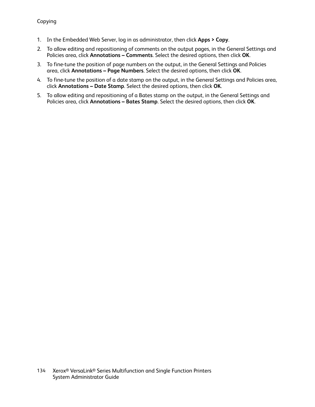- 1. In the Embedded Web Server, log in as administrator, then click **Apps > Copy**.
- 2. To allow editing and repositioning of comments on the output pages, in the General Settings and Policies area, click **Annotations – Comments**. Select the desired options, then click **OK**.
- 3. To fine-tune the position of page numbers on the output, in the General Settings and Policies area, click **Annotations – Page Numbers**. Select the desired options, then click **OK**.
- 4. To fine-tune the position of a date stamp on the output, in the General Settings and Policies area, click **Annotations – Date Stamp**. Select the desired options, then click **OK**.
- 5. To allow editing and repositioning of a Bates stamp on the output, in the General Settings and Policies area, click **Annotations – Bates Stamp**. Select the desired options, then click **OK**.

134 Xerox<sup>®</sup> VersaLink<sup>®</sup> Series Multifunction and Single Function Printers System Administrator Guide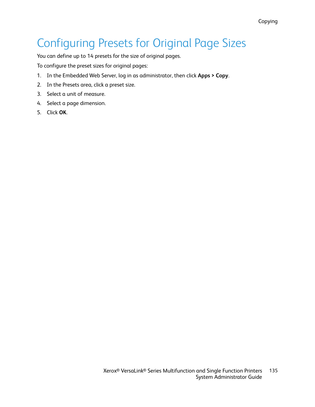# <span id="page-134-0"></span>Configuring Presets for Original Page Sizes

You can define up to 14 presets for the size of original pages.

To configure the preset sizes for original pages:

- 1. In the Embedded Web Server, log in as administrator, then click **Apps > Copy**.
- 2. In the Presets area, click a preset size.
- 3. Select a unit of measure.
- 4. Select a page dimension.
- 5. Click **OK**.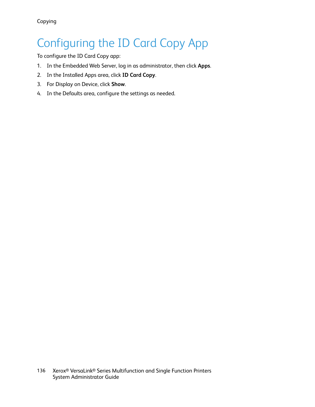# <span id="page-135-0"></span>Configuring the ID Card Copy App

To configure the ID Card Copy app:

- 1. In the Embedded Web Server, log in as administrator, then click **Apps**.
- 2. In the Installed Apps area, click **ID Card Copy**.
- 3. For Display on Device, click **Show**.
- 4. In the Defaults area, configure the settings as needed.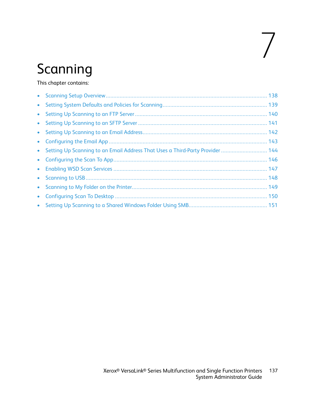# $\overline{\phantom{a}}$

# <span id="page-136-0"></span>Scanning

This chapter contains:

| $\bullet$   |                                                                               |  |
|-------------|-------------------------------------------------------------------------------|--|
| $\bullet$   |                                                                               |  |
| $\bullet$   |                                                                               |  |
|             |                                                                               |  |
|             |                                                                               |  |
| $\bullet$   |                                                                               |  |
| $\bullet$ . | Setting Up Scanning to an Email Address That Uses a Third-Party Provider  144 |  |
| $\bullet$   |                                                                               |  |
| $\bullet$   |                                                                               |  |
| $\bullet$   |                                                                               |  |
| $\bullet$   |                                                                               |  |
| $\bullet$   |                                                                               |  |
|             |                                                                               |  |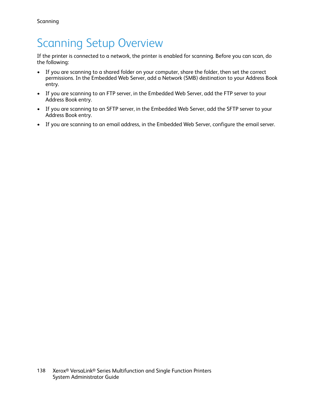# <span id="page-137-0"></span>Scanning Setup Overview

If the printer is connected to a network, the printer is enabled for scanning. Before you can scan, do the following:

- If you are scanning to a shared folder on your computer, share the folder, then set the correct permissions. In the Embedded Web Server, add a Network (SMB) destination to your Address Book entry.
- If you are scanning to an FTP server, in the Embedded Web Server, add the FTP server to your Address Book entry.
- If you are scanning to an SFTP server, in the Embedded Web Server, add the SFTP server to your Address Book entry.
- If you are scanning to an email address, in the Embedded Web Server, configure the email server.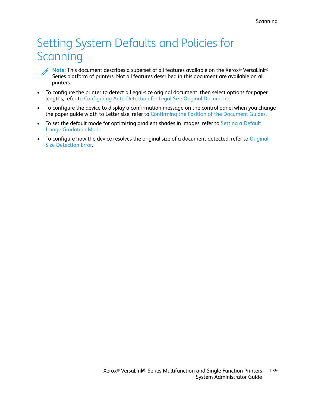## <span id="page-138-0"></span>Setting System Defaults and Policies for Scanning

**Note:** This document describes a superset of all features available on the Xerox® VersaLink® Series platform of printers. Not all features described in this document are available on all printers.

- To configure the printer to detect a Legal-size original document, then select options for paper lengths, refer to Configuring [Auto-Detection](#page-127-1) for Legal-Size Original Documents.
- To configure the device to display a confirmation message on the control panel when you change the paper guide width to Letter size, refer to [Confirming](#page-127-2) the Position of the Document Guides.
- To set the default mode for optimizing gradient shades in images, refer to Setting a [Default](#page-128-0) Image [Gradation](#page-128-0) Mode.
- To configure how the device resolves the original size of a document detected, refer to [Original-](#page-128-1)Size [Detection](#page-128-1) Error.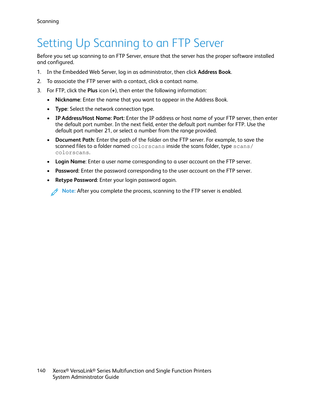# <span id="page-139-0"></span>Setting Up Scanning to an FTP Server

Before you set up scanning to an FTP Server, ensure that the server has the proper software installed and configured.

- 1. In the Embedded Web Server, log in as administrator, then click **Address Book**.
- 2. To associate the FTP server with a contact, click a contact name.
- 3. For FTP, click the **Plus** icon (**+**), then enter the following information:
	- **Nickname**: Enter the name that you want to appear in the Address Book.
	- **Type**: Select the network connection type.
	- **IP Address/Host Name: Port**: Enter the IP address or host name of your FTP server, then enter the default port number. In the next field, enter the default port number for FTP. Use the default port number 21, or select a number from the range provided.
	- **Document Path**: Enter the path of the folder on the FTP server. For example, to save the scanned files to a folder named colorscans inside the scans folder, type scans/ colorscans.
	- **Login Name**: Enter a user name corresponding to a user account on the FTP server.
	- **Password**: Enter the password corresponding to the user account on the FTP server.
	- **Retype Password**: Enter your login password again.

**Note:** After you complete the process, scanning to the FTP server is enabled.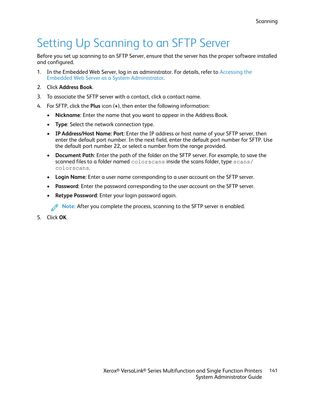# <span id="page-140-0"></span>Setting Up Scanning to an SFTP Server

Before you set up scanning to an SFTP Server, ensure that the server has the proper software installed and configured.

- 1. In the Embedded Web Server, log in as administrator. For details, refer to [Accessing](#page-19-0) the Embedded Web Server as a System [Administrator](#page-19-0).
- 2. Click **Address Book**.
- 3. To associate the SFTP server with a contact, click a contact name.
- 4. For SFTP, click the **Plus** icon (**+**), then enter the following information:
	- **Nickname**: Enter the name that you want to appear in the Address Book.
	- **Type**: Select the network connection type.
	- **IP Address/Host Name: Port**: Enter the IP address or host name of your SFTP server, then enter the default port number. In the next field, enter the default port number for SFTP. Use the default port number 22, or select a number from the range provided.
	- **Document Path**: Enter the path of the folder on the SFTP server. For example, to save the scanned files to a folder named colorscans inside the scans folder, type scans/ colorscans.
	- **Login Name**: Enter a user name corresponding to a user account on the SFTP server.
	- **Password**: Enter the password corresponding to the user account on the SFTP server.
	- **Retype Password**: Enter your login password again.

**Note:** After you complete the process, scanning to the SFTP server is enabled.

5. Click **OK**.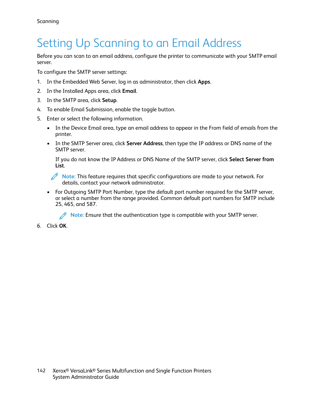# <span id="page-141-0"></span>Setting Up Scanning to an Email Address

Before you can scan to an email address, configure the printer to communicate with your SMTP email server.

To configure the SMTP server settings:

- 1. In the Embedded Web Server, log in as administrator, then click **Apps**.
- 2. In the Installed Apps area, click **Email**.
- 3. In the SMTP area, click **Setup**.
- 4. To enable Email Submission, enable the toggle button.
- 5. Enter or select the following information.
	- In the Device Email area, type an email address to appear in the From field of emails from the printer.
	- In the SMTP Server area, click **Server Address**, then type the IP address or DNS name of the SMTP server.

If you do not know the IP Address or DNS Name of the SMTP server, click **Select Server from List**.

**Note:** This feature requires that specific configurations are made to your network. For details, contact your network administrator.

• For Outgoing SMTP Port Number, type the default port number required for the SMTP server, or select a number from the range provided. Common default port numbers for SMTP include 25, 465, and 587.

**Note:** Ensure that the authentication type is compatible with your SMTP server.

6. Click **OK**.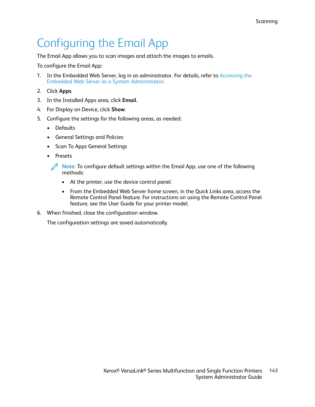## <span id="page-142-0"></span>Configuring the Email App

The Email App allows you to scan images and attach the images to emails.

To configure the Email App:

- 1. In the Embedded Web Server, log in as administrator. For details, refer to [Accessing](#page-19-0) the Embedded Web Server as a System [Administrator](#page-19-0).
- 2. Click **Apps**.
- 3. In the Installed Apps area, click **Email**.
- 4. For Display on Device, click **Show**.
- 5. Configure the settings for the following areas, as needed:
	- Defaults
	- General Settings and Policies
	- Scan To Apps General Settings
	- Presets

**Note:** To configure default settings within the Email App, use one of the following methods:

- At the printer, use the device control panel.
- From the Embedded Web Server home screen, in the Quick Links area, access the Remote Control Panel feature. For instructions on using the Remote Control Panel feature, see the User Guide for your printer model.
- 6. When finished, close the configuration window.

The configuration settings are saved automatically.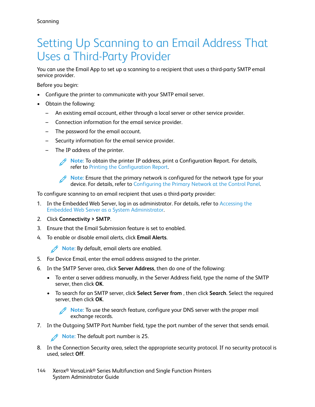## <span id="page-143-0"></span>Setting Up Scanning to an Email Address That Uses a Third-Party Provider

You can use the Email App to set up a scanning to a recipient that uses a third-party SMTP email service provider.

Before you begin:

- Configure the printer to communicate with your SMTP email server.
- Obtain the following:
	- An existing email account, either through a local server or other service provider.
	- Connection information for the email service provider.
	- The password for the email account.
	- Security information for the email service provider.
	- The IP address of the printer.

**Note:** To obtain the printer IP address, print a Configuration Report. For details, refer to Printing the [Configuration](#page-17-0) Report.

**Note:** Ensure that the primary network is configured for the network type for your device. For details, refer to [Configuring](#page-39-0) the Primary Network at the Control Panel.

To configure scanning to an email recipient that uses a third-party provider:

- 1. In the Embedded Web Server, log in as administrator. For details, refer to [Accessing](#page-19-0) the Embedded Web Server as a System [Administrator](#page-19-0).
- 2. Click **Connectivity > SMTP**.
- 3. Ensure that the Email Submission feature is set to enabled.
- 4. To enable or disable email alerts, click **Email Alerts**.

**Note:** By default, email alerts are enabled.

- 5. For Device Email, enter the email address assigned to the printer.
- 6. In the SMTP Server area, click **Server Address**, then do one of the following:
	- To enter a server address manually, in the Server Address field, type the name of the SMTP server, then click **OK**.
	- To search for an SMTP server, click **Select Server from** , then click **Search**. Select the required server, then click **OK**.

**Note:** To use the search feature, configure your DNS server with the proper mail exchange records.

7. In the Outgoing SMTP Port Number field, type the port number of the server that sends email.

**Note:** The default port number is 25.

- 8. In the Connection Security area, select the appropriate security protocol. If no security protocol is used, select **Off**.
- 144 Xerox® VersaLink® Series Multifunction and Single Function Printers System Administrator Guide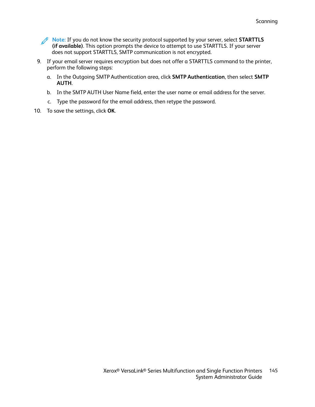$\mathscr{O}$ **Note:** If you do not know the security protocol supported by your server, select **STARTTLS (if available)**. This option prompts the device to attempt to use STARTTLS. If your server does not support STARTTLS, SMTP communication is not encrypted.

- 9. If your email server requires encryption but does not offer a STARTTLS command to the printer, perform the following steps:
	- a. In the Outgoing SMTP Authentication area, click **SMTP Authentication**, then select **SMTP AUTH**.
	- b. In the SMTP AUTH User Name field, enter the user name or email address for the server.
	- c. Type the password for the email address, then retype the password.
- 10. To save the settings, click **OK**.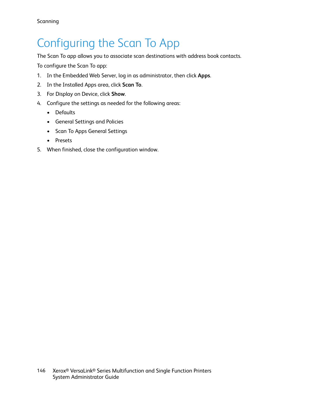# Configuring the Scan To App

The Scan To app allows you to associate scan destinations with address book contacts. To configure the Scan To app:

1. In the Embedded Web Server, log in as administrator, then click **Apps**.

- 2. In the Installed Apps area, click **Scan To**.
- 3. For Display on Device, click **Show**.
- 4. Configure the settings as needed for the following areas:
	- Defaults
	- General Settings and Policies
	- Scan To Apps General Settings
	- Presets
- 5. When finished, close the configuration window.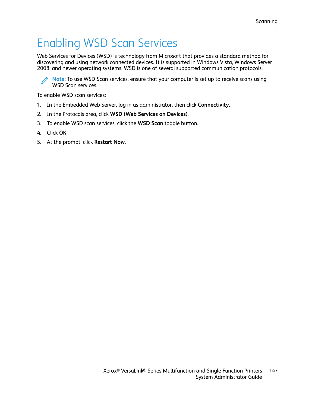# Enabling WSD Scan Services

Web Services for Devices (WSD) is technology from Microsoft that provides a standard method for discovering and using network connected devices. It is supported in Windows Vista, Windows Server 2008, and newer operating systems. WSD is one of several supported communication protocols.

**Note:** To use WSD Scan services, ensure that your computer is set up to receive scans using WSD Scan services.

To enable WSD scan services:

- 1. In the Embedded Web Server, log in as administrator, then click **Connectivity**.
- 2. In the Protocols area, click **WSD (Web Services on Devices)**.
- 3. To enable WSD scan services, click the **WSD Scan** toggle button.
- 4. Click **OK**.
- 5. At the prompt, click **Restart Now**.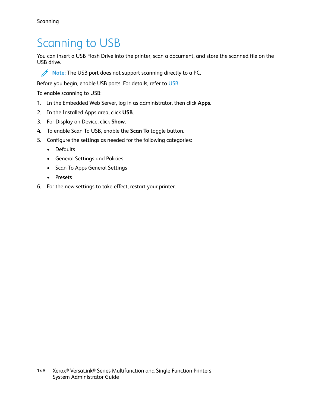# Scanning to USB

You can insert a USB Flash Drive into the printer, scan a document, and store the scanned file on the USB drive.

**Note:** The USB port does not support scanning directly to a PC.

Before you begin, enable USB ports. For details, refer to [USB](#page-44-0).

To enable scanning to USB:

- 1. In the Embedded Web Server, log in as administrator, then click **Apps**.
- 2. In the Installed Apps area, click **USB**.
- 3. For Display on Device, click **Show**.
- 4. To enable Scan To USB, enable the **Scan To** toggle button.
- 5. Configure the settings as needed for the following categories:
	- Defaults
	- General Settings and Policies
	- Scan To Apps General Settings
	- Presets
- 6. For the new settings to take effect, restart your printer.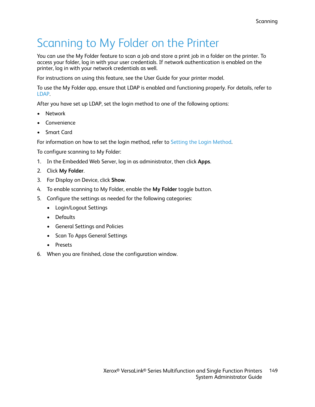# Scanning to My Folder on the Printer

You can use the My Folder feature to scan a job and store a print job in a folder on the printer. To access your folder, log in with your user credentials. If network authentication is enabled on the printer, log in with your network credentials as well.

For instructions on using this feature, see the User Guide for your printer model.

To use the My Folder app, ensure that LDAP is enabled and functioning properly. For details, refer to [LDAP](#page-61-0).

After you have set up LDAP, set the login method to one of the following options:

- Network
- **Convenience**
- Smart Card

For information on how to set the login method, refer to Setting the Login [Method.](#page-81-0)

To configure scanning to My Folder:

- 1. In the Embedded Web Server, log in as administrator, then click **Apps**.
- 2. Click **My Folder**.
- 3. For Display on Device, click **Show**.
- 4. To enable scanning to My Folder, enable the **My Folder** toggle button.
- 5. Configure the settings as needed for the following categories:
	- Login/Logout Settings
	- Defaults
	- General Settings and Policies
	- Scan To Apps General Settings
	- Presets
- 6. When you are finished, close the configuration window.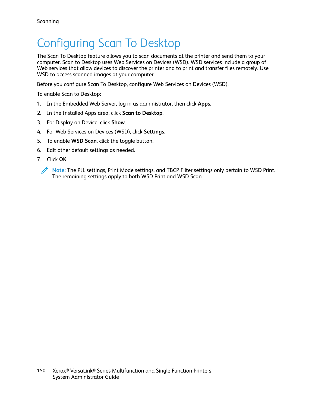# Configuring Scan To Desktop

The Scan To Desktop feature allows you to scan documents at the printer and send them to your computer. Scan to Desktop uses Web Services on Devices (WSD). WSD services include a group of Web services that allow devices to discover the printer and to print and transfer files remotely. Use WSD to access scanned images at your computer.

Before you configure Scan To Desktop, configure Web Services on Devices (WSD).

To enable Scan to Desktop:

- 1. In the Embedded Web Server, log in as administrator, then click **Apps**.
- 2. In the Installed Apps area, click **Scan to Desktop**.
- 3. For Display on Device, click **Show**.
- 4. For Web Services on Devices (WSD), click **Settings**.
- 5. To enable **WSD Scan**, click the toggle button.
- 6. Edit other default settings as needed.
- 7. Click **OK**.

**Note:** The PJL settings, Print Mode settings, and TBCP Filter settings only pertain to WSD Print. The remaining settings apply to both WSD Print and WSD Scan.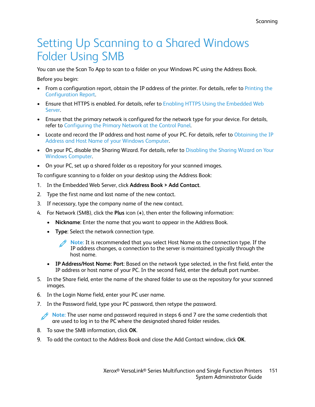# Setting Up Scanning to a Shared Windows Folder Using SMB

You can use the Scan To App to scan to a folder on your Windows PC using the Address Book.

Before you begin:

- From a configuration report, obtain the IP address of the printer. For details, refer to [Printing](#page-17-0) the [Configuration](#page-17-0) Report.
- Ensure that HTTPS is enabled. For details, refer to Enabling HTTPS Using the [Embedded](#page-54-0) Web [Server.](#page-54-0)
- Ensure that the primary network is configured for the network type for your device. For details, refer to [Configuring](#page-39-0) the Primary Network at the Control Panel.
- Locate and record the IP address and host name of your PC. For details, refer to [Obtaining](#page-151-0) the IP Address and Host Name of your Windows [Computer](#page-151-0).
- On your PC, disable the Sharing Wizard. For details, refer to [Disabling](#page-151-1) the Sharing Wizard on Your Windows [Computer.](#page-151-1)
- On your PC, set up a shared folder as a repository for your scanned images.

To configure scanning to a folder on your desktop using the Address Book:

- 1. In the Embedded Web Server, click **Address Book > Add Contact**.
- 2. Type the first name and last name of the new contact.
- 3. If necessary, type the company name of the new contact.
- 4. For Network (SMB), click the **Plus** icon (**+**), then enter the following information:
	- **Nickname**: Enter the name that you want to appear in the Address Book.
	- **Type**: Select the network connection type.

**Note:** It is recommended that you select Host Name as the connection type. If the IP address changes, a connection to the server is maintained typically through the host name.

- **IP Address/Host Name: Port**: Based on the network type selected, in the first field, enter the IP address or host name of your PC. In the second field, enter the default port number.
- 5. In the Share field, enter the name of the shared folder to use as the repository for your scanned images.
- 6. In the Login Name field, enter your PC user name.
- 7. In the Password field, type your PC password, then retype the password.

**Note:** The user name and password required in steps 6 and 7 are the same credentials that are used to log in to the PC where the designated shared folder resides.

- 8. To save the SMB information, click **OK**.
- 9. To add the contact to the Address Book and close the Add Contact window, click **OK**.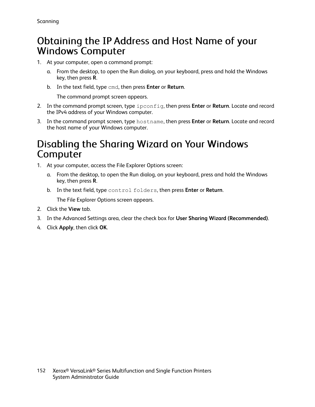## <span id="page-151-0"></span>Obtaining the IP Address and Host Name of your Windows Computer

- 1. At your computer, open a command prompt:
	- a. From the desktop, to open the Run dialog, on your keyboard, press and hold the Windows key, then press **R**.
	- b. In the text field, type cmd, then press **Enter** or **Return**.

The command prompt screen appears.

- 2. In the command prompt screen, type ipconfig, then press **Enter** or **Return**. Locate and record the IPv4 address of your Windows computer.
- 3. In the command prompt screen, type hostname, then press **Enter** or **Return**. Locate and record the host name of your Windows computer.

## <span id="page-151-1"></span>Disabling the Sharing Wizard on Your Windows Computer

- 1. At your computer, access the File Explorer Options screen:
	- a. From the desktop, to open the Run dialog, on your keyboard, press and hold the Windows key, then press **R**.
	- b. In the text field, type control folders, then press **Enter** or **Return**.

The File Explorer Options screen appears.

- 2. Click the **View** tab.
- 3. In the Advanced Settings area, clear the check box for **User Sharing Wizard (Recommended)**.
- 4. Click **Apply**, then click **OK**.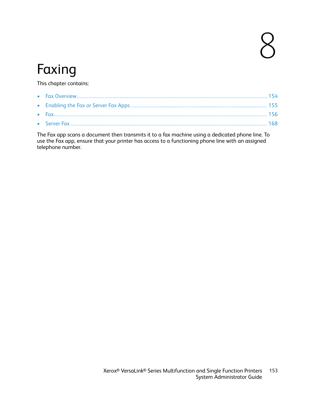# 8

# <span id="page-152-0"></span>Faxing

This chapter contains:

The Fax app scans a document then transmits it to a fax machine using a dedicated phone line. To use the Fax app, ensure that your printer has access to a functioning phone line with an assigned telephone number.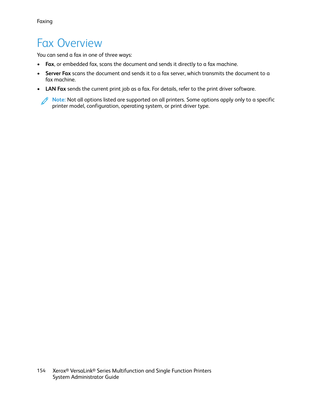# <span id="page-153-0"></span>Fax Overview

You can send a fax in one of three ways:

- **Fax**, or embedded fax, scans the document and sends it directly to a fax machine.
- **Server Fax** scans the document and sends it to a fax server, which transmits the document to a fax machine.
- **LAN Fax** sends the current print job as a fax. For details, refer to the print driver software.

**Note:** Not all options listed are supported on all printers. Some options apply only to a specific printer model, configuration, operating system, or print driver type.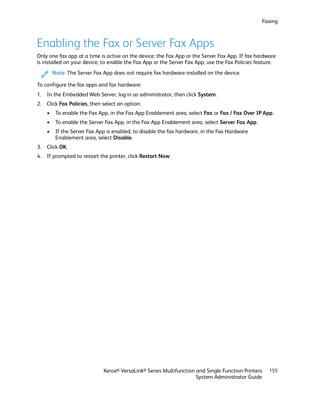# <span id="page-154-0"></span>Enabling the Fax or Server Fax Apps

Only one fax app at a time is active on the device: the Fax App or the Server Fax App. If fax hardware is installed on your device, to enable the Fax App or the Server Fax App, use the Fax Policies feature.

**Note:** The Server Fax App does not require fax hardware installed on the device.

To configure the fax apps and fax hardware:

- 1. In the Embedded Web Server, log in as administrator, then click **System**.
- 2. Click **Fax Policies**, then select an option:
	- To enable the Fax App, in the Fax App Enablement area, select **Fax** or **Fax / Fax Over IP App**.
	- To enable the Server Fax App, in the Fax App Enablement area, select **Server Fax App**.
	- If the Server Fax App is enabled, to disable the fax hardware, in the Fax Hardware Enablement area, select **Disable**.
- 3. Click **OK**.
- 4. If prompted to restart the printer, click **Restart Now**.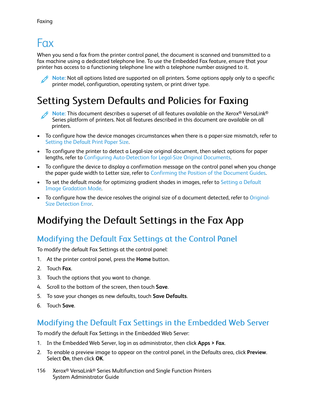# <span id="page-155-0"></span>Fax

When you send a fax from the printer control panel, the document is scanned and transmitted to a fax machine using a dedicated telephone line. To use the Embedded Fax feature, ensure that your printer has access to a functioning telephone line with a telephone number assigned to it.

**Note:** Not all options listed are supported on all printers. Some options apply only to a specific printer model, configuration, operating system, or print driver type.

## Setting System Defaults and Policies for Faxing

- **Note:** This document describes a superset of all features available on the Xerox® VersaLink® Series platform of printers. Not all features described in this document are available on all printers.
- To configure how the device manages circumstances when there is a paper-size mismatch, refer to Setting the [Default](#page-115-0) Print Paper Size.
- To configure the printer to detect a Legal-size original document, then select options for paper lengths, refer to Configuring [Auto-Detection](#page-127-0) for Legal-Size Original Documents.
- To configure the device to display a confirmation message on the control panel when you change the paper guide width to Letter size, refer to [Confirming](#page-127-1) the Position of the Document Guides.
- To set the default mode for optimizing gradient shades in images, refer to Setting a [Default](#page-128-0) Image [Gradation](#page-128-0) Mode.
- To configure how the device resolves the original size of a document detected, refer to [Original-](#page-128-1)Size [Detection](#page-128-1) Error.

## Modifying the Default Settings in the Fax App

#### Modifying the Default Fax Settings at the Control Panel

To modify the default Fax Settings at the control panel:

- 1. At the printer control panel, press the **Home** button.
- 2. Touch **Fax**.
- 3. Touch the options that you want to change.
- 4. Scroll to the bottom of the screen, then touch **Save**.
- 5. To save your changes as new defaults, touch **Save Defaults**.
- 6. Touch **Save**.

#### Modifying the Default Fax Settings in the Embedded Web Server

To modify the default Fax Settings in the Embedded Web Server:

- 1. In the Embedded Web Server, log in as administrator, then click **Apps > Fax**.
- 2. To enable a preview image to appear on the control panel, in the Defaults area, click **Preview**. Select **On**, then click **OK**.
- 156 Xerox® VersaLink® Series Multifunction and Single Function Printers System Administrator Guide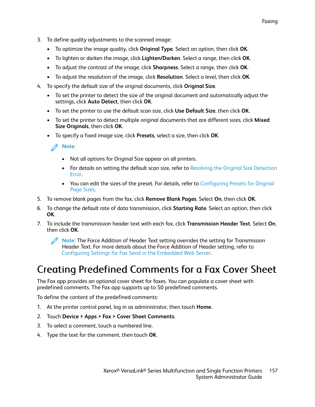- 3. To define quality adjustments to the scanned image:
	- To optimize the image quality, click **Original Type**. Select an option, then click **OK**.
	- To lighten or darken the image, click **Lighten/Darken**. Select a range, then click **OK**.
	- To adjust the contrast of the image, click **Sharpness**. Select a range, then click **OK**.
	- To adjust the resolution of the image, click **Resolution**. Select a level, then click **OK**.
- 4. To specify the default size of the original documents, click **Original Size**.
	- To set the printer to detect the size of the original document and automatically adjust the settings, click **Auto Detect**, then click **OK**.
	- To set the printer to use the default scan size, click **Use Default Size**, then click **OK**.
	- To set the printer to detect multiple original documents that are different sizes, click **Mixed Size Originals**, then click **OK**.
	- To specify a fixed image size, click **Presets**, select a size, then click **OK**.

**Note:**

- Not all options for Original Size appear on all printers.
- For details on setting the default scan size, refer to Resolving the Original Size [Detection](#page-128-1) [Error](#page-128-1).
- You can edit the sizes of the preset. For details, refer to [Configuring](#page-134-0) Presets for Original [Page](#page-134-0) Sizes.
- 5. To remove blank pages from the fax, click **Remove Blank Pages**. Select **On**, then click **OK**.
- 6. To change the default rate of data transmission, click **Starting Rate**. Select an option, then click **OK**.
- 7. To include the transmission header text with each fax, click **Transmission Header Text**. Select **On**, then click **OK**.

**Note:** The Force Addition of Header Text setting overrides the setting for Transmission Header Text. For more details about the Force Addition of Header setting, refer to [Configuring](#page-157-0) Settings for Fax Send in the Embedded Web Server.

## Creating Predefined Comments for a Fax Cover Sheet

The Fax app provides an optional cover sheet for faxes. You can populate a cover sheet with predefined comments. The Fax app supports up to 50 predefined comments.

To define the content of the predefined comments:

- 1. At the printer control panel, log in as administrator, then touch **Home**.
- 2. Touch **Device > Apps > Fax > Cover Sheet Comments**.
- 3. To select a comment, touch a numbered line.
- 4. Type the text for the comment, then touch **OK**.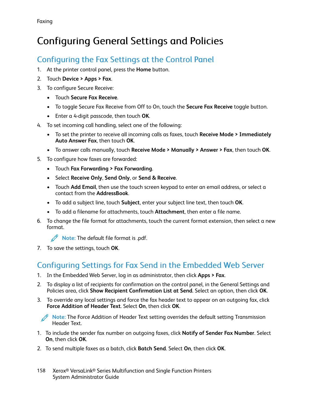# Configuring General Settings and Policies

#### Configuring the Fax Settings at the Control Panel

- 1. At the printer control panel, press the **Home** button.
- 2. Touch **Device > Apps > Fax**.
- 3. To configure Secure Receive:
	- Touch **Secure Fax Receive**.
	- To toggle Secure Fax Receive from Off to On, touch the **Secure Fax Receive** toggle button.
	- Enter a 4-digit passcode, then touch **OK**.
- 4. To set incoming call handling, select one of the following:
	- To set the printer to receive all incoming calls as faxes, touch **Receive Mode > Immediately Auto Answer Fax**, then touch **OK**.
	- To answer calls manually, touch **Receive Mode > Manually > Answer > Fax**, then touch **OK**.
- 5. To configure how faxes are forwarded:
	- Touch **Fax Forwarding > Fax Forwarding**.
	- Select **Receive Only**, **Send Only**, or **Send & Receive**.
	- Touch **Add Email**, then use the touch screen keypad to enter an email address, or select a contact from the **AddressBook**.
	- To add a subject line, touch **Subject**, enter your subject line text, then touch **OK**.
	- To add a filename for attachments, touch **Attachment**, then enter a file name.
- 6. To change the file format for attachments, touch the current format extension, then select a new format.

Note: The default file format is .pdf.

7. To save the settings, touch **OK**.

#### <span id="page-157-0"></span>Configuring Settings for Fax Send in the Embedded Web Server

- 1. In the Embedded Web Server, log in as administrator, then click **Apps > Fax**.
- 2. To display a list of recipients for confirmation on the control panel, in the General Settings and Policies area, click **Show Recipient Confirmation List at Send**. Select an option, then click **OK**.
- 3. To override any local settings and force the fax header text to appear on an outgoing fax, click **Force Addition of Header Text**. Select **On**, then click **OK**.

**Note:** The Force Addition of Header Text setting overrides the default setting Transmission Header Text.

- 1. To include the sender fax number on outgoing faxes, click **Notify of Sender Fax Number**. Select **On**, then click **OK**.
- 2. To send multiple faxes as a batch, click **Batch Send**. Select **On**, then click **OK**.
- 158 Xerox® VersaLink® Series Multifunction and Single Function Printers System Administrator Guide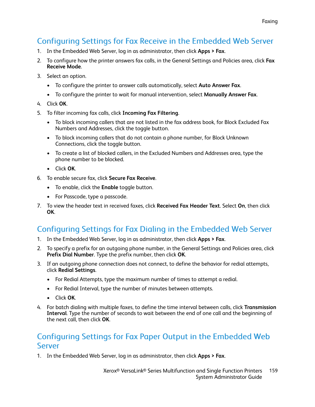#### Configuring Settings for Fax Receive in the Embedded Web Server

- 1. In the Embedded Web Server, log in as administrator, then click **Apps > Fax**.
- 2. To configure how the printer answers fax calls, in the General Settings and Policies area, click **Fax Receive Mode**.
- 3. Select an option.
	- To configure the printer to answer calls automatically, select **Auto Answer Fax**.
	- To configure the printer to wait for manual intervention, select **Manually Answer Fax**.
- 4. Click **OK**.
- 5. To filter incoming fax calls, click **Incoming Fax Filtering**.
	- To block incoming callers that are not listed in the fax address book, for Block Excluded Fax Numbers and Addresses, click the toggle button.
	- To block incoming callers that do not contain a phone number, for Block Unknown Connections, click the toggle button.
	- To create a list of blocked callers, in the Excluded Numbers and Addresses area, type the phone number to be blocked.
	- Click **OK**.
- 6. To enable secure fax, click **Secure Fax Receive**.
	- To enable, click the **Enable** toggle button.
	- For Passcode, type a passcode.
- 7. To view the header text in received faxes, click **Received Fax Header Text**. Select **On**, then click **OK**.

#### Configuring Settings for Fax Dialing in the Embedded Web Server

- 1. In the Embedded Web Server, log in as administrator, then click **Apps > Fax**.
- 2. To specify a prefix for an outgoing phone number, in the General Settings and Policies area, click **Prefix Dial Number**. Type the prefix number, then click **OK**.
- 3. If an outgoing phone connection does not connect, to define the behavior for redial attempts, click **Redial Settings**.
	- For Redial Attempts, type the maximum number of times to attempt a redial.
	- For Redial Interval, type the number of minutes between attempts.
	- Click **OK**.
- 4. For batch dialing with multiple faxes, to define the time interval between calls, click **Transmission Interval**. Type the number of seconds to wait between the end of one call and the beginning of the next call, then click **OK**.

#### Configuring Settings for Fax Paper Output in the Embedded Web Server

1. In the Embedded Web Server, log in as administrator, then click **Apps > Fax**.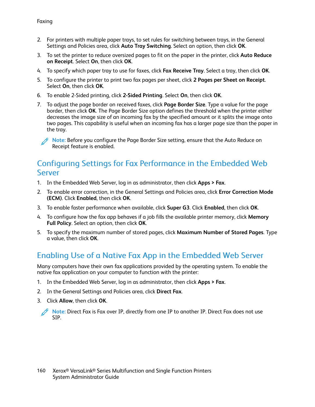- 2. For printers with multiple paper trays, to set rules for switching between trays, in the General Settings and Policies area, click **Auto Tray Switching**. Select an option, then click **OK**.
- 3. To set the printer to reduce oversized pages to fit on the paper in the printer, click **Auto Reduce on Receipt**. Select **On**, then click **OK**.
- 4. To specify which paper tray to use for faxes, click **Fax Receive Tray**. Select a tray, then click **OK**.
- 5. To configure the printer to print two fax pages per sheet, click **2 Pages per Sheet on Receipt**. Select **On**, then click **OK**.
- 6. To enable 2-Sided printing, click **2-Sided Printing**. Select **On**, then click **OK**.
- 7. To adjust the page border on received faxes, click **Page Border Size**. Type a value for the page border, then click **OK**. The Page Border Size option defines the threshold when the printer either decreases the image size of an incoming fax by the specified amount or it splits the image onto two pages. This capability is useful when an incoming fax has a larger page size than the paper in the tray.

**Note:** Before you configure the Page Border Size setting, ensure that the Auto Reduce on Receipt feature is enabled.

#### Configuring Settings for Fax Performance in the Embedded Web Server

- 1. In the Embedded Web Server, log in as administrator, then click **Apps > Fax**.
- 2. To enable error correction, in the General Settings and Policies area, click **Error Correction Mode (ECM)**. Click **Enabled**, then click **OK**.
- 3. To enable faster performance when available, click **Super G3**. Click **Enabled**, then click **OK**.
- 4. To configure how the fax app behaves if a job fills the available printer memory, click **Memory Full Policy**. Select an option, then click **OK**.
- 5. To specify the maximum number of stored pages, click **Maximum Number of Stored Pages**. Type a value, then click **OK**.

#### Enabling Use of a Native Fax App in the Embedded Web Server

Many computers have their own fax applications provided by the operating system. To enable the native fax application on your computer to function with the printer:

- 1. In the Embedded Web Server, log in as administrator, then click **Apps > Fax**.
- 2. In the General Settings and Policies area, click **Direct Fax**.
- 3. Click **Allow**, then click **OK**.

**Note:** Direct Fax is Fax over IP, directly from one IP to another IP. Direct Fax does not use SIP.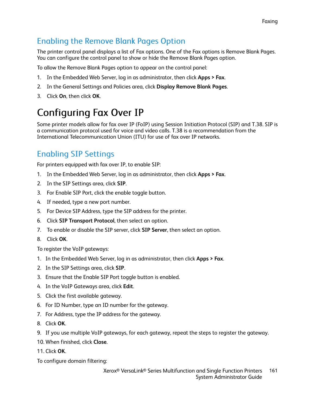#### Enabling the Remove Blank Pages Option

The printer control panel displays a list of Fax options. One of the Fax options is Remove Blank Pages. You can configure the control panel to show or hide the Remove Blank Pages option.

To allow the Remove Blank Pages option to appear on the control panel:

- 1. In the Embedded Web Server, log in as administrator, then click **Apps > Fax**.
- 2. In the General Settings and Policies area, click **Display Remove Blank Pages**.
- 3. Click **On**, then click **OK**.

# Configuring Fax Over IP

Some printer models allow for fax over IP (FoIP) using Session Initiation Protocol (SIP) and T.38. SIP is a communication protocol used for voice and video calls. T.38 is a recommendation from the International Telecommunication Union (ITU) for use of fax over IP networks.

#### Enabling SIP Settings

For printers equipped with fax over IP, to enable SIP:

- 1. In the Embedded Web Server, log in as administrator, then click **Apps > Fax**.
- 2. In the SIP Settings area, click **SIP**.
- 3. For Enable SIP Port, click the enable toggle button.
- 4. If needed, type a new port number.
- 5. For Device SIP Address, type the SIP address for the printer.
- 6. Click **SIP Transport Protocol**, then select an option.
- 7. To enable or disable the SIP server, click **SIP Server**, then select an option.
- 8. Click **OK**.

To register the VoIP gateways:

- 1. In the Embedded Web Server, log in as administrator, then click **Apps > Fax**.
- 2. In the SIP Settings area, click **SIP**.
- 3. Ensure that the Enable SIP Port toggle button is enabled.
- 4. In the VoIP Gateways area, click **Edit**.
- 5. Click the first available gateway.
- 6. For ID Number, type an ID number for the gateway.
- 7. For Address, type the IP address for the gateway.
- 8. Click **OK**.

9. If you use multiple VoIP gateways, for each gateway, repeat the steps to register the gateway.

- 10. When finished, click **Close**.
- 11. Click **OK**.

To configure domain filtering: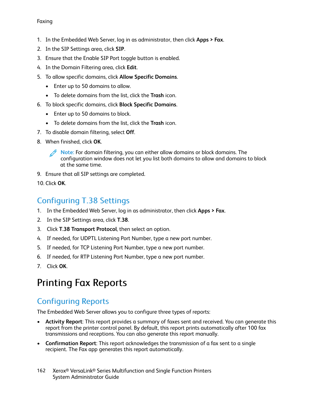#### [Faxing](#page-152-0)

- 1. In the Embedded Web Server, log in as administrator, then click **Apps > Fax**.
- 2. In the SIP Settings area, click **SIP**.
- 3. Ensure that the Enable SIP Port toggle button is enabled.
- 4. In the Domain Filtering area, click **Edit**.
- 5. To allow specific domains, click **Allow Specific Domains**.
	- Enter up to 50 domains to allow.
	- To delete domains from the list, click the **Trash** icon.
- 6. To block specific domains, click **Block Specific Domains**.
	- Enter up to 50 domains to block.
	- To delete domains from the list, click the **Trash** icon.
- 7. To disable domain filtering, select **Off**.
- 8. When finished, click **OK**.
	- **Note:** For domain filtering, you can either allow domains or block domains. The configuration window does not let you list both domains to allow and domains to block at the same time.
- 9. Ensure that all SIP settings are completed.

10. Click **OK**.

#### Configuring T.38 Settings

- 1. In the Embedded Web Server, log in as administrator, then click **Apps > Fax**.
- 2. In the SIP Settings area, click **T.38**.
- 3. Click **T.38 Transport Protocol**, then select an option.
- 4. If needed, for UDPTL Listening Port Number, type a new port number.
- 5. If needed, for TCP Listening Port Number, type a new port number.
- 6. If needed, for RTP Listening Port Number, type a new port number.
- 7. Click **OK**.

## Printing Fax Reports

#### Configuring Reports

The Embedded Web Server allows you to configure three types of reports:

- **Activity Report**: This report provides a summary of faxes sent and received. You can generate this report from the printer control panel. By default, this report prints automatically after 100 fax transmissions and receptions. You can also generate this report manually.
- **Confirmation Report**: This report acknowledges the transmission of a fax sent to a single recipient. The Fax app generates this report automatically.
- 162 Xerox® VersaLink® Series Multifunction and Single Function Printers System Administrator Guide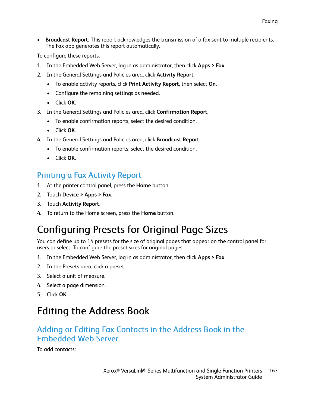• **Broadcast Report**: This report acknowledges the transmission of a fax sent to multiple recipients. The Fax app generates this report automatically.

To configure these reports:

- 1. In the Embedded Web Server, log in as administrator, then click **Apps > Fax**.
- 2. In the General Settings and Policies area, click **Activity Report**.
	- To enable activity reports, click **Print Activity Report**, then select **On**.
	- Configure the remaining settings as needed.
	- Click **OK**.
- 3. In the General Settings and Policies area, click **Confirmation Report**.
	- To enable confirmation reports, select the desired condition.
	- Click **OK**.
- 4. In the General Settings and Policies area, click **Broadcast Report**.
	- To enable confirmation reports, select the desired condition.
	- Click **OK**.

#### Printing a Fax Activity Report

- 1. At the printer control panel, press the **Home** button.
- 2. Touch **Device > Apps > Fax**.
- 3. Touch **Activity Report**.
- 4. To return to the Home screen, press the **Home** button.

## Configuring Presets for Original Page Sizes

You can define up to 14 presets for the size of original pages that appear on the control panel for users to select. To configure the preset sizes for original pages:

- 1. In the Embedded Web Server, log in as administrator, then click **Apps > Fax**.
- 2. In the Presets area, click a preset.
- 3. Select a unit of measure.
- 4. Select a page dimension.
- 5. Click **OK**.

## Editing the Address Book

#### Adding or Editing Fax Contacts in the Address Book in the Embedded Web Server

To add contacts: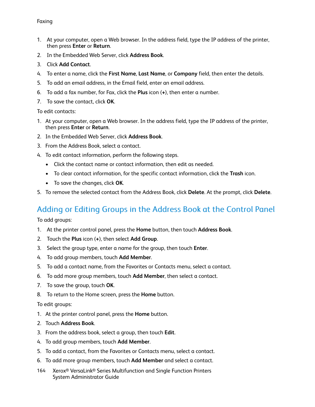#### [Faxing](#page-152-0)

- 1. At your computer, open a Web browser. In the address field, type the IP address of the printer, then press **Enter** or **Return**.
- 2. In the Embedded Web Server, click **Address Book**.
- 3. Click **Add Contact**.
- 4. To enter a name, click the **First Name**, **Last Name**, or **Company** field, then enter the details.
- 5. To add an email address, in the Email field, enter an email address.
- 6. To add a fax number, for Fax, click the **Plus** icon (**+**), then enter a number.
- 7. To save the contact, click **OK**.

To edit contacts:

- 1. At your computer, open a Web browser. In the address field, type the IP address of the printer, then press **Enter** or **Return**.
- 2. In the Embedded Web Server, click **Address Book**.
- 3. From the Address Book, select a contact.
- 4. To edit contact information, perform the following steps.
	- Click the contact name or contact information, then edit as needed.
	- To clear contact information, for the specific contact information, click the **Trash** icon.
	- To save the changes, click **OK**.
- 5. To remove the selected contact from the Address Book, click **Delete**. At the prompt, click **Delete**.

### Adding or Editing Groups in the Address Book at the Control Panel

To add groups:

- 1. At the printer control panel, press the **Home** button, then touch **Address Book**.
- 2. Touch the **Plus** icon (**+**), then select **Add Group**.
- 3. Select the group type, enter a name for the group, then touch **Enter**.
- 4. To add group members, touch **Add Member**.
- 5. To add a contact name, from the Favorites or Contacts menu, select a contact.
- 6. To add more group members, touch **Add Member**, then select a contact.
- 7. To save the group, touch **OK**.
- 8. To return to the Home screen, press the **Home** button.

#### To edit groups:

- 1. At the printer control panel, press the **Home** button.
- 2. Touch **Address Book**.
- 3. From the address book, select a group, then touch **Edit**.
- 4. To add group members, touch **Add Member**.
- 5. To add a contact, from the Favorites or Contacts menu, select a contact.
- 6. To add more group members, touch **Add Member** and select a contact.
- 164 Xerox® VersaLink® Series Multifunction and Single Function Printers System Administrator Guide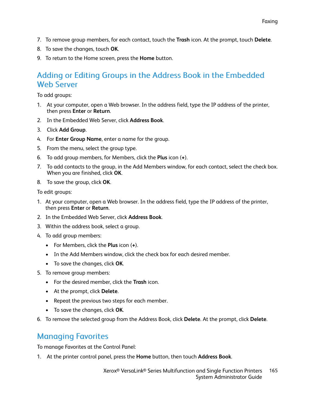- 7. To remove group members, for each contact, touch the **Trash** icon. At the prompt, touch **Delete**.
- 8. To save the changes, touch **OK**.
- 9. To return to the Home screen, press the **Home** button.

#### Adding or Editing Groups in the Address Book in the Embedded Web Server

To add groups:

- 1. At your computer, open a Web browser. In the address field, type the IP address of the printer, then press **Enter** or **Return**.
- 2. In the Embedded Web Server, click **Address Book**.
- 3. Click **Add Group**.
- 4. For **Enter Group Name**, enter a name for the group.
- 5. From the menu, select the group type.
- 6. To add group members, for Members, click the **Plus** icon (**+**).
- 7. To add contacts to the group, in the Add Members window, for each contact, select the check box. When you are finished, click **OK**.
- 8. To save the group, click **OK**.

To edit groups:

- 1. At your computer, open a Web browser. In the address field, type the IP address of the printer, then press **Enter** or **Return**.
- 2. In the Embedded Web Server, click **Address Book**.
- 3. Within the address book, select a group.
- 4. To add group members:
	- For Members, click the **Plus** icon (**+**).
	- In the Add Members window, click the check box for each desired member.
	- To save the changes, click **OK**.
- 5. To remove group members:
	- For the desired member, click the **Trash** icon.
	- At the prompt, click **Delete**.
	- Repeat the previous two steps for each member.
	- To save the changes, click **OK**.
- 6. To remove the selected group from the Address Book, click **Delete**. At the prompt, click **Delete**.

#### Managing Favorites

To manage Favorites at the Control Panel:

1. At the printer control panel, press the **Home** button, then touch **Address Book**.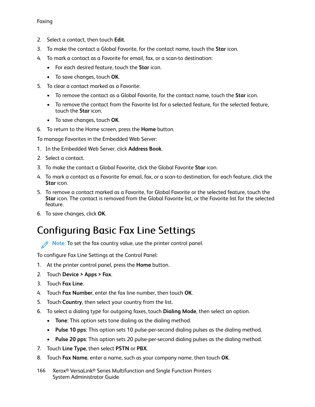#### [Faxing](#page-152-0)

- 2. Select a contact, then touch **Edit**.
- 3. To make the contact a Global Favorite, for the contact name, touch the **Star** icon.
- 4. To mark a contact as a Favorite for email, fax, or a scan-to destination:
	- For each desired feature, touch the **Star** icon.
	- To save changes, touch **OK**.
- 5. To clear a contact marked as a Favorite:
	- To remove the contact as a Global Favorite, for the contact name, touch the **Star** icon.
	- To remove the contact from the Favorite list for a selected feature, for the selected feature, touch the **Star** icon.
	- To save changes, touch **OK**.
- 6. To return to the Home screen, press the **Home** button.

To manage Favorites in the Embedded Web Server:

- 1. In the Embedded Web Server, click **Address Book**.
- 2. Select a contact.
- 3. To make the contact a Global Favorite, click the Global Favorite **Star** icon.
- 4. To mark a contact as a Favorite for email, fax, or a scan-to destination, for each feature, click the **Star** icon.
- 5. To remove a contact marked as a Favorite, for Global Favorite or the selected feature, touch the **Star** icon. The contact is removed from the Global Favorite list, or the Favorite list for the selected feature.
- 6. To save changes, click **OK**.

## Configuring Basic Fax Line Settings

Note: To set the fax country value, use the printer control panel.

To configure Fax Line Settings at the Control Panel:

- 1. At the printer control panel, press the **Home** button.
- 2. Touch **Device > Apps > Fax**.
- 3. Touch **Fax Line**.
- 4. Touch **Fax Number**, enter the fax line number, then touch **OK**.
- 5. Touch **Country**, then select your country from the list.
- 6. To select a dialing type for outgoing faxes, touch **Dialing Mode**, then select an option.
	- **Tone**: This option sets tone dialing as the dialing method.
	- **Pulse 10 pps**: This option sets 10 pulse-per-second dialing pulses as the dialing method.
	- **Pulse 20 pps**: This option sets 20 pulse-per-second dialing pulses as the dialing method.
- 7. Touch **Line Type**, then select **PSTN** or **PBX**.
- 8. Touch **Fax Name**, enter a name, such as your company name, then touch **OK**.
- 166 Xerox® VersaLink® Series Multifunction and Single Function Printers System Administrator Guide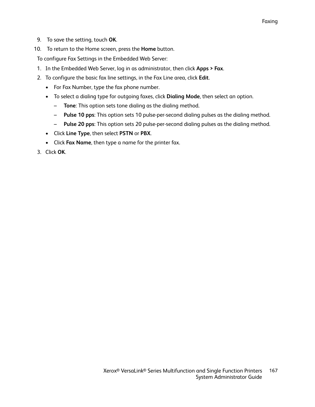#### [Faxing](#page-152-0)

- 9. To save the setting, touch **OK**.
- 10. To return to the Home screen, press the **Home** button.

To configure Fax Settings in the Embedded Web Server:

- 1. In the Embedded Web Server, log in as administrator, then click **Apps > Fax**.
- 2. To configure the basic fax line settings, in the Fax Line area, click **Edit**.
	- For Fax Number, type the fax phone number.
	- To select a dialing type for outgoing faxes, click **Dialing Mode**, then select an option.
		- **Tone**: This option sets tone dialing as the dialing method.
		- **Pulse 10 pps**: This option sets 10 pulse-per-second dialing pulses as the dialing method.
		- **Pulse 20 pps**: This option sets 20 pulse-per-second dialing pulses as the dialing method.
	- Click **Line Type**, then select **PSTN** or **PBX**.
	- Click **Fax Name**, then type a name for the printer fax.
- 3. Click **OK**.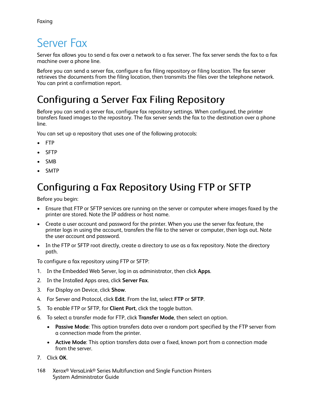# <span id="page-167-0"></span>Server Fax

Server fax allows you to send a fax over a network to a fax server. The fax server sends the fax to a fax machine over a phone line.

Before you can send a server fax, configure a fax filing repository or filing location. The fax server retrieves the documents from the filing location, then transmits the files over the telephone network. You can print a confirmation report.

## Configuring a Server Fax Filing Repository

Before you can send a server fax, configure fax repository settings. When configured, the printer transfers faxed images to the repository. The fax server sends the fax to the destination over a phone line.

You can set up a repository that uses one of the following protocols:

- FTP
- SFTP
- SMB
- SMTP

# Configuring a Fax Repository Using FTP or SFTP

Before you begin:

- Ensure that FTP or SFTP services are running on the server or computer where images faxed by the printer are stored. Note the IP address or host name.
- Create a user account and password for the printer. When you use the server fax feature, the printer logs in using the account, transfers the file to the server or computer, then logs out. Note the user account and password.
- In the FTP or SFTP root directly, create a directory to use as a fax repository. Note the directory path.

To configure a fax repository using FTP or SFTP:

- 1. In the Embedded Web Server, log in as administrator, then click **Apps**.
- 2. In the Installed Apps area, click **Server Fax**.
- 3. For Display on Device, click **Show**.
- 4. For Server and Protocol, click **Edit**. From the list, select **FTP** or **SFTP**.
- 5. To enable FTP or SFTP, for **Client Port**, click the toggle button.
- 6. To select a transfer mode for FTP, click **Transfer Mode**, then select an option.
	- **Passive Mode**: This option transfers data over a random port specified by the FTP server from a connection made from the printer.
	- **Active Mode**: This option transfers data over a fixed, known port from a connection made from the server.
- 7. Click **OK**.
- 168 Xerox® VersaLink® Series Multifunction and Single Function Printers System Administrator Guide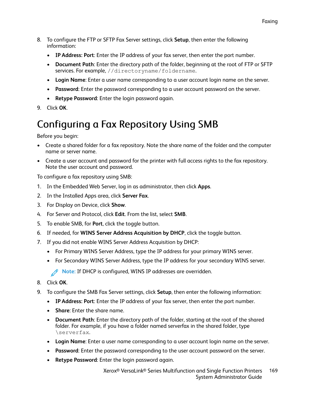- 8. To configure the FTP or SFTP Fax Server settings, click **Setup**, then enter the following information:
	- **IP Address: Port**: Enter the IP address of your fax server, then enter the port number.
	- **Document Path**: Enter the directory path of the folder, beginning at the root of FTP or SFTP services. For example, //directoryname/foldername.
	- **Login Name**: Enter a user name corresponding to a user account login name on the server.
	- **Password**: Enter the password corresponding to a user account password on the server.
	- **Retype Password**: Enter the login password again.
- 9. Click **OK**.

# Configuring a Fax Repository Using SMB

Before you begin:

- Create a shared folder for a fax repository. Note the share name of the folder and the computer name or server name.
- Create a user account and password for the printer with full access rights to the fax repository. Note the user account and password.

To configure a fax repository using SMB:

- 1. In the Embedded Web Server, log in as administrator, then click **Apps**.
- 2. In the Installed Apps area, click **Server Fax**.
- 3. For Display on Device, click **Show**.
- 4. For Server and Protocol, click **Edit**. From the list, select **SMB**.
- 5. To enable SMB, for **Port**, click the toggle button.
- 6. If needed, for **WINS Server Address Acquisition by DHCP**, click the toggle button.
- 7. If you did not enable WINS Server Address Acquisition by DHCP:
	- For Primary WINS Server Address, type the IP address for your primary WINS server.
	- For Secondary WINS Server Address, type the IP address for your secondary WINS server.

 $\mathscr{O}$ **Note:** If DHCP is configured, WINS IP addresses are overridden.

- 8. Click **OK**.
- 9. To configure the SMB Fax Server settings, click **Setup**, then enter the following information:
	- **IP Address: Port**: Enter the IP address of your fax server, then enter the port number.
	- **Share**: Enter the share name.
	- **Document Path**: Enter the directory path of the folder, starting at the root of the shared folder. For example, if you have a folder named serverfax in the shared folder, type \serverfax.
	- **Login Name**: Enter a user name corresponding to a user account login name on the server.
	- **Password**: Enter the password corresponding to the user account password on the server.
	- **Retype Password**: Enter the login password again.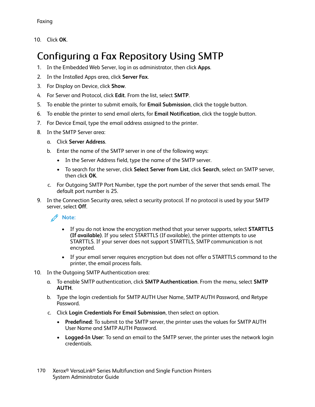[Faxing](#page-152-0)

#### 10. Click **OK**.

# Configuring a Fax Repository Using SMTP

- 1. In the Embedded Web Server, log in as administrator, then click **Apps**.
- 2. In the Installed Apps area, click **Server Fax**.
- 3. For Display on Device, click **Show**.
- 4. For Server and Protocol, click **Edit**. From the list, select **SMTP**.
- 5. To enable the printer to submit emails, for **Email Submission**, click the toggle button.
- 6. To enable the printer to send email alerts, for **Email Notification**, click the toggle button.
- 7. For Device Email, type the email address assigned to the printer.
- 8. In the SMTP Server area:
	- a. Click **Server Address**.
	- b. Enter the name of the SMTP server in one of the following ways:
		- In the Server Address field, type the name of the SMTP server.
		- To search for the server, click **Select Server from List**, click **Search**, select an SMTP server, then click **OK**.
	- c. For Outgoing SMTP Port Number, type the port number of the server that sends email. The default port number is 25.
- 9. In the Connection Security area, select a security protocol. If no protocol is used by your SMTP server, select **Off**.

**Note:**

- If you do not know the encryption method that your server supports, select **STARTTLS (If available)**. If you select STARTTLS (If available), the printer attempts to use STARTTLS. If your server does not support STARTTLS, SMTP communication is not encrypted.
- If your email server requires encryption but does not offer a STARTTLS command to the printer, the email process fails.
- 10. In the Outgoing SMTP Authentication area:
	- a. To enable SMTP authentication, click **SMTP Authentication**. From the menu, select **SMTP AUTH**.
	- b. Type the login credentials for SMTP AUTH User Name, SMTP AUTH Password, and Retype Password.
	- c. Click **Login Credentials For Email Submission**, then select an option.
		- **Predefined**: To submit to the SMTP server, the printer uses the values for SMTP AUTH User Name and SMTP AUTH Password.
		- **Logged-In User**: To send an email to the SMTP server, the printer uses the network login credentials.
- 170 Xerox<sup>®</sup> VersaLink<sup>®</sup> Series Multifunction and Single Function Printers System Administrator Guide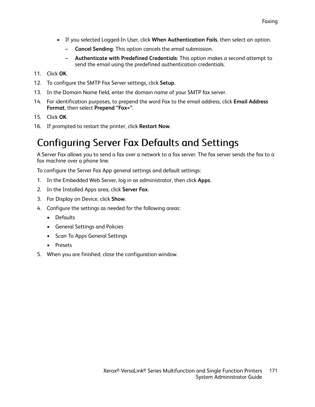- If you selected Logged-In User, click **When Authentication Fails**, then select an option.
	- **Cancel Sending**: This option cancels the email submission.
	- **Authenticate with Predefined Credentials**: This option makes a second attempt to send the email using the predefined authentication credentials.
- 11. Click **OK**.
- 12. To configure the SMTP Fax Server settings, click **Setup**.
- 13. In the Domain Name field, enter the domain name of your SMTP fax server.
- 14. For identification purposes, to prepend the word Fax to the email address, click **Email Address Format**, then select **Prepend "Fax="**.
- 15. Click **OK**.
- 16. If prompted to restart the printer, click **Restart Now**.

## Configuring Server Fax Defaults and Settings

A Server Fax allows you to send a fax over a network to a fax server. The fax server sends the fax to a fax machine over a phone line.

To configure the Server Fax App general settings and default settings:

- 1. In the Embedded Web Server, log in as administrator, then click **Apps**.
- 2. In the Installed Apps area, click **Server Fax**.
- 3. For Display on Device, click **Show**.
- 4. Configure the settings as needed for the following areas:
	- Defaults
	- General Settings and Policies
	- Scan To Apps General Settings
	- Presets
- 5. When you are finished, close the configuration window.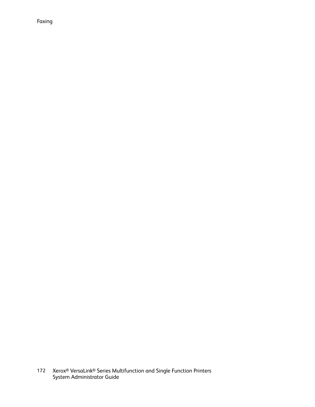[Faxing](#page-152-0)

172 Xerox® VersaLink® Series Multifunction and Single Function Printers System Administrator Guide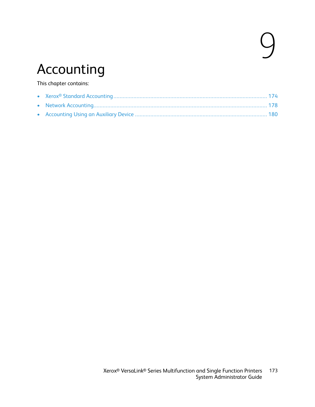# 9

# <span id="page-172-0"></span>Accounting

This chapter contains: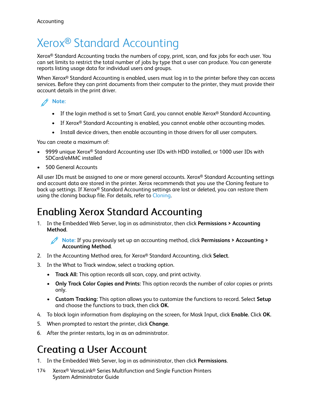# <span id="page-173-0"></span>Xerox® Standard Accounting

Xerox® Standard Accounting tracks the numbers of copy, print, scan, and fax jobs for each user. You can set limits to restrict the total number of jobs by type that a user can produce. You can generate reports listing usage data for individual users and groups.

When Xerox<sup>®</sup> Standard Accounting is enabled, users must log in to the printer before they can access services. Before they can print documents from their computer to the printer, they must provide their account details in the print driver.

#### **Note:**

- If the login method is set to Smart Card, you cannot enable Xerox<sup>®</sup> Standard Accounting.
- If Xerox<sup>®</sup> Standard Accounting is enabled, you cannot enable other accounting modes.
- Install device drivers, then enable accounting in those drivers for all user computers.

You can create a maximum of:

- 9999 unique Xerox® Standard Accounting user IDs with HDD installed, or 1000 user IDs with SDCard/eMMC installed
- 500 General Accounts

All user IDs must be assigned to one or more general accounts. Xerox® Standard Accounting settings and account data are stored in the printer. Xerox recommends that you use the Cloning feature to back up settings. If Xerox® Standard Accounting settings are lost or deleted, you can restore them using the cloning backup file. For details, refer to [Cloning.](#page-189-0)

# Enabling Xerox Standard Accounting

1. In the Embedded Web Server, log in as administrator, then click **Permissions > Accounting Method**.

**Note:** If you previously set up an accounting method, click **Permissions > Accounting > Accounting Method**.

- 2. In the Accounting Method area, for Xerox® Standard Accounting, click **Select**.
- 3. In the What to Track window, select a tracking option.
	- **Track All:** This option records all scan, copy, and print activity.
	- **Only Track Color Copies and Prints:** This option records the number of color copies or prints only.
	- **Custom Tracking:** This option allows you to customize the functions to record. Select **Setup** and choose the functions to track, then click **OK.**
- 4. To block login information from displaying on the screen, for Mask Input, click **Enable.** Click **OK.**
- 5. When prompted to restart the printer, click **Change**.
- 6. After the printer restarts, log in as an administrator.

## Creating a User Account

- 1. In the Embedded Web Server, log in as administrator, then click **Permissions**.
- 174 Xerox® VersaLink® Series Multifunction and Single Function Printers System Administrator Guide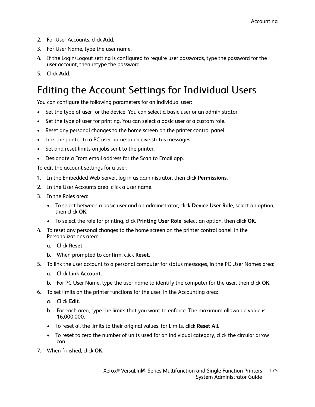- 2. For User Accounts, click **Add**.
- 3. For User Name, type the user name.
- 4. If the Login/Logout setting is configured to require user passwords, type the password for the user account, then retype the password.
- 5. Click **Add**.

# Editing the Account Settings for Individual Users

You can configure the following parameters for an individual user:

- Set the type of user for the device. You can select a basic user or an administrator.
- Set the type of user for printing. You can select a basic user or a custom role.
- Reset any personal changes to the home screen on the printer control panel.
- Link the printer to a PC user name to receive status messages.
- Set and reset limits on jobs sent to the printer.
- Designate a From email address for the Scan to Email app.

To edit the account settings for a user:

- 1. In the Embedded Web Server, log in as administrator, then click **Permissions**.
- 2. In the User Accounts area, click a user name.
- 3. In the Roles area:
	- To select between a basic user and an administrator, click **Device User Role**, select an option, then click **OK**.
	- To select the role for printing, click **Printing User Role**, select an option, then click **OK**.
- 4. To reset any personal changes to the home screen on the printer control panel, in the Personalizations area:
	- a. Click **Reset**.
	- b. When prompted to confirm, click **Reset**.
- 5. To link the user account to a personal computer for status messages, in the PC User Names area:
	- a. Click **Link Account**.
	- b. For PC User Name, type the user name to identify the computer for the user, then click **OK**.
- 6. To set limits on the printer functions for the user, in the Accounting area:
	- a. Click **Edit**.
	- b. For each area, type the limits that you want to enforce. The maximum allowable value is 16,000,000.
	- To reset all the limits to their original values, for Limits, click **Reset All**.
	- To reset to zero the number of units used for an individual category, click the circular arrow icon.
- 7. When finished, click **OK**.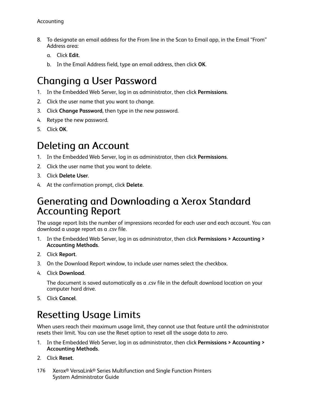- 8. To designate an email address for the From line in the Scan to Email app, in the Email "From" Address area:
	- a. Click **Edit**.
	- b. In the Email Address field, type an email address, then click **OK**.

## Changing a User Password

- 1. In the Embedded Web Server, log in as administrator, then click **Permissions**.
- 2. Click the user name that you want to change.
- 3. Click **Change Password**, then type in the new password.
- 4. Retype the new password.
- 5. Click **OK**.

## Deleting an Account

- 1. In the Embedded Web Server, log in as administrator, then click **Permissions**.
- 2. Click the user name that you want to delete.
- 3. Click **Delete User**.
- 4. At the confirmation prompt, click **Delete**.

### Generating and Downloading a Xerox Standard Accounting Report

The usage report lists the number of impressions recorded for each user and each account. You can download a usage report as a .csv file.

- 1. In the Embedded Web Server, log in as administrator, then click **Permissions > Accounting > Accounting Methods**.
- 2. Click **Report**.
- 3. On the Download Report window, to include user names select the checkbox.
- 4. Click **Download**.

The document is saved automatically as a .csv file in the default download location on your computer hard drive.

5. Click **Cancel**.

## Resetting Usage Limits

When users reach their maximum usage limit, they cannot use that feature until the administrator resets their limit. You can use the Reset option to reset all the usage data to zero.

- 1. In the Embedded Web Server, log in as administrator, then click **Permissions > Accounting > Accounting Methods**.
- 2. Click **Reset**.
- 176 Xerox<sup>®</sup> VersaLink<sup>®</sup> Series Multifunction and Single Function Printers System Administrator Guide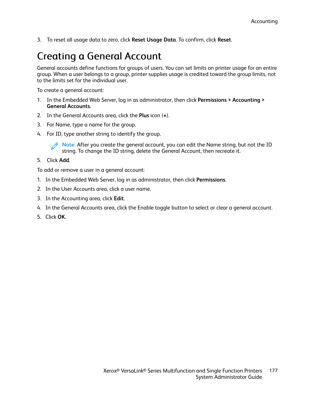3. To reset all usage data to zero, click **Reset Usage Data**. To confirm, click **Reset**.

## Creating a General Account

General accounts define functions for groups of users. You can set limits on printer usage for an entire group. When a user belongs to a group, printer supplies usage is credited toward the group limits, not to the limits set for the individual user.

To create a general account:

- 1. In the Embedded Web Server, log in as administrator, then click **Permissions > Accounting > General Accounts**.
- 2. In the General Accounts area, click the **Plus** icon (**+**).
- 3. For Name, type a name for the group.
- 4. For ID, type another string to identify the group.

**Note:** After you create the general account, you can edit the Name string, but not the ID string. To change the ID string, delete the General Account, then recreate it.

5. Click **Add**.

To add or remove a user in a general account:

- 1. In the Embedded Web Server, log in as administrator, then click **Permissions**.
- 2. In the User Accounts area, click a user name.
- 3. In the Accounting area, click **Edit**.
- 4. In the General Accounts area, click the Enable toggle button to select or clear a general account.
- 5. Click **OK**.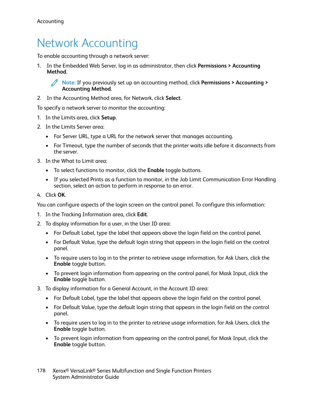# <span id="page-177-0"></span>Network Accounting

To enable accounting through a network server:

1. In the Embedded Web Server, log in as administrator, then click **Permissions > Accounting Method**.

**Note:** If you previously set up an accounting method, click **Permissions > Accounting > Accounting Method**.

2. In the Accounting Method area, for Network, click **Select**.

To specify a network server to monitor the accounting:

- 1. In the Limits area, click **Setup**.
- 2. In the Limits Server area:
	- For Server URL, type a URL for the network server that manages accounting.
	- For Timeout, type the number of seconds that the printer waits idle before it disconnects from the server.
- 3. In the What to Limit area:
	- To select functions to monitor, click the **Enable** toggle buttons.
	- If you selected Prints as a function to monitor, in the Job Limit Communication Error Handling section, select an action to perform in response to an error.
- 4. Click **OK**.

You can configure aspects of the login screen on the control panel. To configure this information:

- 1. In the Tracking Information area, click **Edit**.
- 2. To display information for a user, in the User ID area:
	- For Default Label, type the label that appears above the login field on the control panel.
	- For Default Value, type the default login string that appears in the login field on the control panel.
	- To require users to log in to the printer to retrieve usage information, for Ask Users, click the **Enable** toggle button.
	- To prevent login information from appearing on the control panel, for Mask Input, click the **Enable** toggle button.
- 3. To display information for a General Account, in the Account ID area:
	- For Default Label, type the label that appears above the login field on the control panel.
	- For Default Value, type the default login string that appears in the login field on the control panel.
	- To require users to log in to the printer to retrieve usage information, for Ask Users, click the **Enable** toggle button.
	- To prevent login information from appearing on the control panel, for Mask Input, click the **Enable** toggle button.
- 178 Xerox<sup>®</sup> VersaLink<sup>®</sup> Series Multifunction and Single Function Printers System Administrator Guide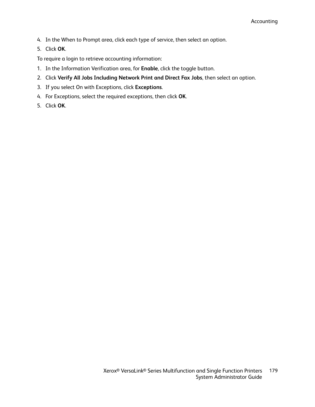- 4. In the When to Prompt area, click each type of service, then select an option.
- 5. Click **OK**.

To require a login to retrieve accounting information:

- 1. In the Information Verification area, for **Enable**, click the toggle button.
- 2. Click **Verify All Jobs Including Network Print and Direct Fax Jobs**, then select an option.
- 3. If you select On with Exceptions, click **Exceptions**.
- 4. For Exceptions, select the required exceptions, then click **OK**.
- 5. Click **OK**.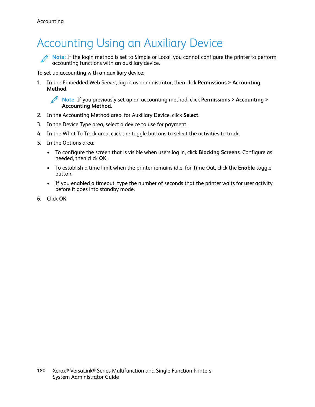# <span id="page-179-0"></span>Accounting Using an Auxiliary Device

**Note:** If the login method is set to Simple or Local, you cannot configure the printer to perform accounting functions with an auxiliary device.

To set up accounting with an auxiliary device:

1. In the Embedded Web Server, log in as administrator, then click **Permissions > Accounting Method**.

 $\mathscr{O}$ **Note:** If you previously set up an accounting method, click **Permissions > Accounting > Accounting Method**.

- 2. In the Accounting Method area, for Auxiliary Device, click **Select**.
- 3. In the Device Type area, select a device to use for payment.
- 4. In the What To Track area, click the toggle buttons to select the activities to track.
- 5. In the Options area:
	- To configure the screen that is visible when users log in, click **Blocking Screens**. Configure as needed, then click **OK**.
	- To establish a time limit when the printer remains idle, for Time Out, click the **Enable** toggle button.
	- If you enabled a timeout, type the number of seconds that the printer waits for user activity before it goes into standby mode.
- 6. Click **OK**.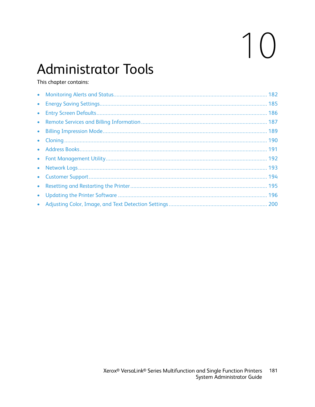# 10

# <span id="page-180-0"></span>**Administrator Tools**

This chapter contains:

| $\bullet$ |  |
|-----------|--|
| $\bullet$ |  |
| $\bullet$ |  |
| $\bullet$ |  |
| $\bullet$ |  |
| $\bullet$ |  |
| $\bullet$ |  |
| $\bullet$ |  |
| $\bullet$ |  |
| $\bullet$ |  |
| $\bullet$ |  |
| $\bullet$ |  |
|           |  |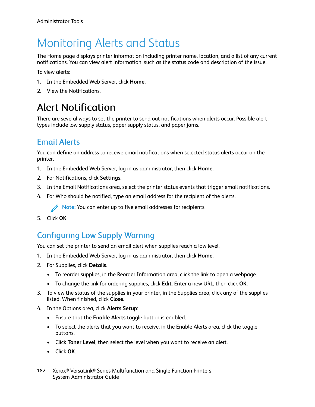# <span id="page-181-0"></span>Monitoring Alerts and Status

The Home page displays printer information including printer name, location, and a list of any current notifications. You can view alert information, such as the status code and description of the issue.

To view alerts:

- 1. In the Embedded Web Server, click **Home**.
- 2. View the Notifications.

## Alert Notification

There are several ways to set the printer to send out notifications when alerts occur. Possible alert types include low supply status, paper supply status, and paper jams.

#### Email Alerts

You can define an address to receive email notifications when selected status alerts occur on the printer.

- 1. In the Embedded Web Server, log in as administrator, then click **Home**.
- 2. For Notifications, click **Settings**.
- 3. In the Email Notifications area, select the printer status events that trigger email notifications.
- 4. For Who should be notified, type an email address for the recipient of the alerts.

**Note:** You can enter up to five email addresses for recipients.

5. Click **OK**.

#### Configuring Low Supply Warning

You can set the printer to send an email alert when supplies reach a low level.

- 1. In the Embedded Web Server, log in as administrator, then click **Home**.
- 2. For Supplies, click **Details**.
	- To reorder supplies, in the Reorder Information area, click the link to open a webpage.
	- To change the link for ordering supplies, click **Edit**. Enter a new URL, then click **OK**.
- 3. To view the status of the supplies in your printer, in the Supplies area, click any of the supplies listed. When finished, click **Close**.
- 4. In the Options area, click **Alerts Setup**:
	- Ensure that the **Enable Alerts** toggle button is enabled.
	- To select the alerts that you want to receive, in the Enable Alerts area, click the toggle buttons.
	- Click **Toner Level**, then select the level when you want to receive an alert.
	- Click **OK**.
- 182 Xerox<sup>®</sup> VersaLink<sup>®</sup> Series Multifunction and Single Function Printers System Administrator Guide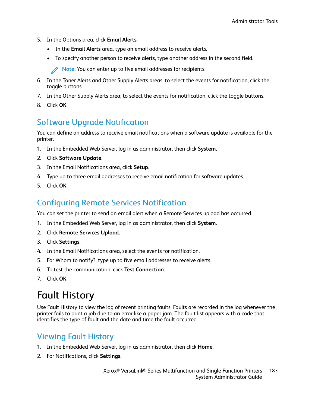- 5. In the Options area, click **Email Alerts**.
	- In the **Email Alerts** area, type an email address to receive alerts.
	- To specify another person to receive alerts, type another address in the second field.

**Note:** You can enter up to five email addresses for recipients.

- 6. In the Toner Alerts and Other Supply Alerts areas, to select the events for notification, click the toggle buttons.
- 7. In the Other Supply Alerts area, to select the events for notification, click the toggle buttons.
- 8. Click **OK**.

#### Software Upgrade Notification

You can define an address to receive email notifications when a software update is available for the printer.

- 1. In the Embedded Web Server, log in as administrator, then click **System**.
- 2. Click **Software Update**.
- 3. In the Email Notifications area, click **Setup**.
- 4. Type up to three email addresses to receive email notification for software updates.
- 5. Click **OK**.

#### Configuring Remote Services Notification

You can set the printer to send an email alert when a Remote Services upload has occurred.

- 1. In the Embedded Web Server, log in as administrator, then click **System**.
- 2. Click **Remote Services Upload**.
- 3. Click **Settings**.
- 4. In the Email Notifications area, select the events for notification.
- 5. For Whom to notify?, type up to five email addresses to receive alerts.
- 6. To test the communication, click **Test Connection**.
- 7. Click **OK**.

## Fault History

Use Fault History to view the log of recent printing faults. Faults are recorded in the log whenever the printer fails to print a job due to an error like a paper jam. The fault list appears with a code that identifies the type of fault and the date and time the fault occurred.

#### Viewing Fault History

- 1. In the Embedded Web Server, log in as administrator, then click **Home**.
- 2. For Notifications, click **Settings**.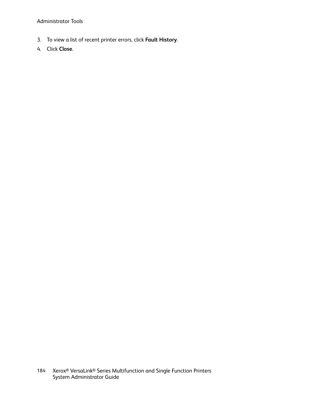[Administrator](#page-180-0) Tools

- 3. To view a list of recent printer errors, click **Fault History**.
- 4. Click **Close**.

184 Xerox® VersaLink® Series Multifunction and Single Function Printers System Administrator Guide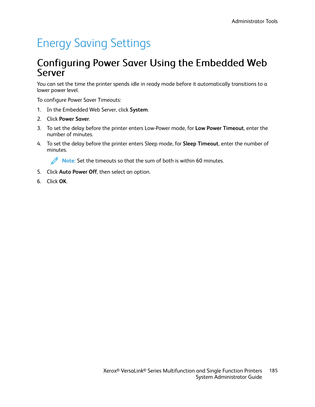# <span id="page-184-0"></span>Energy Saving Settings

#### Configuring Power Saver Using the Embedded Web Server

You can set the time the printer spends idle in ready mode before it automatically transitions to a lower power level.

To configure Power Saver Timeouts:

- 1. In the Embedded Web Server, click **System**.
- 2. Click **Power Saver**.
- 3. To set the delay before the printer enters Low-Power mode, for **Low Power Timeout**, enter the number of minutes.
- 4. To set the delay before the printer enters Sleep mode, for **Sleep Timeout**, enter the number of minutes.

Note: Set the timeouts so that the sum of both is within 60 minutes.

- 5. Click **Auto Power Off**, then select an option.
- 6. Click **OK**.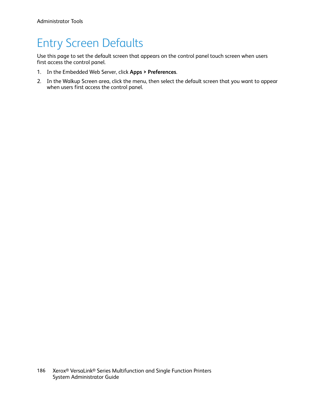# <span id="page-185-0"></span>Entry Screen Defaults

Use this page to set the default screen that appears on the control panel touch screen when users first access the control panel.

- 1. In the Embedded Web Server, click **Apps > Preferences**.
- 2. In the Walkup Screen area, click the menu, then select the default screen that you want to appear when users first access the control panel.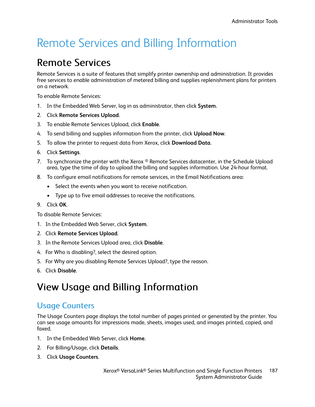# <span id="page-186-0"></span>Remote Services and Billing Information

#### Remote Services

Remote Services is a suite of features that simplify printer ownership and administration. It provides free services to enable administration of metered billing and supplies replenishment plans for printers on a network.

To enable Remote Services:

- 1. In the Embedded Web Server, log in as administrator, then click **System.**
- 2. Click **Remote Services Upload**.
- 3. To enable Remote Services Upload, click **Enable**.
- 4. To send billing and supplies information from the printer, click **Upload Now**.
- 5. To allow the printer to request data from Xerox, click **Download Data**.
- 6. Click **Settings**.
- 7. To synchronize the printer with the Xerox ® Remote Services datacenter, in the Schedule Upload area, type the time of day to upload the billing and supplies information. Use 24-hour format.
- 8. To configure email notifications for remote services, in the Email Notifications area:
	- Select the events when you want to receive notification.
	- Type up to five email addresses to receive the notifications.
- 9. Click **OK**.

To disable Remote Services:

- 1. In the Embedded Web Server, click **System**.
- 2. Click **Remote Services Upload**.
- 3. In the Remote Services Upload area, click **Disable**.
- 4. For Who is disabling?, select the desired option.
- 5. For Why are you disabling Remote Services Upload?, type the reason.
- 6. Click **Disable**.

### View Usage and Billing Information

#### Usage Counters

The Usage Counters page displays the total number of pages printed or generated by the printer. You can see usage amounts for impressions made, sheets, images used, and images printed, copied, and faxed.

- 1. In the Embedded Web Server, click **Home**.
- 2. For Billing/Usage, click **Details**.
- 3. Click **Usage Counters**.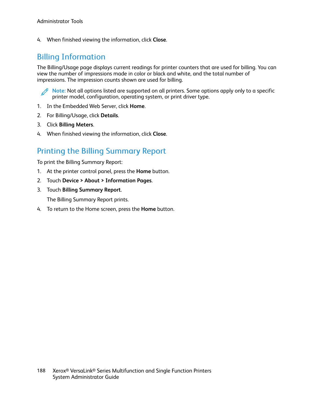4. When finished viewing the information, click **Close**.

#### Billing Information

The Billing/Usage page displays current readings for printer counters that are used for billing. You can view the number of impressions made in color or black and white, and the total number of impressions. The impression counts shown are used for billing.

**Note:** Not all options listed are supported on all printers. Some options apply only to a specific printer model, configuration, operating system, or print driver type.

- 1. In the Embedded Web Server, click **Home**.
- 2. For Billing/Usage, click **Details**.
- 3. Click **Billing Meters**.
- 4. When finished viewing the information, click **Close**.

#### Printing the Billing Summary Report

To print the Billing Summary Report:

- 1. At the printer control panel, press the **Home** button.
- 2. Touch **Device > About > Information Pages**.
- 3. Touch **Billing Summary Report**.

The Billing Summary Report prints.

4. To return to the Home screen, press the **Home** button.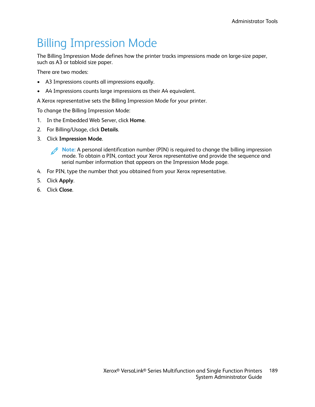# <span id="page-188-0"></span>Billing Impression Mode

The Billing Impression Mode defines how the printer tracks impressions made on large-size paper, such as A3 or tabloid size paper.

There are two modes:

- A3 Impressions counts all impressions equally.
- A4 Impressions counts large impressions as their A4 equivalent.

A Xerox representative sets the Billing Impression Mode for your printer.

To change the Billing Impression Mode:

- 1. In the Embedded Web Server, click **Home**.
- 2. For Billing/Usage, click **Details**.
- 3. Click **Impression Mode**.

**Note:** A personal identification number (PIN) is required to change the billing impression  $\mathscr{O}$ mode. To obtain a PIN, contact your Xerox representative and provide the sequence and serial number information that appears on the Impression Mode page.

- 4. For PIN, type the number that you obtained from your Xerox representative.
- 5. Click **Apply**.
- 6. Click **Close**.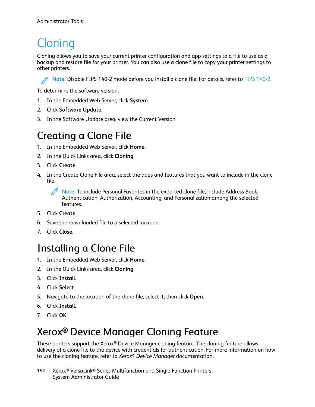# <span id="page-189-0"></span>**Cloning**

Cloning allows you to save your current printer configuration and app settings to a file to use as a backup and restore file for your printer. You can also use a clone file to copy your printer settings to other printers.

**Note:** Disable FIPS 140-2 mode before you install a clone file. For details, refer to FIPS [140-2.](#page-106-0)

To determine the software version:

- 1. In the Embedded Web Server, click **System**.
- 2. Click **Software Update**.
- 3. In the Software Update area, view the Current Version.

### Creating a Clone File

- 1. In the Embedded Web Server, click **Home**.
- 2. In the Quick Links area, click **Cloning**.
- 3. Click **Create**.
- 4. In the Create Clone File area, select the apps and features that you want to include in the clone file.

 $\mathscr{O}$ **Note:** To include Personal Favorites in the exported clone file, include Address Book, Authentication, Authorization, Accounting, and Personalization among the selected features.

- 5. Click **Create**.
- 6. Save the downloaded file to a selected location.
- 7. Click **Close**.

### Installing a Clone File

- 1. In the Embedded Web Server, click **Home**.
- 2. In the Quick Links area, click **Cloning**.
- 3. Click **Install**.
- 4. Click **Select**.
- 5. Navigate to the location of the clone file, select it, then click **Open**.
- 6. Click **Install**.
- 7. Click **OK**.

### Xerox® Device Manager Cloning Feature

These printers support the Xerox® Device Manager cloning feature. The cloning feature allows delivery of a clone file to the device with credentials for authentication. For more information on how to use the cloning feature, refer to *Xerox*® *Device Manager* documentation.

190 Xerox® VersaLink® Series Multifunction and Single Function Printers System Administrator Guide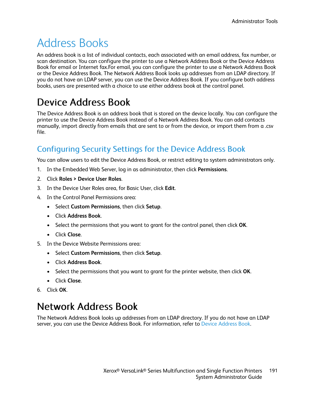# <span id="page-190-0"></span>Address Books

An address book is a list of individual contacts, each associated with an email address, fax number, or scan destination. You can configure the printer to use a Network Address Book or the Device Address Book for email or Internet fax.For email, you can configure the printer to use a Network Address Book or the Device Address Book. The Network Address Book looks up addresses from an LDAP directory. If you do not have an LDAP server, you can use the Device Address Book. If you configure both address books, users are presented with a choice to use either address book at the control panel.

## <span id="page-190-1"></span>Device Address Book

The Device Address Book is an address book that is stored on the device locally. You can configure the printer to use the Device Address Book instead of a Network Address Book. You can add contacts manually, import directly from emails that are sent to or from the device, or import them from a .csv file.

#### Configuring Security Settings for the Device Address Book

You can allow users to edit the Device Address Book, or restrict editing to system administrators only.

- 1. In the Embedded Web Server, log in as administrator, then click **Permissions**.
- 2. Click **Roles > Device User Roles**.
- 3. In the Device User Roles area, for Basic User, click **Edit**.
- 4. In the Control Panel Permissions area:
	- Select **Custom Permissions**, then click **Setup**.
	- Click **Address Book**.
	- Select the permissions that you want to grant for the control panel, then click **OK**.
	- Click **Close**.
- 5. In the Device Website Permissions area:
	- Select **Custom Permissions**, then click **Setup**.
	- Click **Address Book**.
	- Select the permissions that you want to grant for the printer website, then click **OK**.
	- Click **Close**.
- 6. Click **OK**.

#### Network Address Book

The Network Address Book looks up addresses from an LDAP directory. If you do not have an LDAP server, you can use the Device Address Book. For information, refer to Device [Address](#page-190-1) Book.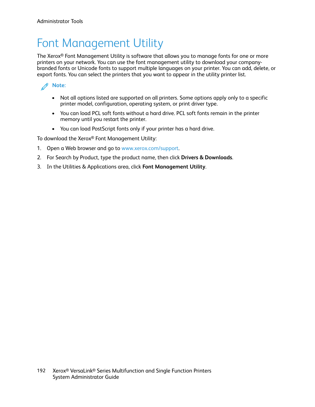# <span id="page-191-0"></span>Font Management Utility

The Xerox® Font Management Utility is software that allows you to manage fonts for one or more printers on your network. You can use the font management utility to download your companybranded fonts or Unicode fonts to support multiple languages on your printer. You can add, delete, or export fonts. You can select the printers that you want to appear in the utility printer list.



- Not all options listed are supported on all printers. Some options apply only to a specific printer model, configuration, operating system, or print driver type.
- You can load PCL soft fonts without a hard drive. PCL soft fonts remain in the printer memory until you restart the printer.
- You can load PostScript fonts only if your printer has a hard drive.

To download the Xerox® Font Management Utility:

- 1. Open a Web browser and go to [www.xerox.com/support.](http://www.office.xerox.com/cgi-bin/printer.pl?APP=udpdfs&Page=Color&PgName=Tech&Language=English)
- 2. For Search by Product, type the product name, then click **Drivers & Downloads**.
- 3. In the Utilities & Applications area, click **Font Management Utility**.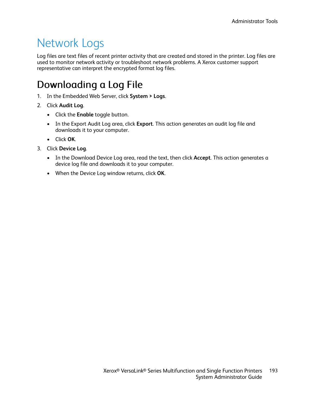## <span id="page-192-0"></span>Network Logs

Log files are text files of recent printer activity that are created and stored in the printer. Log files are used to monitor network activity or troubleshoot network problems. A Xerox customer support representative can interpret the encrypted format log files.

## Downloading a Log File

- 1. In the Embedded Web Server, click **System > Logs**.
- 2. Click **Audit Log**.
	- Click the **Enable** toggle button.
	- In the Export Audit Log area, click **Export**. This action generates an audit log file and downloads it to your computer.
	- Click **OK**.
- 3. Click **Device Log**.
	- In the Download Device Log area, read the text, then click **Accept**. This action generates a device log file and downloads it to your computer.
	- When the Device Log window returns, click **OK**.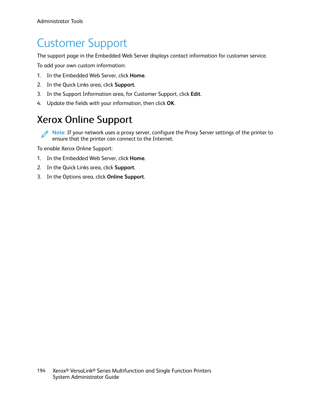## <span id="page-193-0"></span>Customer Support

The support page in the Embedded Web Server displays contact information for customer service.

To add your own custom information:

- 1. In the Embedded Web Server, click **Home**.
- 2. In the Quick Links area, click **Support**.
- 3. In the Support Information area, for Customer Support, click **Edit**.
- 4. Update the fields with your information, then click **OK**.

## Xerox Online Support

**Note:** If your network uses a proxy server, configure the Proxy Server settings of the printer to ensure that the printer can connect to the Internet.

To enable Xerox Online Support:

- 1. In the Embedded Web Server, click **Home**.
- 2. In the Quick Links area, click **Support**.
- 3. In the Options area, click **Online Support**.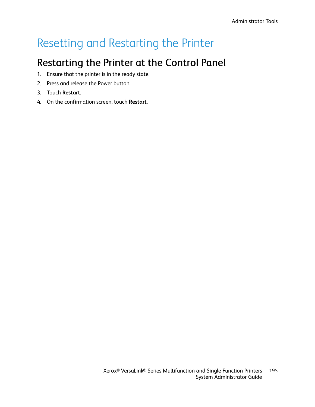# <span id="page-194-0"></span>Resetting and Restarting the Printer

### Restarting the Printer at the Control Panel

- 1. Ensure that the printer is in the ready state.
- 2. Press and release the Power button.
- 3. Touch **Restart**.
- 4. On the confirmation screen, touch **Restart**.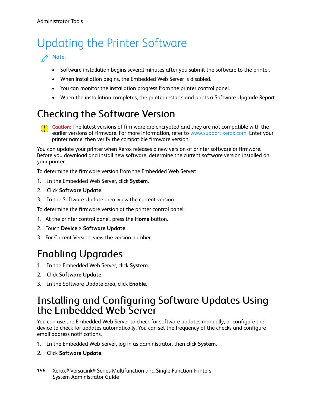# <span id="page-195-0"></span>Updating the Printer Software

**Note:**

- Software installation begins several minutes after you submit the software to the printer.
- When installation begins, the Embedded Web Server is disabled.
- You can monitor the installation progress from the printer control panel.
- When the installation completes, the printer restarts and prints a Software Upgrade Report.

## Checking the Software Version

**Caution:** The latest versions of firmware are encrypted and they are not compatible with the earlier versions of firmware. For more information, refer to [www.support.xerox.com](http://www.support.xerox.com). Enter your printer name, then verify the compatible firmware version.

You can update your printer when Xerox releases a new version of printer software or firmware. Before you download and install new software, determine the current software version installed on your printer.

To determine the firmware version from the Embedded Web Server:

- 1. In the Embedded Web Server, click **System**.
- 2. Click **Software Update**.
- 3. In the Software Update area, view the current version.

To determine the firmware version at the printer control panel:

- 1. At the printer control panel, press the **Home** button.
- 2. Touch **Device > Software Update**.
- 3. For Current Version, view the version number.

## Enabling Upgrades

- 1. In the Embedded Web Server, click **System.**
- 2. Click **Software Update**.
- 3. In the Software Update area, click **Enable**.

#### Installing and Configuring Software Updates Using the Embedded Web Server

You can use the Embedded Web Server to check for software updates manually, or configure the device to check for updates automatically. You can set the frequency of the checks and configure email address notifications.

- 1. In the Embedded Web Server, log in as administrator, then click **System**.
- 2. Click **Software Update**.
- 196 Xerox® VersaLink® Series Multifunction and Single Function Printers System Administrator Guide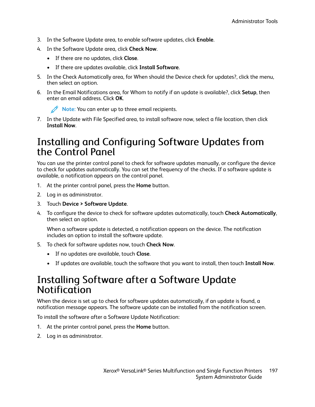- 3. In the Software Update area, to enable software updates, click **Enable**.
- 4. In the Software Update area, click **Check Now**.
	- If there are no updates, click **Close**.
	- If there are updates available, click **Install Software**.
- 5. In the Check Automatically area, for When should the Device check for updates?, click the menu, then select an option.
- 6. In the Email Notifications area, for Whom to notify if an update is available?, click **Setup**, then enter an email address. Click **OK**.

**Note:** You can enter up to three email recipients.

7. In the Update with File Specified area, to install software now, select a file location, then click **Install Now**.

#### Installing and Configuring Software Updates from the Control Panel

You can use the printer control panel to check for software updates manually, or configure the device to check for updates automatically. You can set the frequency of the checks. If a software update is available, a notification appears on the control panel.

- 1. At the printer control panel, press the **Home** button.
- 2. Log in as administrator.
- 3. Touch **Device > Software Update**.
- 4. To configure the device to check for software updates automatically, touch **Check Automatically**, then select an option.

When a software update is detected, a notification appears on the device. The notification includes an option to install the software update.

- 5. To check for software updates now, touch **Check Now**.
	- If no updates are available, touch **Close**.
	- If updates are available, touch the software that you want to install, then touch **Install Now**.

#### Installing Software after a Software Update Notification

When the device is set up to check for software updates automatically, if an update is found, a notification message appears. The software update can be installed from the notification screen.

To install the software after a Software Update Notification:

- 1. At the printer control panel, press the **Home** button.
- 2. Log in as administrator.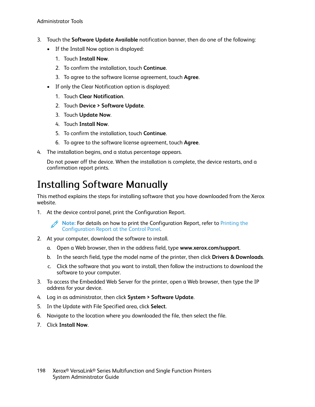- 3. Touch the **Software Update Available** notification banner, then do one of the following:
	- If the Install Now option is displayed:
		- 1. Touch **Install Now**.
		- 2. To confirm the installation, touch **Continue**.
		- 3. To agree to the software license agreement, touch **Agree**.
	- If only the Clear Notification option is displayed:
		- 1. Touch **Clear Notification**.
		- 2. Touch **Device > Software Update**.
		- 3. Touch **Update Now**.
		- 4. Touch **Install Now**.
		- 5. To confirm the installation, touch **Continue**.
		- 6. To agree to the software license agreement, touch **Agree**.
- 4. The installation begins, and a status percentage appears.

Do not power off the device. When the installation is complete, the device restarts, and a confirmation report prints.

## Installing Software Manually

This method explains the steps for installing software that you have downloaded from the Xerox website.

1. At the device control panel, print the Configuration Report.

**Note:** For details on how to print the Configuration Report, refer to [Printing](#page-17-0) the [Configuration](#page-17-0) Report at the Control Panel.

- 2. At your computer, download the software to install.
	- a. Open a Web browser, then in the address field, type **www.xerox.com/support**.
	- b. In the search field, type the model name of the printer, then click **Drivers & Downloads**.
	- c. Click the software that you want to install, then follow the instructions to download the software to your computer.
- 3. To access the Embedded Web Server for the printer, open a Web browser, then type the IP address for your device.
- 4. Log in as administrator, then click **System > Software Update**.
- 5. In the Update with File Specified area, click **Select**.
- 6. Navigate to the location where you downloaded the file, then select the file.
- 7. Click **Install Now**.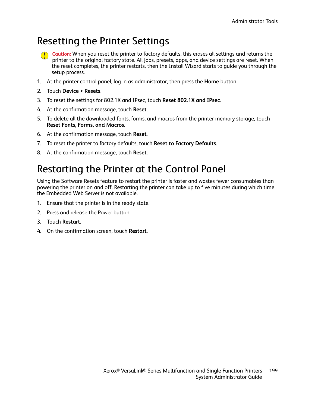#### Resetting the Printer Settings

- **Caution:** When you reset the printer to factory defaults, this erases all settings and returns the printer to the original factory state. All jobs, presets, apps, and device settings are reset. When the reset completes, the printer restarts, then the Install Wizard starts to guide you through the setup process.
- 1. At the printer control panel, log in as administrator, then press the **Home** button.
- 2. Touch **Device > Resets**.
- 3. To reset the settings for 802.1X and IPsec, touch **Reset 802.1X and IPsec**.
- 4. At the confirmation message, touch **Reset**.
- 5. To delete all the downloaded fonts, forms, and macros from the printer memory storage, touch **Reset Fonts, Forms, and Macros**.
- 6. At the confirmation message, touch **Reset**.
- 7. To reset the printer to factory defaults, touch **Reset to Factory Defaults**.
- 8. At the confirmation message, touch **Reset**.

## Restarting the Printer at the Control Panel

Using the Software Resets feature to restart the printer is faster and wastes fewer consumables than powering the printer on and off. Restarting the printer can take up to five minutes during which time the Embedded Web Server is not available.

- 1. Ensure that the printer is in the ready state.
- 2. Press and release the Power button.
- 3. Touch **Restart**.
- 4. On the confirmation screen, touch **Restart**.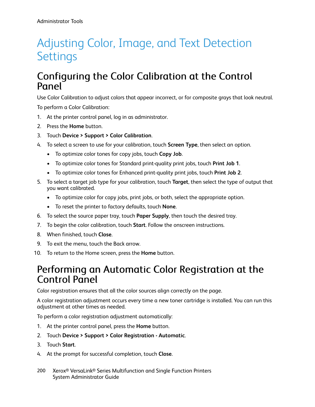# <span id="page-199-0"></span>Adjusting Color, Image, and Text Detection **Settings**

#### Configuring the Color Calibration at the Control Panel

Use Color Calibration to adjust colors that appear incorrect, or for composite grays that look neutral.

To perform a Color Calibration:

- 1. At the printer control panel, log in as administrator.
- 2. Press the **Home** button.
- 3. Touch **Device > Support > Color Calibration**.
- 4. To select a screen to use for your calibration, touch **Screen Type**, then select an option.
	- To optimize color tones for copy jobs, touch **Copy Job**.
	- To optimize color tones for Standard print-quality print jobs, touch **Print Job 1**.
	- To optimize color tones for Enhanced print-quality print jobs, touch **Print Job 2**.
- 5. To select a target job type for your calibration, touch **Target**, then select the type of output that you want calibrated.
	- To optimize color for copy jobs, print jobs, or both, select the appropriate option.
	- To reset the printer to factory defaults, touch **None**.
- 6. To select the source paper tray, touch **Paper Supply**, then touch the desired tray.
- 7. To begin the color calibration, touch **Start**. Follow the onscreen instructions.
- 8. When finished, touch **Close**.
- 9. To exit the menu, touch the Back arrow.
- 10. To return to the Home screen, press the **Home** button.

#### Performing an Automatic Color Registration at the Control Panel

Color registration ensures that all the color sources align correctly on the page.

A color registration adjustment occurs every time a new toner cartridge is installed. You can run this adjustment at other times as needed.

To perform a color registration adjustment automatically:

- 1. At the printer control panel, press the **Home** button.
- 2. Touch **Device > Support > Color Registration - Automatic**.
- 3. Touch **Start**.
- 4. At the prompt for successful completion, touch **Close**.
- 200 Xerox® VersaLink® Series Multifunction and Single Function Printers System Administrator Guide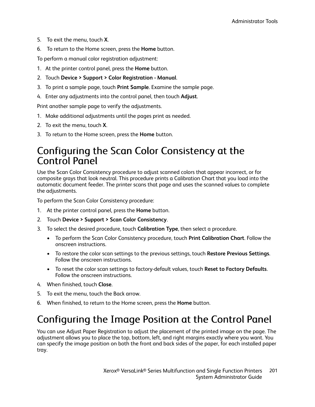- 5. To exit the menu, touch **X**.
- 6. To return to the Home screen, press the **Home** button.

To perform a manual color registration adjustment:

- 1. At the printer control panel, press the **Home** button.
- 2. Touch **Device > Support > Color Registration - Manual**.
- 3. To print a sample page, touch **Print Sample**. Examine the sample page.
- 4. Enter any adjustments into the control panel, then touch **Adjust**.

Print another sample page to verify the adjustments.

- 1. Make additional adjustments until the pages print as needed.
- 2. To exit the menu, touch **X**.
- 3. To return to the Home screen, press the **Home** button.

#### Configuring the Scan Color Consistency at the Control Panel

Use the Scan Color Consistency procedure to adjust scanned colors that appear incorrect, or for composite grays that look neutral. This procedure prints a Calibration Chart that you load into the automatic document feeder. The printer scans that page and uses the scanned values to complete the adjustments.

To perform the Scan Color Consistency procedure:

- 1. At the printer control panel, press the **Home** button.
- 2. Touch **Device > Support > Scan Color Consistency**.
- 3. To select the desired procedure, touch **Calibration Type**, then select a procedure.
	- To perform the Scan Color Consistency procedure, touch **Print Calibration Chart**. Follow the onscreen instructions.
	- To restore the color scan settings to the previous settings, touch **Restore Previous Settings**. Follow the onscreen instructions.
	- To reset the color scan settings to factory-default values, touch **Reset to Factory Defaults**. Follow the onscreen instructions.
- 4. When finished, touch **Close**.
- 5. To exit the menu, touch the Back arrow.
- 6. When finished, to return to the Home screen, press the **Home** button.

## Configuring the Image Position at the Control Panel

You can use Adjust Paper Registration to adjust the placement of the printed image on the page. The adjustment allows you to place the top, bottom, left, and right margins exactly where you want. You can specify the image position on both the front and back sides of the paper, for each installed paper tray.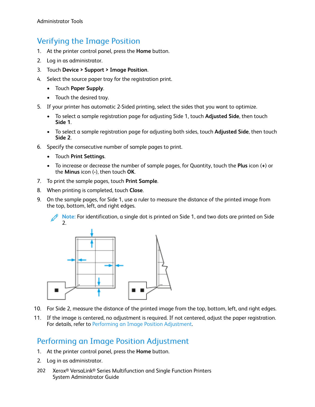#### Verifying the Image Position

- 1. At the printer control panel, press the **Home** button.
- 2. Log in as administrator.
- 3. Touch **Device > Support > Image Position**.
- 4. Select the source paper tray for the registration print.
	- Touch **Paper Supply**.
	- Touch the desired tray.
- 5. If your printer has automatic 2-Sided printing, select the sides that you want to optimize.
	- To select a sample registration page for adjusting Side 1, touch **Adjusted Side**, then touch **Side 1**.
	- To select a sample registration page for adjusting both sides, touch **Adjusted Side**, then touch **Side 2**.
- 6. Specify the consecutive number of sample pages to print.
	- Touch **Print Settings**.
	- To increase or decrease the number of sample pages, for Quantity, touch the **Plus** icon (**+**) or the **Minus** icon (**-**), then touch **OK**.
- 7. To print the sample pages, touch **Print Sample**.
- 8. When printing is completed, touch **Close**.
- 9. On the sample pages, for Side 1, use a ruler to measure the distance of the printed image from the top, bottom, left, and right edges.

**Note:** For identification, a single dot is printed on Side 1, and two dots are printed on Side 2.



- 10. For Side 2, measure the distance of the printed image from the top, bottom, left, and right edges.
- 11. If the image is centered, no adjustment is required. If not centered, adjust the paper registration. For details, refer to Performing an Image Position [Adjustment](#page-201-0).

#### <span id="page-201-0"></span>Performing an Image Position Adjustment

- 1. At the printer control panel, press the **Home** button.
- 2. Log in as administrator.
- 202 Xerox® VersaLink® Series Multifunction and Single Function Printers System Administrator Guide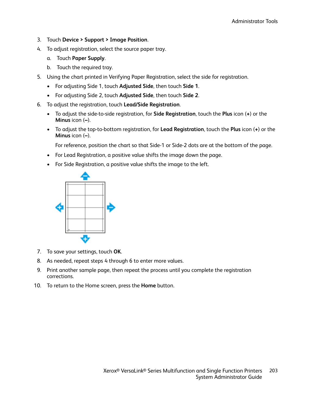- 3. Touch **Device > Support > Image Position**.
- 4. To adjust registration, select the source paper tray.
	- a. Touch **Paper Supply**.
	- b. Touch the required tray.
- 5. Using the chart printed in Verifying Paper Registration, select the side for registration.
	- For adjusting Side 1, touch **Adjusted Side**, then touch **Side 1**.
	- For adjusting Side 2, touch **Adjusted Side**, then touch **Side 2**.
- 6. To adjust the registration, touch **Lead/Side Registration**.
	- To adjust the side-to-side registration, for **Side Registration**, touch the **Plus** icon (**+**) or the **Minus** icon (**–**).
	- To adjust the top-to-bottom registration, for **Lead Registration**, touch the **Plus** icon (**+**) or the **Minus** icon (**–**).

For reference, position the chart so that Side-1 or Side-2 dots are at the bottom of the page.

- For Lead Registration, a positive value shifts the image down the page.
- For Side Registration, a positive value shifts the image to the left.



- 7. To save your settings, touch **OK**.
- 8. As needed, repeat steps 4 through 6 to enter more values.
- 9. Print another sample page, then repeat the process until you complete the registration corrections.
- 10. To return to the Home screen, press the **Home** button.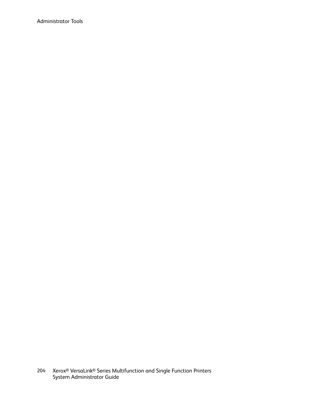[Administrator](#page-180-0) Tools

204 Xerox® VersaLink® Series Multifunction and Single Function Printers System Administrator Guide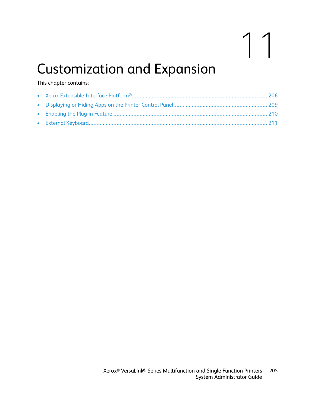# 11

# <span id="page-204-0"></span>Customization and Expansion

This chapter contains: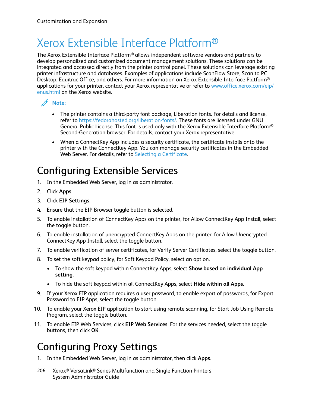## <span id="page-205-0"></span>Xerox Extensible Interface Platform®

The Xerox Extensible Interface Platform® allows independent software vendors and partners to develop personalized and customized document management solutions. These solutions can be integrated and accessed directly from the printer control panel. These solutions can leverage existing printer infrastructure and databases. Examples of applications include ScanFlow Store, Scan to PC Desktop, Equitrac Office, and others. For more information on Xerox Extensible Interface Platform® applications for your printer, contact your Xerox representative or refer to [www.office.xerox.com/eip/](http://www.office.xerox.com/eip/enus.html) [enus.html](http://www.office.xerox.com/eip/enus.html) on the Xerox website.

#### **Note:**

- The printer contains a third-party font package, Liberation fonts. For details and license, refer to <https://fedorahosted.org/liberation-fonts/>. These fonts are licensed under GNU General Public License. This font is used only with the Xerox Extensible Interface Platform® Second-Generation browser. For details, contact your Xerox representative.
- When a ConnectKey App includes a security certificate, the certificate installs onto the printer with the ConnectKey App. You can manage security certificates in the Embedded Web Server. For details, refer to Selecting a [Certificate.](#page-101-0)

## Configuring Extensible Services

- 1. In the Embedded Web Server, log in as administrator.
- 2. Click **Apps**.
- 3. Click **EIP Settings**.
- 4. Ensure that the EIP Browser toggle button is selected.
- 5. To enable installation of ConnectKey Apps on the printer, for Allow ConnectKey App Install, select the toggle button.
- 6. To enable installation of unencrypted ConnectKey Apps on the printer, for Allow Unencrypted ConnectKey App Install, select the toggle button.
- 7. To enable verification of server certificates, for Verify Server Certificates, select the toggle button.
- 8. To set the soft keypad policy, for Soft Keypad Policy, select an option.
	- To show the soft keypad within ConnectKey Apps, select **Show based on individual App setting**.
	- To hide the soft keypad within all ConnectKey Apps, select **Hide within all Apps**.
- 9. If your Xerox EIP application requires a user password, to enable export of passwords, for Export Password to EIP Apps, select the toggle button.
- 10. To enable your Xerox EIP application to start using remote scanning, for Start Job Using Remote Program, select the toggle button.
- 11. To enable EIP Web Services, click **EIP Web Services**. For the services needed, select the toggle buttons, then click **OK**.

## Configuring Proxy Settings

- 1. In the Embedded Web Server, log in as administrator, then click **Apps**.
- 206 Xerox® VersaLink® Series Multifunction and Single Function Printers System Administrator Guide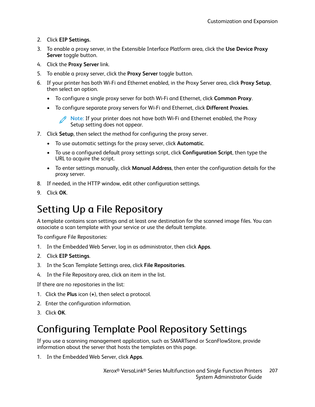- 2. Click **EIP Settings.**
- 3. To enable a proxy server, in the Extensible Interface Platform area, click the **Use Device Proxy Server** toggle button.
- 4. Click the **Proxy Server** link.
- 5. To enable a proxy server, click the **Proxy Server** toggle button.
- 6. If your printer has both Wi-Fi and Ethernet enabled, in the Proxy Server area, click **Proxy Setup**, then select an option.
	- To configure a single proxy server for both Wi-Fi and Ethernet, click **Common Proxy**.
	- To configure separate proxy servers for Wi-Fi and Ethernet, click **Different Proxies**.

**Note:** If your printer does not have both Wi-Fi and Ethernet enabled, the Proxy Setup setting does not appear.

- 7. Click **Setup**, then select the method for configuring the proxy server.
	- To use automatic settings for the proxy server, click **Automatic**.
	- To use a configured default proxy settings script, click **Configuration Script**, then type the URL to acquire the script.
	- To enter settings manually, click **Manual Address**, then enter the configuration details for the proxy server.
- 8. If needed, in the HTTP window, edit other configuration settings.
- 9. Click **OK**.

### Setting Up a File Repository

A template contains scan settings and at least one destination for the scanned image files. You can associate a scan template with your service or use the default template.

To configure File Repositories:

- 1. In the Embedded Web Server, log in as administrator, then click **Apps**.
- 2. Click **EIP Settings**.
- 3. In the Scan Template Settings area, click **File Repositories**.
- 4. In the File Repository area, click an item in the list.

If there are no repositories in the list:

- 1. Click the **Plus** icon (**+**), then select a protocol.
- 2. Enter the configuration information.
- 3. Click **OK**.

### Configuring Template Pool Repository Settings

If you use a scanning management application, such as SMARTsend or ScanFlowStore, provide information about the server that hosts the templates on this page.

1. In the Embedded Web Server, click **Apps**.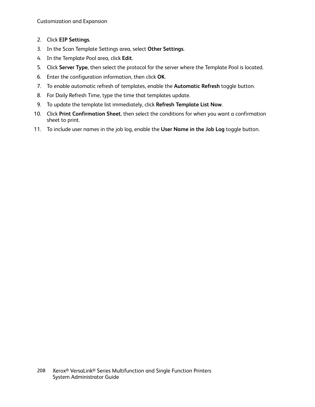- 2. Click **EIP Settings**.
- 3. In the Scan Template Settings area, select **Other Settings**.
- 4. In the Template Pool area, click **Edit**.
- 5. Click **Server Type**, then select the protocol for the server where the Template Pool is located.
- 6. Enter the configuration information, then click **OK**.
- 7. To enable automatic refresh of templates, enable the **Automatic Refresh** toggle button.
- 8. For Daily Refresh Time, type the time that templates update.
- 9. To update the template list immediately, click **Refresh Template List Now**.
- 10. Click **Print Confirmation Sheet**, then select the conditions for when you want a confirmation sheet to print.
- 11. To include user names in the job log, enable the **User Name in the Job Log** toggle button.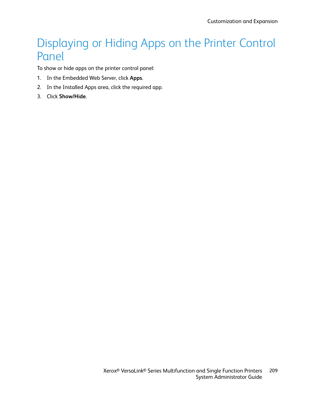## <span id="page-208-0"></span>Displaying or Hiding Apps on the Printer Control Panel

To show or hide apps on the printer control panel:

- 1. In the Embedded Web Server, click **Apps**.
- 2. In the Installed Apps area, click the required app.
- 3. Click **Show/Hide**.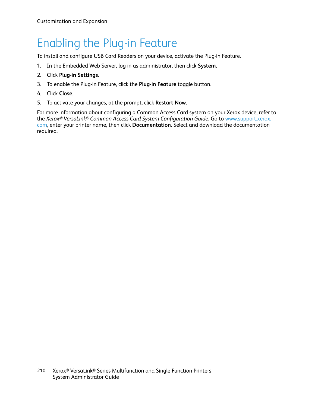## <span id="page-209-0"></span>Enabling the Plug-in Feature

To install and configure USB Card Readers on your device, activate the Plug-in Feature.

- 1. In the Embedded Web Server, log in as administrator, then click **System**.
- 2. Click **Plug-in Settings**.
- 3. To enable the Plug-in Feature, click the **Plug-in Feature** toggle button.
- 4. Click **Close**.
- 5. To activate your changes, at the prompt, click **Restart Now**.

For more information about configuring a Common Access Card system on your Xerox device, refer to the *Xerox*® *VersaLink*® *Common Access Card System Configuration Guide*. Go to [www.support.xerox.](http://www.support.xerox.com) [com,](http://www.support.xerox.com) enter your printer name, then click **Documentation**. Select and download the documentation required.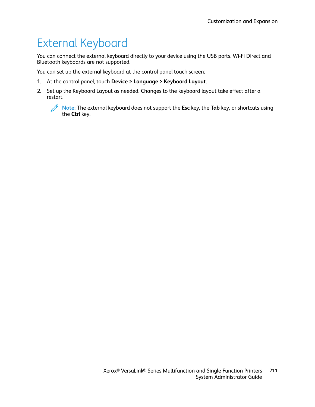# <span id="page-210-0"></span>External Keyboard

You can connect the external keyboard directly to your device using the USB ports. Wi-Fi Direct and Bluetooth keyboards are not supported.

You can set up the external keyboard at the control panel touch screen:

- 1. At the control panel, touch **Device > Language > Keyboard Layout**.
- 2. Set up the Keyboard Layout as needed. Changes to the keyboard layout take effect after a restart.



**Note:** The external keyboard does not support the **Esc** key, the **Tab** key, or shortcuts using the **Ctrl** key.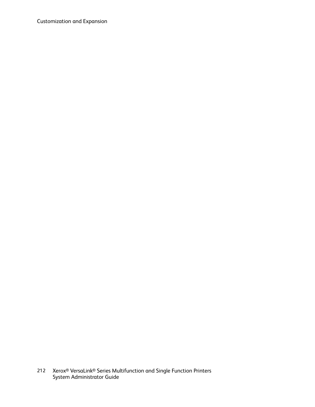[Customization](#page-204-0) and Expansion

212 Xerox® VersaLink® Series Multifunction and Single Function Printers System Administrator Guide